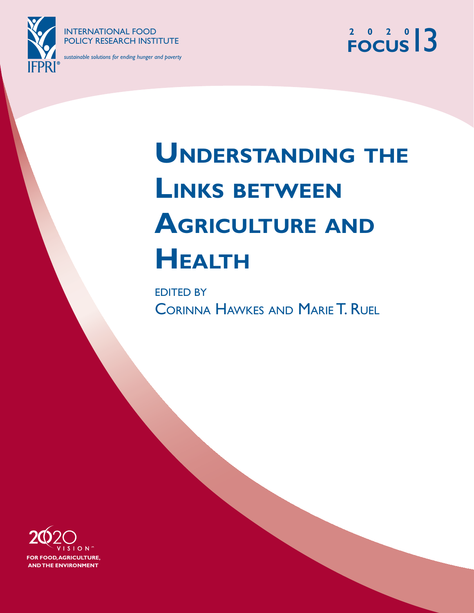

INTERNATIONAL FOOD POLICY RESEARCH INSTITUTE

*sustainable solutions for ending hunger and poverty*

# **2 0 2 0 FOCUS**13

# **UNDERSTANDING THE LINKS BETWEEN AGRICULTURE AND HEALTH**

EDITED BY CORINNA HAWKES AND MARIE T. RUEL

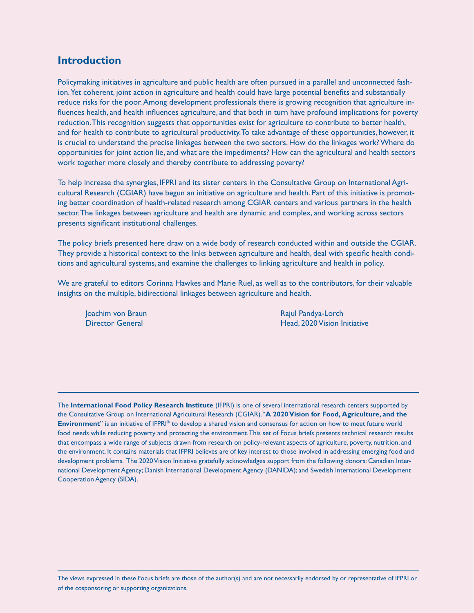### **Introduction**

Policymaking initiatives in agriculture and public health are often pursued in a parallel and unconnected fashion. Yet coherent, joint action in agriculture and health could have large potential benefits and substantially reduce risks for the poor. Among development professionals there is growing recognition that agriculture influences health, and health influences agriculture, and that both in turn have profound implications for poverty reduction. This recognition suggests that opportunities exist for agriculture to contribute to better health, and for health to contribute to agricultural productivity. To take advantage of these opportunities, however, it is crucial to understand the precise linkages between the two sectors. How do the linkages work? Where do opportunities for joint action lie, and what are the impediments? How can the agricultural and health sectors work together more closely and thereby contribute to addressing poverty?

To help increase the synergies, IFPRI and its sister centers in the Consultative Group on International Agricultural Research (CGIAR) have begun an initiative on agriculture and health. Part of this initiative is promoting better coordination of health-related research among CGIAR centers and various partners in the health sector. The linkages between agriculture and health are dynamic and complex, and working across sectors presents significant institutional challenges.

The policy briefs presented here draw on a wide body of research conducted within and outside the CGIAR. They provide a historical context to the links between agriculture and health, deal with specific health conditions and agricultural systems, and examine the challenges to linking agriculture and health in policy.

We are grateful to editors Corinna Hawkes and Marie Ruel, as well as to the contributors, for their valuable insights on the multiple, bidirectional linkages between agriculture and health.

Joachim von Braun Rajul Pandya-Lorch Rajul Pandya-Lorch Director General Head, 2020 Vision Initiative

The **International Food Policy Research Institute** (IFPRI) is one of several international research centers supported by the Consultative Group on International Agricultural Research (CGIAR). "**A 2020 Vision for Food, Agriculture, and the Environment**" is an initiative of IFPRI® to develop a shared vision and consensus for action on how to meet future world food needs while reducing poverty and protecting the environment. This set of Focus briefs presents technical research results that encompass a wide range of subjects drawn from research on policy-relevant aspects of agriculture, poverty, nutrition, and the environment. It contains materials that IFPRI believes are of key interest to those involved in addressing emerging food and development problems. The 2020 Vision Initiative gratefully acknowledges support from the following donors: Canadian International Development Agency; Danish International Development Agency (DANIDA); and Swedish International Development Cooperation Agency (SIDA).

The views expressed in these Focus briefs are those of the author(s) and are not necessarily endorsed by or representative of IFPRI or of the cosponsoring or supporting organizations.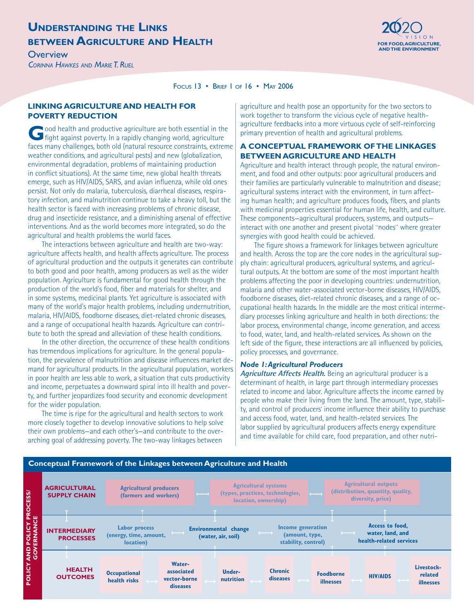### **UNDERSTANDING THE LINKS BETWEEN AGRICULTURE AND HEALTH Exercise the compositor of the compositor of the compositor of the compositor of the compositor of the compositor of the compositor of the compositor of the compositor of the compositor of**

**AND THE ENVIRONMENT**  $\overline{\phantom{a}}$  and  $\overline{\phantom{a}}$  and  $\overline{\phantom{a}}$  and  $\overline{\phantom{a}}$  and  $\overline{\phantom{a}}$  and the environment

*CORINNA HAWKES AND MARIE T. RUEL*



FOCUS 13 • BRIEF 1 OF 16 • MAY 2006

#### **LINKING AGRICULTURE AND HEALTH FOR POVERTY REDUCTION**

**G**ood health and productive agriculture are both essential in the fight against poverty. In a rapidly changing world, agriculture faces many challenges, both old (natural resource constraints, extreme weather conditions, and agricultural pests) and new (globalization, environmental degradation, problems of maintaining production in conflict situations). At the same time, new global health threats emerge, such as HIV/AIDS, SARS, and avian influenza, while old ones persist. Not only do malaria, tuberculosis, diarrheal diseases, respiratory infection, and malnutrition continue to take a heavy toll, but the health sector is faced with increasing problems of chronic disease, drug and insecticide resistance, and a diminishing arsenal of effective interventions. And as the world becomes more integrated, so do the agricultural and health problems the world faces.

The interactions between agriculture and health are two-way: agriculture affects health, and health affects agriculture. The process of agricultural production and the outputs it generates can contribute to both good and poor health, among producers as well as the wider population. Agriculture is fundamental for good health through the production of the world's food, fiber and materials for shelter, and in some systems, medicinal plants. Yet agriculture is associated with many of the world's major health problems, including undernutrition, malaria, HIV/AIDS, foodborne diseases, diet-related chronic diseases, and a range of occupational health hazards. Agriculture can contribute to both the spread and alleviation of these health conditions.

In the other direction, the occurrence of these health conditions has tremendous implications for agriculture. In the general population, the prevalence of malnutrition and disease influences market demand for agricultural products. In the agricultural population, workers in poor health are less able to work, a situation that cuts productivity and income, perpetuates a downward spiral into ill health and poverty, and further jeopardizes food security and economic development for the wider population.

The time is ripe for the agricultural and health sectors to work more closely together to develop innovative solutions to help solve their own problems—and each other's—and contribute to the overarching goal of addressing poverty. The two-way linkages between

agriculture and health pose an opportunity for the two sectors to work together to transform the vicious cycle of negative healthagriculture feedbacks into a more virtuous cycle of self-reinforcing primary prevention of health and agricultural problems.

### **A CONCEPTUAL FRAMEWORK OF THE LINKAGES BETWEEN AGRICULTURE AND HEALTH**

Agriculture and health interact through people, the natural environment, and food and other outputs: poor agricultural producers and their families are particularly vulnerable to malnutrition and disease; agricultural systems interact with the environment, in turn affecting human health; and agriculture produces foods, fibers, and plants with medicinal properties essential for human life, health, and culture. These components—agricultural producers, systems, and outputs interact with one another and present pivotal "nodes" where greater synergies with good health could be achieved.

The figure shows a framework for linkages between agriculture and health. Across the top are the core nodes in the agricultural supply chain: agricultural producers, agricultural systems, and agricultural outputs. At the bottom are some of the most important health problems affecting the poor in developing countries: undernutrition, malaria and other water-associated vector-borne diseases, HIV/AIDS, foodborne diseases, diet-related chronic diseases, and a range of occupational health hazards. In the middle are the most critical intermediary processes linking agriculture and health in both directions: the labor process, environmental change, income generation, and access to food, water, land, and health-related services. As shown on the left side of the figure, these interactions are all influenced by policies, policy processes, and governance.

#### *Node 1: Agricultural Producers*

**Agriculture Affects Health.** Being an agricultural producer is a determinant of health, in large part through intermediary processes related to income and labor. Agriculture affects the income earned by people who make their living from the land. The amount, type, stability, and control of producers' income influence their ability to purchase and access food, water, land, and health-related services. The labor supplied by agricultural producers affects energy expenditure and time available for child care, food preparation, and other nutri-

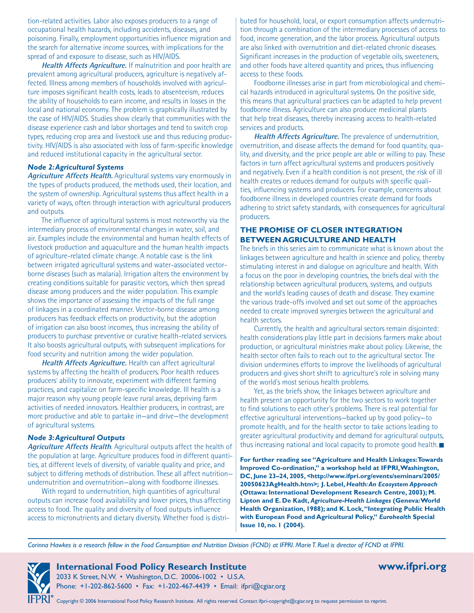tion-related activities. Labor also exposes producers to a range of occupational health hazards, including accidents, diseases, and poisoning. Finally, employment opportunities influence migration and the search for alternative income sources, with implications for the spread of and exposure to disease, such as HIV/AIDS.

**Health Affects Agriculture.** If malnutrition and poor health are prevalent among agricultural producers, agriculture is negatively affected. Illness among members of households involved with agriculture imposes significant health costs, leads to absenteeism, reduces the ability of households to earn income, and results in losses in the local and national economy. The problem is graphically illustrated by the case of HIV/AIDS. Studies show clearly that communities with the disease experience cash and labor shortages and tend to switch crop types, reducing crop area and livestock use and thus reducing productivity. HIV/AIDS is also associated with loss of farm-specific knowledge and reduced institutional capacity in the agricultural sector.

#### *Node 2: Agricultural Systems*

**Agriculture Affects Health.** Agricultural systems vary enormously in the types of products produced, the methods used, their location, and the system of ownership. Agricultural systems thus affect health in a variety of ways, often through interaction with agricultural producers and outputs.

The influence of agricultural systems is most noteworthy via the intermediary process of environmental changes in water, soil, and air. Examples include the environmental and human health effects of livestock production and aquaculture and the human health impacts of agriculture-related climate change. A notable case is the link between irrigated agricultural systems and water-associated vectorborne diseases (such as malaria). Irrigation alters the environment by creating conditions suitable for parasitic vectors, which then spread disease among producers and the wider population. This example shows the importance of assessing the impacts of the full range of linkages in a coordinated manner. Vector-borne disease among producers has feedback effects on productivity, but the adoption of irrigation can also boost incomes, thus increasing the ability of producers to purchase preventive or curative health-related services. It also boosts agricultural outputs, with subsequent implications for food security and nutrition among the wider population.

**Health Affects Agriculture.** Health can affect agricultural systems by affecting the health of producers. Poor health reduces producers' ability to innovate, experiment with different farming practices, and capitalize on farm-specific knowledge. Ill health is a major reason why young people leave rural areas, depriving farm activities of needed innovators. Healthier producers, in contrast, are more productive and able to partake in—and drive—the development of agricultural systems.

#### *Node 3: Agricultural Outputs*

**Agriculture Affects Health**. Agricultural outputs affect the health of the population at large. Agriculture produces food in different quantities, at different levels of diversity, of variable quality and price, and subject to differing methods of distribution. These all affect nutrition undernutrition and overnutrition—along with foodborne illnesses.

With regard to undernutrition, high quantities of agricultural outputs can increase food availability and lower prices, thus affecting access to food. The quality and diversity of food outputs influence access to micronutrients and dietary diversity. Whether food is distributed for household, local, or export consumption affects undernutrition through a combination of the intermediary processes of access to food, income generation, and the labor process. Agricultural outputs are also linked with overnutrition and diet-related chronic diseases. Significant increases in the production of vegetable oils, sweeteners, and other foods have altered quantity and prices, thus influencing access to these foods.

Foodborne illnesses arise in part from microbiological and chemical hazards introduced in agricultural systems. On the positive side, this means that agricultural practices can be adapted to help prevent foodborne illness. Agriculture can also produce medicinal plants that help treat diseases, thereby increasing access to health-related services and products.

**Health Affects Agriculture.** The prevalence of undernutrition, overnutrition, and disease affects the demand for food quantity, quality, and diversity, and the price people are able or willing to pay. These factors in turn affect agricultural systems and producers positively and negatively. Even if a health condition is not present, the risk of ill health creates or reduces demand for outputs with specific qualities, influencing systems and producers. For example, concerns about foodborne illness in developed countries create demand for foods adhering to strict safety standards, with consequences for agricultural producers.

#### **THE PROMISE OF CLOSER INTEGRATION BETWEEN AGRICULTURE AND HEALTH**

The briefs in this series aim to communicate what is known about the linkages between agriculture and health in science and policy, thereby stimulating interest in and dialogue on agriculture and health. With a focus on the poor in developing countries, the briefs deal with the relationship between agricultural producers, systems, and outputs and the world's leading causes of death and disease. They examine the various trade-offs involved and set out some of the approaches needed to create improved synergies between the agricultural and health sectors.

Currently, the health and agricultural sectors remain disjointed: health considerations play little part in decisions farmers make about production, or agricultural ministries make about policy. Likewise, the health sector often fails to reach out to the agricultural sector. The division undermines efforts to improve the livelihoods of agricultural producers and gives short shrift to agriculture's role in solving many of the world's most serious health problems.

Yet, as the briefs show, the linkages between agriculture and health present an opportunity for the two sectors to work together to find solutions to each other's problems. There is real potential for effective agricultural interventions—backed up by good policy—to promote health, and for the health sector to take actions leading to greater agricultural productivity and demand for agricultural outputs, thus increasing national and local capacity to promote good health.

**For further reading see "Agriculture and Health Linkages: Towards Improved Co-ordination," a workshop held at IFPRI, Washington, DC, June 23–24, 2005, <http://www.ifpri.org/events/seminars/2005/ 20050623AgHealth.htm>; J. Lebel,** *Health: An Ecosystem Approach*  **(Ottawa: International Development Research Centre, 2003); M. Lipton and E. De Kadt,** *Agriculture-Health Linkages* **(Geneva: World Health Organization, 1988); and K. Lock, "Integrating Public Health with European Food and Agricultural Policy,"** *Eurohealth* **Special Issue 10, no. 1 (2004).**

*Corinna Hawkes is a research fellow in the Food Consumption and Nutrition Division (FCND) at IFPRI. Marie T. Ruel is director of FCND at IFPRI.*

# **International Food Policy Research Institute www.ifpri.org**

2033 K Street, N.W. • Washington, D.C. 20006-1002 • U.S.A. Phone: +1-202-862-5600 • Fax: +1-202-467-4439 • Email: ifpri@cgiar.org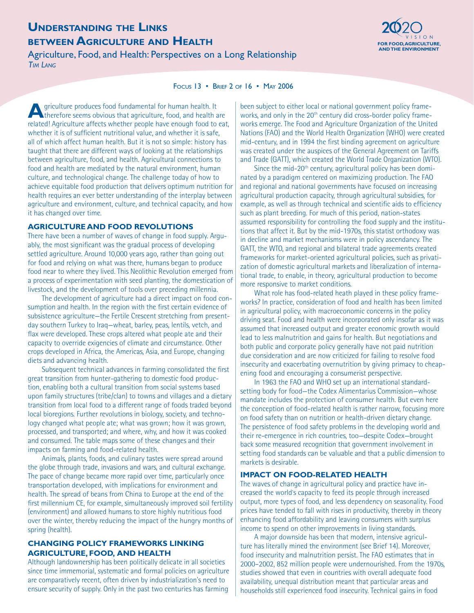### **UNDERSTANDING THE LINKS BETWEEN AGRICULTURE AND HEALTH FOR FOOD, AGRICULTURE AND HEALTH**

Agriculture, Food, and Health: Perspectives on a Long Relationship *TIM LANG*



#### FOCUS 13 • BRIEF 2 OF 16 • MAY 2006

**A**griculture produces food fundamental for human health. It<br>therefore seems obvious that agriculture, food, and health are related! Agriculture affects whether people have enough food to eat, whether it is of sufficient nutritional value, and whether it is safe, all of which affect human health. But it is not so simple: history has taught that there are different ways of looking at the relationships between agriculture, food, and health. Agricultural connections to food and health are mediated by the natural environment, human culture, and technological change. The challenge today of how to achieve equitable food production that delivers optimum nutrition for health requires an ever better understanding of the interplay between agriculture and environment, culture, and technical capacity, and how it has changed over time.

#### **AGRICULTURE AND FOOD REVOLUTIONS**

There have been a number of waves of change in food supply. Arguably, the most significant was the gradual process of developing settled agriculture. Around 10,000 years ago, rather than going out for food and relying on what was there, humans began to produce food near to where they lived. This Neolithic Revolution emerged from a process of experimentation with seed planting, the domestication of livestock, and the development of tools over preceding millennia.

The development of agriculture had a direct impact on food consumption and health. In the region with the first certain evidence of subsistence agriculture—the Fertile Crescent stretching from presentday southern Turkey to Iraq—wheat, barley, peas, lentils, vetch, and flax were developed. These crops altered what people ate and their capacity to override exigencies of climate and circumstance. Other crops developed in Africa, the Americas, Asia, and Europe, changing diets and advancing health.

Subsequent technical advances in farming consolidated the first great transition from hunter-gathering to domestic food production, enabling both a cultural transition from social systems based upon family structures (tribe/clan) to towns and villages and a dietary transition from local food to a different range of foods traded beyond local bioregions. Further revolutions in biology, society, and technology changed what people ate; what was grown; how it was grown, processed, and transported; and where, why, and how it was cooked and consumed. The table maps some of these changes and their impacts on farming and food-related health.

Animals, plants, foods, and culinary tastes were spread around the globe through trade, invasions and wars, and cultural exchange. The pace of change became more rapid over time, particularly once transportation developed, with implications for environment and health. The spread of beans from China to Europe at the end of the first millennium CE, for example, simultaneously improved soil fertility (environment) and allowed humans to store highly nutritious food over the winter, thereby reducing the impact of the hungry months of spring (health).

#### **CHANGING POLICY FRAMEWORKS LINKING AGRICULTURE, FOOD, AND HEALTH**

Although landownership has been politically delicate in all societies since time immemorial, systematic and formal policies on agriculture are comparatively recent, often driven by industrialization's need to ensure security of supply. Only in the past two centuries has farming

been subject to either local or national government policy frameworks, and only in the 20<sup>th</sup> century did cross-border policy frameworks emerge. The Food and Agriculture Organization of the United Nations (FAO) and the World Health Organization (WHO) were created mid-century, and in 1994 the first binding agreement on agriculture was created under the auspices of the General Agreement on Tariffs and Trade (GATT), which created the World Trade Organization (WTO).

Since the mid-20<sup>th</sup> century, agricultural policy has been dominated by a paradigm centered on maximizing production. The FAO and regional and national governments have focused on increasing agricultural production capacity, through agricultural subsidies, for example, as well as through technical and scientific aids to efficiency such as plant breeding. For much of this period, nation-states assumed responsibility for controlling the food supply and the institutions that affect it. But by the mid-1970s, this statist orthodoxy was in decline and market mechanisms were in policy ascendancy. The GATT, the WTO, and regional and bilateral trade agreements created frameworks for market-oriented agricultural policies, such as privatization of domestic agricultural markets and liberalization of international trade, to enable, in theory, agricultural production to become more responsive to market conditions.

What role has food-related heath played in these policy frameworks? In practice, consideration of food and health has been limited in agricultural policy, with macroeconomic concerns in the policy driving seat. Food and health were incorporated only insofar as it was assumed that increased output and greater economic growth would lead to less malnutrition and gains for health. But negotiations and both public and corporate policy generally have not paid nutrition due consideration and are now criticized for failing to resolve food insecurity and exacerbating overnutrition by giving primacy to cheapening food and encouraging a consumerist perspective.

In 1963 the FAO and WHO set up an international standardsetting body for food—the Codex Alimentarius Commission—whose mandate includes the protection of consumer health. But even here the conception of food-related health is rather narrow, focusing more on food safety than on nutrition or health-driven dietary change. The persistence of food safety problems in the developing world and their re-emergence in rich countries, too—despite Codex—brought back some measured recognition that government involvement in setting food standards can be valuable and that a public dimension to markets is desirable.

#### **IMPACT ON FOOD-RELATED HEALTH**

The waves of change in agricultural policy and practice have increased the world's capacity to feed its people through increased output, more types of food, and less dependency on seasonality. Food prices have tended to fall with rises in productivity, thereby in theory enhancing food affordability and leaving consumers with surplus income to spend on other improvements in living standards.

A major downside has been that modern, intensive agriculture has literally mined the environment (see Brief 14). Moreover, food insecurity and malnutrition persist. The FAO estimates that in 2000–2002, 852 million people were undernourished. From the 1970s, studies showed that even in countries with overall adequate food availability, unequal distribution meant that particular areas and households still experienced food insecurity. Technical gains in food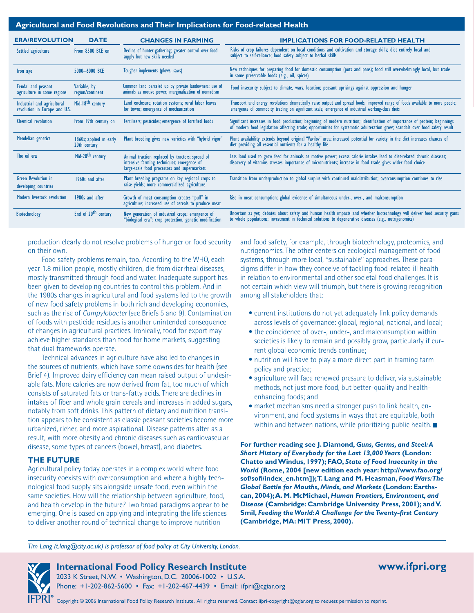#### **Agricultural and Food Revolutions and Their Implications for Food-related Health**

| <b>ERA/REVOLUTION</b>                                        | <b>DATE</b>                             | <b>CHANGES IN FARMING</b>                                                                                                                     | <b>IMPLICATIONS FOR FOOD-RELATED HEALTH</b>                                                                                                                                                                                                                  |
|--------------------------------------------------------------|-----------------------------------------|-----------------------------------------------------------------------------------------------------------------------------------------------|--------------------------------------------------------------------------------------------------------------------------------------------------------------------------------------------------------------------------------------------------------------|
| Settled agriculture                                          | From 8500 BCE on                        | Decline of hunter-gathering; greater control over food<br>supply but new skills needed                                                        | Risks of crop failures dependent on local conditions and cultivation and storage skills; diet entirely local and<br>subject to self-reliance; food safety subject to herbal skills                                                                           |
| Iron age                                                     | 5000-6000 BCE                           | Tougher implements (plows, saws)                                                                                                              | New techniques for preparing food for domestic consumption (pots and pans); food still overwhelmingly local, but trade<br>in some preservable foods (e.g., oil, spices)                                                                                      |
| Feudal and peasant<br>agriculture in some regions            | Variable, by<br>region/continent        | Common land parceled up by private landowners; use of<br>animals as motive power; marginalization of nomadism                                 | Food insecurity subject to climate, wars, location; peasant uprisings against oppression and hunger                                                                                                                                                          |
| Industrial and agricultural<br>revolution in Europe and U.S. | Mid-18 <sup>th</sup> century            | Land enclosure; rotation systems; rural labor leaves<br>for towns; emergence of mechanization                                                 | Transport and energy revolutions dramatically raise output and spread foods; improved range of foods available to more people;<br>emergence of commodity trading on significant scale; emergence of industrial working-class diets                           |
| Chemical revolution                                          | From 19th century on                    | Fertilizers; pesticides; emergence of fortified foods                                                                                         | Significant increases in food production; beginning of modern nutrition; identification of importance of protein; beginnings<br>of modern food legislation affecting trade; opportunities for systematic adulteration grow; scandals over food safety result |
| Mendelian genetics                                           | 1860s; applied in early<br>20th century | Plant breeding gives new varieties with "hybrid vigor"                                                                                        | Plant availability extends beyond original "Vavilov" area; increased potential for variety in the diet increases chances of diet providing all essential nutrients for a healthy life                                                                        |
| The oil era                                                  | Mid-20 <sup>th</sup> century            | Animal traction replaced by tractors; spread of<br>intensive farming techniques; emergence of<br>large-scale food processors and supermarkets | Less land used to grow feed for animals as motive power; excess calorie intakes lead to diet-related chronic diseases;<br>discovery of vitamins stresses importance of micronutrients; increase in food trade gives wider food choice                        |
| <b>Green Revolution in</b><br>developing countries           | 1960s and after                         | Plant breeding programs on key regional crops to<br>raise yields; more commercialized agriculture                                             | Transition from underproduction to global surplus with continued maldistribution; overconsumption continues to rise                                                                                                                                          |
| Modern livestock revolution                                  | 1980s and after                         | Growth of meat consumption creates "pull" in<br>agriculture; increased use of cereals to produce meat                                         | Rise in meat consumption; global evidence of simultaneous under-, over-, and malconsumption                                                                                                                                                                  |
| Biotechnology                                                | End of 20 <sup>th</sup> century         | New generation of industrial crops; emergence of<br>"biological era": crop protection, genetic modification                                   | Uncertain as yet; debates about safety and human health impacts and whether biotechnology will deliver food security gains<br>to whole populations; investment in technical solutions to degenerative diseases (e.g., nutrigenomics)                         |

production clearly do not resolve problems of hunger or food security on their own.

Food safety problems remain, too. According to the WHO, each year 1.8 million people, mostly children, die from diarrheal diseases, mostly transmitted through food and water. Inadequate support has been given to developing countries to control this problem. And in the 1980s changes in agricultural and food systems led to the growth of new food safety problems in both rich and developing economies, such as the rise of *Campylobacter* (see Briefs 5 and 9). Contamination of foods with pesticide residues is another unintended consequence of changes in agricultural practices. Ironically, food for export may achieve higher standards than food for home markets, suggesting that dual frameworks operate.

Technical advances in agriculture have also led to changes in the sources of nutrients, which have some downsides for health (see Brief 4). Improved dairy efficiency can mean raised output of undesirable fats. More calories are now derived from fat, too much of which consists of saturated fats or trans-fatty acids. There are declines in intakes of fiber and whole grain cereals and increases in added sugars, notably from soft drinks. This pattern of dietary and nutrition transition appears to be consistent as classic peasant societies become more urbanized, richer, and more aspirational. Disease patterns alter as a result, with more obesity and chronic diseases such as cardiovascular disease, some types of cancers (bowel, breast), and diabetes.

#### **THE FUTURE**

Agricultural policy today operates in a complex world where food insecurity coexists with overconsumption and where a highly technological food supply sits alongside unsafe food, even within the same societies. How will the relationship between agriculture, food, and health develop in the future? Two broad paradigms appear to be emerging. One is based on applying and integrating the life sciences to deliver another round of technical change to improve nutrition

and food safety, for example, through biotechnology, proteomics, and nutrigenomics. The other centers on ecological management of food systems, through more local, "sustainable" approaches. These paradigms differ in how they conceive of tackling food-related ill health in relation to environmental and other societal food challenges. It is not certain which view will triumph, but there is growing recognition among all stakeholders that:

- current institutions do not yet adequately link policy demands across levels of governance: global, regional, national, and local;
- the coincidence of over-, under-, and malconsumption within societies is likely to remain and possibly grow, particularly if current global economic trends continue;
- nutrition will have to play a more direct part in framing farm policy and practice;
- agriculture will face renewed pressure to deliver, via sustainable methods, not just more food, but better-quality and healthenhancing foods; and
- market mechanisms need a stronger push to link health, environment, and food systems in ways that are equitable, both within and between nations, while prioritizing public health.

**For further reading see J. Diamond,** *Guns, Germs, and Steel: A Short History of Everybody for the Last 13,000 Years* **(London: Chatto and Windus, 1997); FAO,** *State of Food Insecurity in the World* **(Rome, 2004 [new edition each year: http://www.fao.org/ sof/sofi/index\_en.htm]); T. Lang and M. Heasman,** *Food Wars: The Global Battle for Mouths, Minds, and Markets* **(London: Earthscan, 2004); A. M. McMichael,** *Human Frontiers, Environment, and Disease* **(Cambridge: Cambridge University Press, 2001); and V. Smil,** *Feeding the World: A Challenge for the Twenty-first Century* **(Cambridge, MA: MIT Press, 2000).**

*Tim Lang (t.lang@city.ac.uk) is professor of food policy at City University, London.* 



### **International Food Policy Research Institute www.ifpri.org**

2033 K Street, N.W. • Washington, D.C. 20006-1002 • U.S.A. Phone: +1-202-862-5600 • Fax: +1-202-467-4439 • Email: ifpri@cgiar.org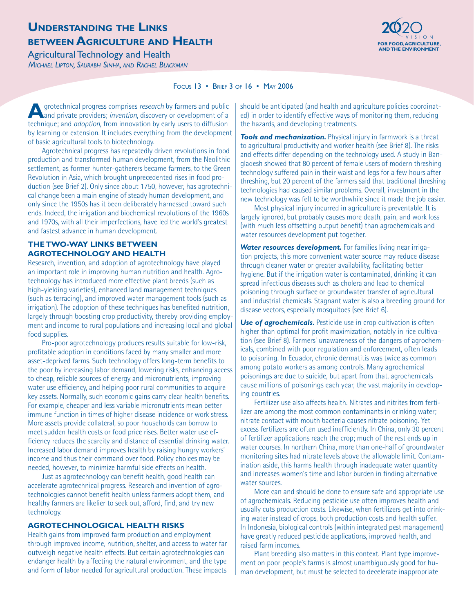### **UNDERSTANDING THE LINKS BETWEEN AGRICULTURE AND HEALTH EXECUTIVE AND THE ALT HEALTH**

**Agricultural Technology and Health** *MICHAEL LIPTON, SAURABH SINHA, AND RACHEL BLACKMAN*



#### FOCUS 13 • BRIEF 3 OF 16 • MAY 2006

**A**grotechnical progress comprises *research* by farmers and public and private providers; *invention*, discovery or development of a technique; and *adoption*, from innovation by early users to diffusion by learning or extension. It includes everything from the development of basic agricultural tools to biotechnology.

Agrotechnical progress has repeatedly driven revolutions in food production and transformed human development, from the Neolithic settlement, as former hunter-gatherers became farmers, to the Green Revolution in Asia, which brought unprecedented rises in food production (see Brief 2). Only since about 1750, however, has agrotechnical change been a main engine of steady human development, and only since the 1950s has it been deliberately harnessed toward such ends. Indeed, the irrigation and biochemical revolutions of the 1960s and 1970s, with all their imperfections, have led the world's greatest and fastest advance in human development.

### **THE TWO-WAY LINKS BETWEEN AGROTECHNOLOGY AND HEALTH**

Research, invention, and adoption of agrotechnology have played an important role in improving human nutrition and health. Agrotechnology has introduced more effective plant breeds (such as high-yielding varieties), enhanced land management techniques (such as terracing), and improved water management tools (such as irrigation). The adoption of these techniques has benefited nutrition, largely through boosting crop productivity, thereby providing employment and income to rural populations and increasing local and global food supplies.

Pro-poor agrotechnology produces results suitable for low-risk, profitable adoption in conditions faced by many smaller and more asset-deprived farms. Such technology offers long-term benefits to the poor by increasing labor demand, lowering risks, enhancing access to cheap, reliable sources of energy and micronutrients, improving water use efficiency, and helping poor rural communities to acquire key assets. Normally, such economic gains carry clear health benefits. For example, cheaper and less variable micronutrients mean better immune function in times of higher disease incidence or work stress. More assets provide collateral, so poor households can borrow to meet sudden health costs or food price rises. Better water use efficiency reduces the scarcity and distance of essential drinking water. Increased labor demand improves health by raising hungry workers' income and thus their command over food. Policy choices may be needed, however, to minimize harmful side effects on health.

Just as agrotechnology can benefit health, good health can accelerate agrotechnical progress. Research and invention of agrotechnologies cannot benefit health unless farmers adopt them, and healthy farmers are likelier to seek out, afford, find, and try new technology.

#### **AGROTECHNOLOGICAL HEALTH RISKS**

Health gains from improved farm production and employment through improved income, nutrition, shelter, and access to water far outweigh negative health effects. But certain agrotechnologies can endanger health by affecting the natural environment, and the type and form of labor needed for agricultural production. These impacts

should be anticipated (and health and agriculture policies coordinated) in order to identify effective ways of monitoring them, reducing the hazards, and developing treatments.

**Tools and mechanization.** Physical injury in farmwork is a threat to agricultural productivity and worker health (see Brief 8). The risks and effects differ depending on the technology used. A study in Bangladesh showed that 80 percent of female users of modern threshing technology suffered pain in their waist and legs for a few hours after threshing, but 20 percent of the farmers said that traditional threshing technologies had caused similar problems. Overall, investment in the new technology was felt to be worthwhile since it made the job easier.

Most physical injury incurred in agriculture is preventable. It is largely ignored, but probably causes more death, pain, and work loss (with much less offsetting output benefit) than agrochemicals and water resources development put together.

*Water resources development.* For families living near irrigation projects, this more convenient water source may reduce disease through cleaner water or greater availability, facilitating better hygiene. But if the irrigation water is contaminated, drinking it can spread infectious diseases such as cholera and lead to chemical poisoning through surface or groundwater transfer of agricultural and industrial chemicals. Stagnant water is also a breeding ground for disease vectors, especially mosquitoes (see Brief 6).

**Use of agrochemicals.** Pesticide use in crop cultivation is often higher than optimal for profit maximization, notably in rice cultivation (see Brief 8). Farmers' unawareness of the dangers of agrochemicals, combined with poor regulation and enforcement, often leads to poisoning. In Ecuador, chronic dermatitis was twice as common among potato workers as among controls. Many agrochemical poisonings are due to suicide, but apart from that, agrochemicals cause millions of poisonings each year, the vast majority in developing countries.

Fertilizer use also affects health. Nitrates and nitrites from fertilizer are among the most common contaminants in drinking water; nitrate contact with mouth bacteria causes nitrate poisoning. Yet excess fertilizers are often used inefficiently. In China, only 30 percent of fertilizer applications reach the crop; much of the rest ends up in water courses. In northern China, more than one-half of groundwater monitoring sites had nitrate levels above the allowable limit. Contamination aside, this harms health through inadequate water quantity and increases women's time and labor burden in finding alternative water sources.

More can and should be done to ensure safe and appropriate use of agrochemicals. Reducing pesticide use often improves health and usually cuts production costs. Likewise, when fertilizers get into drinking water instead of crops, both production costs and health suffer. In Indonesia, biological controls (within integrated pest management) have greatly reduced pesticide applications, improved health, and raised farm incomes.

Plant breeding also matters in this context. Plant type improvement on poor people's farms is almost unambiguously good for human development, but must be selected to decelerate inappropriate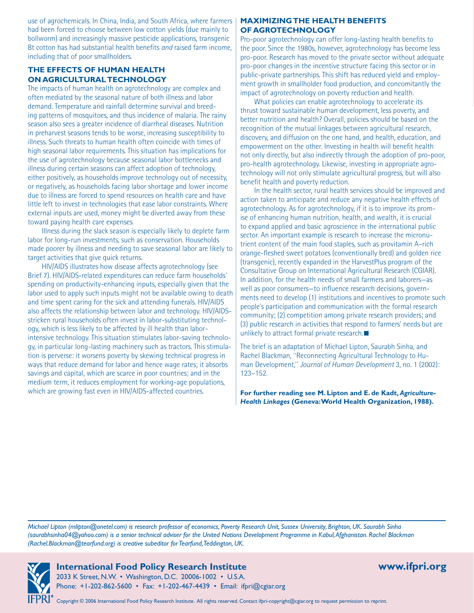use of agrochemicals. In China, India, and South Africa, where farmers had been forced to choose between low cotton yields (due mainly to bollworm) and increasingly massive pesticide applications, transgenic Bt cotton has had substantial health benefits *and* raised farm income, including that of poor smallholders.

#### **THE EFFECTS OF HUMAN HEALTH ON AGRICULTURAL TECHNOLOGY**

The impacts of human health on agrotechnology are complex and often mediated by the seasonal nature of both illness and labor demand. Temperature and rainfall determine survival and breeding patterns of mosquitoes, and thus incidence of malaria. The rainy season also sees a greater incidence of diarrheal diseases. Nutrition in preharvest seasons tends to be worse, increasing susceptibility to illness. Such threats to human health often coincide with times of high seasonal labor requirements. This situation has implications for the use of agrotechnology because seasonal labor bottlenecks and illness during certain seasons can affect adoption of technology, either positively, as households improve technology out of necessity, or negatively, as households facing labor shortage and lower income due to illness are forced to spend resources on health care and have little left to invest in technologies that ease labor constraints. Where external inputs are used, money might be diverted away from these toward paying health care expenses.

Illness during the slack season is especially likely to deplete farm labor for long-run investments, such as conservation. Households made poorer by illness and needing to save seasonal labor are likely to target activities that give quick returns.

HIV/AIDS illustrates how disease affects agrotechnology (see Brief 7). HIV/AIDS-related expenditures can reduce farm households' spending on productivity-enhancing inputs, especially given that the labor used to apply such inputs might not be available owing to death and time spent caring for the sick and attending funerals. HIV/AIDS also affects the relationship between labor and technology. HIV/AIDSstricken rural households often invest in labor-substituting technology, which is less likely to be affected by ill health than laborintensive technology. This situation stimulates labor-saving technology, in particular long-lasting machinery such as tractors. This stimulation is perverse: it worsens poverty by skewing technical progress in ways that reduce demand for labor and hence wage rates; it absorbs savings and capital, which are scarce in poor countries; and in the medium term, it reduces employment for working-age populations, which are growing fast even in HIV/AIDS-affected countries.

#### **MAXIMIZING THE HEALTH BENEFITS OF AGROTECHNOLOGY**

Pro-poor agrotechnology can offer long-lasting health benefits to the poor. Since the 1980s, however, agrotechnology has become less pro-poor. Research has moved to the private sector without adequate pro-poor changes in the incentive structure facing this sector or in public-private partnerships. This shift has reduced yield and employment growth in smallholder food production, and concomitantly the impact of agrotechnology on poverty reduction and health.

What policies can enable agrotechnology to accelerate its thrust toward sustainable human development, less poverty, and better nutrition and health? Overall, policies should be based on the recognition of the mutual linkages between agricultural research, discovery, and diffusion on the one hand, and health, education, and empowerment on the other. Investing in health will benefit health not only directly, but also indirectly through the adoption of pro-poor, pro-health agrotechnology. Likewise, investing in appropriate agrotechnology will not only stimulate agricultural progress, but will also benefit health and poverty reduction.

In the health sector, rural health services should be improved and action taken to anticipate and reduce any negative health effects of agrotechnology. As for agrotechnology, if it is to improve its promise of enhancing human nutrition, health, and wealth, it is crucial to expand applied and basic agroscience in the international public sector. An important example is research to increase the micronutrient content of the main food staples, such as provitamin A–rich orange-fleshed sweet potatoes (conventionally bred) and golden rice (transgenic), recently expanded in the HarvestPlus program of the Consultative Group on International Agricultural Research (CGIAR). In addition, for the health needs of small farmers and laborers—as well as poor consumers—to influence research decisions, governments need to develop (1) institutions and incentives to promote such people's participation and communication with the formal research community; (2) competition among private research providers; and (3) public research in activities that respond to farmers' needs but are unlikely to attract formal private research.

The brief is an adaptation of Michael Lipton, Saurabh Sinha, and Rachel Blackman, "Reconnecting Agricultural Technology to Human Development," *Journal of Human Development* 3, no. 1 (2002): 123–152.

**For further reading see M. Lipton and E. de Kadt,** *Agriculture-Health Linkages* **(Geneva: World Health Organization, 1988).**

*Michael Lipton (mlipton@onetel.com) is research professor of economics, Poverty Research Unit, Sussex University, Brighton, UK. Saurabh Sinha (saurabhsinha04@yahoo.com) is a senior technical adviser for the United Nations Development Programme in Kabul, Afghanistan. Rachel Blackman (Rachel.Blackman@tearfund.org) is creative subeditor for Tearfund, Teddington, UK.*



**International Food Policy Research Institute www.ifpri.org**  2033 K Street, N.W. • Washington, D.C. 20006-1002 • U.S.A. Phone: +1-202-862-5600 • Fax: +1-202-467-4439 • Email: ifpri@cgiar.org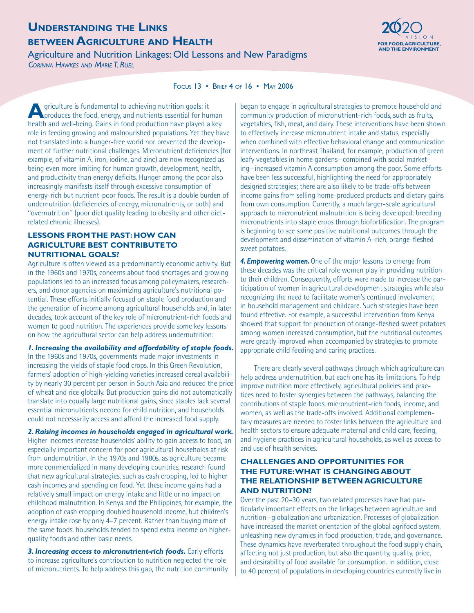# **UNDERSTANDING THE LINKS BETWEEN AGRICULTURE AND HEALTH EXECUTIVE AND THE ALT HEALTH**

Agriculture and Nutrition Linkages: Old Lessons and New Paradigms *CORINNA HAWKES AND MARIE T. RUEL*



#### FOCUS 13 • BRIEF 4 OF 16 • MAY 2006

**A**griculture is fundamental to achieving nutrition goals: it produces the food, energy, and nutrients essential for human health and well-being. Gains in food production have played a key role in feeding growing and malnourished populations. Yet they have not translated into a hunger-free world nor prevented the development of further nutritional challenges. Micronutrient deficiencies (for example, of vitamin A, iron, iodine, and zinc) are now recognized as being even more limiting for human growth, development, health, and productivity than energy deficits. Hunger among the poor also increasingly manifests itself through excessive consumption of energy-rich but nutrient-poor foods. The result is a double burden of undernutrition (deficiencies of energy, micronutrients, or both) and "overnutrition" (poor diet quality leading to obesity and other dietrelated chronic illnesses).

#### **LESSONS FROM THE PAST: HOW CAN AGRICULTURE BEST CONTRIBUTE TO NUTRITIONAL GOALS?**

Agriculture is often viewed as a predominantly economic activity. But in the 1960s and 1970s, concerns about food shortages and growing populations led to an increased focus among policymakers, researchers, and donor agencies on maximizing agriculture's nutritional potential. These efforts initially focused on staple food production and the generation of income among agricultural households and, in later decades, took account of the key role of micronutrient-rich foods and women to good nutrition. The experiences provide some key lessons on how the agricultural sector can help address undernutrition:

#### *1. Increasing the availability and affordability of staple foods.*

In the 1960s and 1970s, governments made major investments in increasing the yields of staple food crops. In this Green Revolution, farmers' adoption of high-yielding varieties increased cereal availability by nearly 30 percent per person in South Asia and reduced the price of wheat and rice globally. But production gains did not automatically translate into equally large nutritional gains, since staples lack several essential micronutrients needed for child nutrition, and households could not necessarily access and afford the increased food supply.

*2. Raising incomes in households engaged in agricultural work.* Higher incomes increase households' ability to gain access to food, an especially important concern for poor agricultural households at risk from undernutrition. In the 1970s and 1980s, as agriculture became more commercialized in many developing countries, research found that new agricultural strategies, such as cash cropping, led to higher cash incomes and spending on food. Yet these income gains had a relatively small impact on energy intake and little or no impact on childhood malnutrition. In Kenya and the Philippines, for example, the adoption of cash cropping doubled household income, but children's energy intake rose by only 4–7 percent. Rather than buying more of the same foods, households tended to spend extra income on higherquality foods and other basic needs.

*3. Increasing access to micronutrient-rich foods.* Early efforts to increase agriculture's contribution to nutrition neglected the role of micronutrients. To help address this gap, the nutrition community began to engage in agricultural strategies to promote household and community production of micronutrient-rich foods, such as fruits, vegetables, fish, meat, and dairy. These interventions have been shown to effectively increase micronutrient intake and status, especially when combined with effective behavioral change and communication interventions. In northeast Thailand, for example, production of green leafy vegetables in home gardens—combined with social marketing—increased vitamin A consumption among the poor. Some efforts have been less successful, highlighting the need for appropriately designed strategies; there are also likely to be trade-offs between income gains from selling home-produced products and dietary gains from own consumption. Currently, a much larger-scale agricultural approach to micronutrient malnutrition is being developed: breeding micronutrients into staple crops through biofortification. The program is beginning to see some positive nutritional outcomes through the development and dissemination of vitamin A–rich, orange-fleshed sweet potatoes.

*4. Empowering women.* One of the major lessons to emerge from these decades was the critical role women play in providing nutrition to their children. Consequently, efforts were made to increase the participation of women in agricultural development strategies while also recognizing the need to facilitate women's continued involvement in household management and childcare. Such strategies have been found effective. For example, a successful intervention from Kenya showed that support for production of orange-fleshed sweet potatoes among women increased consumption, but the nutritional outcomes were greatly improved when accompanied by strategies to promote appropriate child feeding and caring practices.

There are clearly several pathways through which agriculture can help address undernutrition, but each one has its limitations. To help improve nutrition more effectively, agricultural policies and practices need to foster synergies between the pathways, balancing the contributions of staple foods, micronutrient-rich foods, income, and women, as well as the trade-offs involved. Additional complementary measures are needed to foster links between the agriculture and health sectors to ensure adequate maternal and child care, feeding, and hygiene practices in agricultural households, as well as access to and use of health services.

#### **CHALLENGES AND OPPORTUNITIES FOR THE FUTURE: WHAT IS CHANGING ABOUT THE RELATIONSHIP BETWEEN AGRICULTURE AND NUTRITION?**

Over the past 20–30 years, two related processes have had particularly important effects on the linkages between agriculture and nutrition—globalization and urbanization. Processes of globalization have increased the market orientation of the global agrifood system, unleashing new dynamics in food production, trade, and governance. These dynamics have reverberated throughout the food supply chain, affecting not just production, but also the quantity, quality, price, and desirability of food available for consumption. In addition, close to 40 percent of populations in developing countries currently live in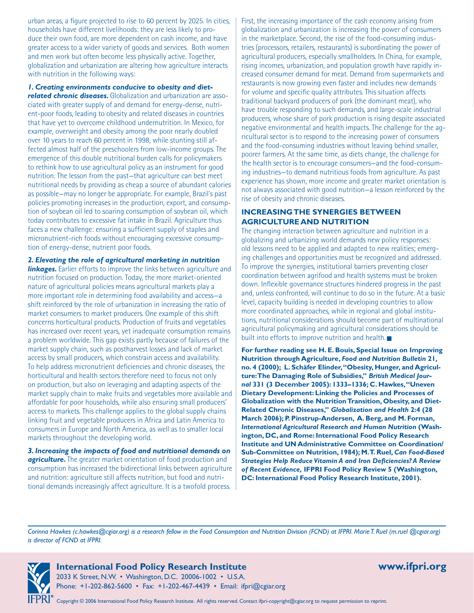urban areas, a figure projected to rise to 60 percent by 2025. In cities, households have different livelihoods: they are less likely to produce their own food, are more dependent on cash income, and have greater access to a wider variety of goods and services. Both women and men work but often become less physically active. Together, globalization and urbanization are altering how agriculture interacts with nutrition in the following ways:

*1. Creating environments conducive to obesity and diet-*

*related chronic diseases.* Globalization and urbanization are associated with greater supply of and demand for energy-dense, nutrient-poor foods, leading to obesity and related diseases in countries that have yet to overcome childhood undernutrition. In Mexico, for example, overweight and obesity among the poor nearly doubled over 10 years to reach 60 percent in 1998, while stunting still affected almost half of the preschoolers from low-income groups. The emergence of this double nutritional burden calls for policymakers to rethink how to use agricultural policy as an instrument for good nutrition. The lesson from the past—that agriculture can best meet nutritional needs by providing as cheap a source of abundant calories as possible—may no longer be appropriate. For example, Brazil's past policies promoting increases in the production, export, and consumption of soybean oil led to soaring consumption of soybean oil, which today contributes to excessive fat intake in Brazil. Agriculture thus faces a new challenge: ensuring a sufficient supply of staples and micronutrient-rich foods without encouraging excessive consumption of energy-dense, nutrient poor foods.

*2. Elevating the role of agricultural marketing in nutrition* 

**linkages.** Earlier efforts to improve the links between agriculture and nutrition focused on production. Today, the more market-oriented nature of agricultural policies means agricultural markets play a more important role in determining food availability and access—a shift reinforced by the role of urbanization in increasing the ratio of market consumers to market producers. One example of this shift concerns horticultural products. Production of fruits and vegetables has increased over recent years, yet inadequate consumption remains a problem worldwide. This gap exists partly because of failures of the market supply chain, such as postharvest losses and lack of market access by small producers, which constrain access and availability. To help address micronutrient deficiencies and chronic diseases, the horticultural and health sectors therefore need to focus not only on production, but also on leveraging and adapting aspects of the market supply chain to make fruits and vegetables more available and affordable for poor households, while also ensuring small producers' access to markets. This challenge applies to the global supply chains linking fruit and vegetable producers in Africa and Latin America to consumers in Europe and North America, as well as to smaller local markets throughout the developing world.

*3. Increasing the impacts of food and nutritional demands on*  **agriculture.** The greater market orientation of food production and consumption has increased the bidirectional links between agriculture and nutrition: agriculture still affects nutrition, but food and nutritional demands increasingly affect agriculture. It is a twofold process.

First, the increasing importance of the cash economy arising from globalization and urbanization is increasing the power of consumers in the marketplace. Second, the rise of the food-consuming industries (processors, retailers, restaurants) is subordinating the power of agricultural producers, especially smallholders. In China, for example, rising incomes, urbanization, and population growth have rapidly increased consumer demand for meat. Demand from supermarkets and restaurants is now growing even faster and includes new demands for volume and specific quality attributes. This situation affects traditional backyard producers of pork (the dominant meat), who have trouble responding to such demands, and large-scale industrial producers, whose share of pork production is rising despite associated negative environmental and health impacts. The challenge for the agricultural sector is to respond to the increasing power of consumers and the food-consuming industries without leaving behind smaller, poorer farmers. At the same time, as diets change, the challenge for the health sector is to encourage consumers—and the food-consuming industries—to demand nutritious foods from agriculture. As past experience has shown, more income and greater market orientation is not always associated with good nutrition—a lesson reinforced by the rise of obesity and chronic diseases.

### **INCREASING THE SYNERGIES BETWEEN AGRICULTURE AND NUTRITION**

The changing interaction between agriculture and nutrition in a globalizing and urbanizing world demands new policy responses: old lessons need to be applied and adapted to new realities; emerging challenges and opportunities must be recognized and addressed. To improve the synergies, institutional barriers preventing closer coordination between agrifood and health systems must be broken down. Inflexible governance structures hindered progress in the past and, unless confronted, will continue to do so in the future. At a basic level, capacity building is needed in developing countries to allow more coordinated approaches, while in regional and global institutions, nutritional considerations should become part of multinational agricultural policymaking and agricultural considerations should be built into efforts to improve nutrition and health.

**For further reading see H. E. Bouis, Special Issue on Improving Nutrition through Agriculture,** *Food and Nutrition Bulletin* **21, no. 4 (2000); L. Schäfer Elinder, "Obesity, Hunger, and Agriculture: The Damaging Role of Subsidies,"** *British Medical Journal* **331 (3 December 2005): 1333–1336; C. Hawkes, "Uneven Dietary Development: Linking the Policies and Processes of Globalization with the NutritionTransition, Obesity, and Diet-Related Chronic Diseases,"** *Globalization and Health* **2:4 (28 March 2006); P. Pinstrup-Andersen, A. Berg, and M. Forman,**  *International Agricultural Research and Human Nutrition* **(Washington, DC, and Rome: International Food Policy Research Institute and UN Administrative Committee on Coordination/ Sub-Committee on Nutrition, 1984); M. T. Ruel,** *Can Food-Based Strategies Help Reduce Vitamin A and Iron Deficiencies? A Review of Recent Evidence,* **IFPRI Food Policy Review 5 (Washington, DC: International Food Policy Research Institute, 2001).**

*Corinna Hawkes (c.hawkes@cgiar.org) is a research fellow in the Food Consumption and Nutrition Division (FCND) at IFPRI. Marie T. Ruel (m.ruel @cgiar.org) is director of FCND at IFPRI.*



**International Food Policy Research Institute www.ifpri.org** 

2033 K Street, N.W. • Washington, D.C. 20006-1002 • U.S.A. Phone: +1-202-862-5600 • Fax: +1-202-467-4439 • Email: ifpri@cgiar.org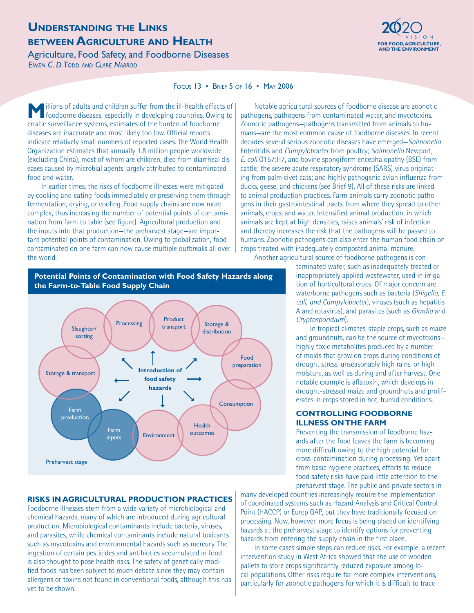### **UNDERSTANDING THE LINKS BETWEEN AGRICULTURE AND HEALTH Exercise the component of the component of the component of the component of the component of the component of the component of the component of the component of the component of the compo**

### Agriculture, Food Safety, and Foodborne Diseases

*EWEN C. D. TODD AND CLARE NARROD*



#### FOCUS 13 • BRIEF 5 OF 16 • MAY 2006

**M** illions of adults and children suffer from the ill-health effects of foodborne diseases, especially in developing countries. Owing to erratic surveillance systems, estimates of the burden of foodborne diseases are inaccurate and most likely too low. Official reports indicate relatively small numbers of reported cases. The World Health Organization estimates that annually 1.8 million people worldwide (excluding China), most of whom are children, died from diarrheal diseases caused by microbial agents largely attributed to contaminated food and water.

In earlier times, the risks of foodborne illnesses were mitigated by cooking and eating foods immediately or preserving them through fermentation, drying, or cooling. Food supply chains are now more complex, thus increasing the number of potential points of contamination from farm to table (see figure). Agricultural production and the inputs into that production—the preharvest stage—are important potential points of contamination. Owing to globalization, food contaminated on one farm can now cause multiple outbreaks all over the world.

Notable agricultural sources of foodborne disease are zoonotic pathogens, pathogens from contaminated water, and mycotoxins. Zoonotic pathogens—pathogens transmitted from animals to humans—are the most common cause of foodborne diseases. In recent decades several serious zoonotic diseases have emerged—*Salmonella*  Enteritidis and *Campylobacter* from poultry; *Salmonella* Newport, *E. coli* O157:H7, and bovine spongiform encephalopathy (BSE) from cattle; the severe acute respiratory syndrome (SARS) virus originating from palm civet cats; and highly pathogenic avian influenza from ducks, geese, and chickens (see Brief 9). All of these risks are linked to animal production practices. Farm animals carry zoonotic pathogens in their gastrointestinal tracts, from where they spread to other animals, crops, and water. Intensified animal production, in which animals are kept at high densities, raises animals' risk of infection and thereby increases the risk that the pathogens will be passed to humans. Zoonotic pathogens can also enter the human food chain on crops treated with inadequately composted animal manure. Another agricultural source of foodborne pathogens is con-

> taminated water, such as inadequately treated or inappropriately applied wastewater, used in irrigation of horticultural crops. Of major concern are waterborne pathogens such as bacteria (*Shigella, E. coli, and Campylobacter*), viruses (such as hepatitis A and rotavirus), and parasites (such as *Giardia* and *Cryptosporidium*).

> In tropical climates, staple crops, such as maize and groundnuts, can be the source of mycotoxins highly toxic metabolites produced by a number of molds that grow on crops during conditions of drought stress, unseasonably high rains, or high moisture, as well as during and after harvest. One notable example is aflatoxin, which develops in drought-stressed maize and groundnuts and proliferates in crops stored in hot, humid conditions.

#### **CONTROLLING FOODBORNE ILLNESS ON THE FARM**

Preventing the transmission of foodborne hazards after the food leaves the farm is becoming more difficult owing to the high potential for cross-contamination during processing. Yet apart from basic hygiene practices, efforts to reduce food safety risks have paid little attention to the preharvest stage. The public and private sectors in

many developed countries increasingly require the implementation of coordinated systems such as Hazard Analysis and Critical Control Point (HACCP) or Eurep GAP, but they have traditionally focused on processing. Now, however, more focus is being placed on identifying hazards at the preharvest stage to identify options for preventing hazards from entering the supply chain in the first place.

In some cases simple steps can reduce risks. For example, a recent intervention study in West Africa showed that the use of wooden pallets to store crops significantly reduced exposure among local populations. Other risks require far more complex interventions, particularly for zoonotic pathogens for which it is difficult to trace

#### **Potential Points of Contamination with Food Safety Hazards along the Farm-to-Table Food Supply Chain**



#### **RISKS IN AGRICULTURAL PRODUCTION PRACTICES**

Foodborne illnesses stem from a wide variety of microbiological and chemical hazards, many of which are introduced during agricultural production. Microbiological contaminants include bacteria, viruses, and parasites, while chemical contaminants include natural toxicants such as mycotoxins and environmental hazards such as mercury. The ingestion of certain pesticides and antibiotics accumulated in food is also thought to pose health risks. The safety of genetically modified foods has been subject to much debate since they may contain allergens or toxins not found in conventional foods, although this has yet to be shown.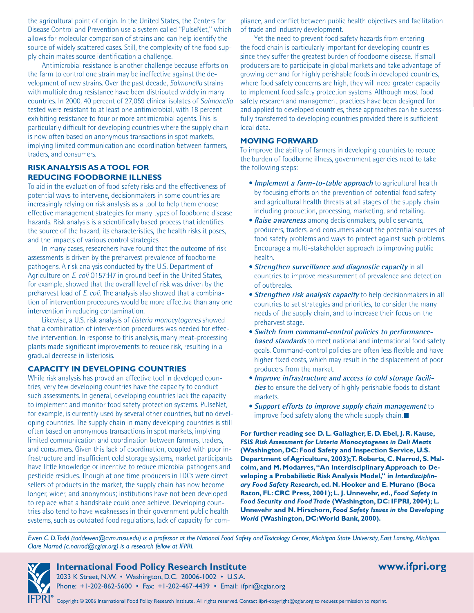the agricultural point of origin. In the United States, the Centers for Disease Control and Prevention use a system called "PulseNet," which allows for molecular comparison of strains and can help identify the source of widely scattered cases. Still, the complexity of the food supply chain makes source identification a challenge.

Antimicrobial resistance is another challenge because efforts on the farm to control one strain may be ineffective against the development of new strains. Over the past decade, *Salmonella* strains with multiple drug resistance have been distributed widely in many countries. In 2000, 40 percent of 27,059 clinical isolates of *Salmonella* tested were resistant to at least one antimicrobial, with 18 percent exhibiting resistance to four or more antimicrobial agents. This is particularly difficult for developing countries where the supply chain is now often based on anonymous transactions in spot markets, implying limited communication and coordination between farmers, traders, and consumers.

#### **RISK ANALYSIS AS ATOOL FOR REDUCING FOODBORNE ILLNESS**

To aid in the evaluation of food safety risks and the effectiveness of potential ways to intervene, decisionmakers in some countries are increasingly relying on risk analysis as a tool to help them choose effective management strategies for many types of foodborne disease hazards. Risk analysis is a scientifically based process that identifies the source of the hazard, its characteristics, the health risks it poses, and the impacts of various control strategies.

In many cases, researchers have found that the outcome of risk assessments is driven by the preharvest prevalence of foodborne pathogens. A risk analysis conducted by the U.S. Department of Agriculture on *E. coli* O157:H7 in ground beef in the United States, for example, showed that the overall level of risk was driven by the preharvest load of *E. coli*. The analysis also showed that a combination of intervention procedures would be more effective than any one intervention in reducing contamination.

Likewise, a U.S. risk analysis of *Listeria monocytogenes* showed that a combination of intervention procedures was needed for effective intervention. In response to this analysis, many meat-processing plants made significant improvements to reduce risk, resulting in a gradual decrease in listeriosis.

#### **CAPACITY IN DEVELOPING COUNTRIES**

While risk analysis has proved an effective tool in developed countries, very few developing countries have the capacity to conduct such assessments. In general, developing countries lack the capacity to implement and monitor food safety protection systems. PulseNet, for example, is currently used by several other countries, but no developing countries. The supply chain in many developing countries is still often based on anonymous transactions in spot markets, implying limited communication and coordination between farmers, traders, and consumers. Given this lack of coordination, coupled with poor infrastructure and insufficient cold storage systems, market participants have little knowledge or incentive to reduce microbial pathogens and pesticide residues. Though at one time producers in LDCs were direct sellers of products in the market, the supply chain has now become longer, wider, and anonymous; institutions have not been developed to replace what a handshake could once achieve. Developing countries also tend to have weaknesses in their government public health systems, such as outdated food regulations, lack of capacity for compliance, and conflict between public health objectives and facilitation of trade and industry development.

Yet the need to prevent food safety hazards from entering the food chain is particularly important for developing countries since they suffer the greatest burden of foodborne disease. If small producers are to participate in global markets and take advantage of growing demand for highly perishable foods in developed countries, where food safety concerns are high, they will need greater capacity to implement food safety protection systems. Although most food safety research and management practices have been designed for and applied to developed countries, these approaches can be successfully transferred to developing countries provided there is sufficient local data.

#### **MOVING FORWARD**

To improve the ability of farmers in developing countries to reduce the burden of foodborne illness, government agencies need to take the following steps:

- **Implement a farm-to-table approach** to agricultural health by focusing efforts on the prevention of potential food safety and agricultural health threats at all stages of the supply chain including production, processing, marketing, and retailing.
- **Raise awareness** among decisionmakers, public servants, producers, traders, and consumers about the potential sources of food safety problems and ways to protect against such problems. Encourage a multi-stakeholder approach to improving public health.
- **Strengthen surveillance and diagnostic capacity in all** countries to improve measurement of prevalence and detection of outbreaks.
- **Strengthen risk analysis capacity** to help decisionmakers in all countries to set strategies and priorities, to consider the many needs of the supply chain, and to increase their focus on the preharvest stage.
- **Switch from command-control policies to performance-• based standards** to meet national and international food safety goals. Command-control policies are often less flexible and have higher fixed costs, which may result in the displacement of poor producers from the market.
- **Improve infrastructure and access to cold storage facili-• ties** to ensure the delivery of highly perishable foods to distant markets.
- **Support efforts to improve supply chain management** to improve food safety along the whole supply chain.■

**For further reading see D. L. Gallagher, E. D. Ebel, J. R. Kause,**  *FSIS Risk Assessment for Listeria Monocytogenes in Deli Meats*  **(Washington, DC: Food Safety and Inspection Service, U.S. Department of Agriculture, 2003); T. Roberts, C. Narrod, S. Malcolm, and M. Modarres, "An Interdisciplinary Approach to Developing a Probabilistic Risk Analysis Model," in** *Interdisciplinary Food Safety Research***, ed. N. Hooker and E. Murano (Boca Raton, FL: CRC Press, 2001); L. J. Unnevehr, ed.,** *Food Safety in Food Security and Food Trade* **(Washington, DC: IFPRI, 2004); L. Unnevehr and N. Hirschorn,** *Food Safety Issues in the Developing World* **(Washington, DC: World Bank, 2000).**

*Ewen C. D. Todd (toddewen@cvm.msu.edu) is a professor at the National Food Safety and Toxicology Center, Michigan State University, East Lansing, Michigan. Clare Narrod (c.narrod@cgiar.org) is a research fellow at IFPRI.*



### **International Food Policy Research Institute www.ifpri.org**

2033 K Street, N.W. • Washington, D.C. 20006-1002 • U.S.A. Phone: +1-202-862-5600 • Fax: +1-202-467-4439 • Email: ifpri@cgiar.org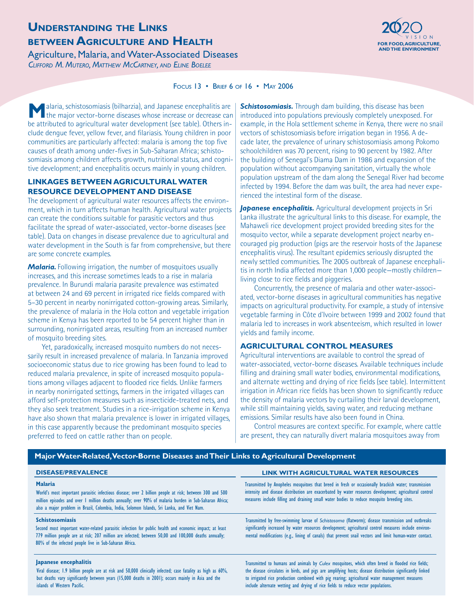# **UNDERSTANDING THE LINKS BETWEEN AGRICULTURE AND HEALTH FOR FOOD, AGRICULTURE AND HEALTH**

Agriculture, Malaria, and Water-Associated Diseases *CLIFFORD M. MUTERO, MATTHEW MCCARTNEY, AND ELINE BOELEE*



#### FOCUS 13 • BRIEF 6 OF 16 • MAY 2006

**Malaria, schistosomiasis (bilharzia), and Japanese encephalitis are** the major vector-borne diseases whose increase or decrease can be attributed to agricultural water development (see table). Others include dengue fever, yellow fever, and filariasis. Young children in poor communities are particularly affected: malaria is among the top five causes of death among under-fives in Sub-Saharan Africa; schistosomiasis among children affects growth, nutritional status, and cognitive development; and encephalitis occurs mainly in young children.

#### **LINKAGES BETWEEN AGRICULTURAL WATER RESOURCE DEVELOPMENT AND DISEASE**

The development of agricultural water resources affects the environment, which in turn affects human health. Agricultural water projects can create the conditions suitable for parasitic vectors and thus facilitate the spread of water-associated, vector-borne diseases (see table). Data on changes in disease prevalence due to agricultural and water development in the South is far from comprehensive, but there are some concrete examples.

**Malaria.** Following irrigation, the number of mosquitoes usually increases, and this increase sometimes leads to a rise in malaria prevalence. In Burundi malaria parasite prevalence was estimated at between 24 and 69 percent in irrigated rice fields compared with 5–30 percent in nearby nonirrigated cotton-growing areas. Similarly, the prevalence of malaria in the Hola cotton and vegetable irrigation scheme in Kenya has been reported to be 54 percent higher than in surrounding, nonirrigated areas, resulting from an increased number of mosquito breeding sites.

Yet, paradoxically, increased mosquito numbers do not necessarily result in increased prevalence of malaria. In Tanzania improved socioeconomic status due to rice growing has been found to lead to reduced malaria prevalence, in spite of increased mosquito populations among villages adjacent to flooded rice fields. Unlike farmers in nearby nonirrigated settings, farmers in the irrigated villages can afford self-protection measures such as insecticide-treated nets, and they also seek treatment. Studies in a rice-irrigation scheme in Kenya have also shown that malaria prevalence is lower in irrigated villages, in this case apparently because the predominant mosquito species preferred to feed on cattle rather than on people.

islands of Western Pacific.

**Schistosomiasis.** Through dam building, this disease has been introduced into populations previously completely unexposed. For example, in the Hola settlement scheme in Kenya, there were no snail vectors of schistosomiasis before irrigation began in 1956. A decade later, the prevalence of urinary schistosomiasis among Pokomo schoolchildren was 70 percent, rising to 90 percent by 1982. After the building of Senegal's Diama Dam in 1986 and expansion of the population without accompanying sanitation, virtually the whole population upstream of the dam along the Senegal River had become infected by 1994. Before the dam was built, the area had never experienced the intestinal form of the disease.

*Japanese encephalitis.* Agricultural development projects in Sri Lanka illustrate the agricultural links to this disease. For example, the Mahaweli rice development project provided breeding sites for the mosquito vector, while a separate development project nearby encouraged pig production (pigs are the reservoir hosts of the Japanese encephalitis virus). The resultant epidemics seriously disrupted the newly settled communities. The 2005 outbreak of Japanese encephalitis in north India affected more than 1,000 people—mostly children living close to rice fields and piggeries.

Concurrently, the presence of malaria and other water-associated, vector-borne diseases in agricultural communities has negative impacts on agricultural productivity. For example, a study of intensive vegetable farming in Côte d'Ivoire between 1999 and 2002 found that malaria led to increases in work absenteeism, which resulted in lower yields and family income.

#### **AGRICULTURAL CONTROL MEASURES**

include alternate wetting and drying of rice fields to reduce vector populations.

Agricultural interventions are available to control the spread of water-associated, vector-borne diseases. Available techniques include filling and draining small water bodies, environmental modifications, and alternate wetting and drying of rice fields (see table). Intermittent irrigation in African rice fields has been shown to significantly reduce the density of malaria vectors by curtailing their larval development, while still maintaining yields, saving water, and reducing methane emissions. Similar results have also been found in China.

Control measures are context specific. For example, where cattle are present, they can naturally divert malaria mosquitoes away from

#### **Major Water-Related, Vector-Borne Diseases and Their Links to Agricultural Development**

| <b>DISEASE/PREVALENCE</b>                                                                                                                                                                                                                                                                                                         | <b>LINK WITH AGRICULTURAL WATER RESOURCES</b>                                                                                                                                                                                                                                                                          |
|-----------------------------------------------------------------------------------------------------------------------------------------------------------------------------------------------------------------------------------------------------------------------------------------------------------------------------------|------------------------------------------------------------------------------------------------------------------------------------------------------------------------------------------------------------------------------------------------------------------------------------------------------------------------|
| <b>Malaria</b><br>World's most important parasitic infectious disease; over 2 billion people at risk; between 300 and 500<br>million episodes and over I million deaths annually; over 90% of malaria burden in Sub-Saharan Africa;<br>also a major problem in Brazil, Colombia, India, Solomon Islands, Sri Lanka, and Viet Nam. | Transmitted by Anopheles mosquitoes that breed in fresh or occasionally brackish water; transmission<br>intensity and disease distribution are exacerbated by water resources development; agricultural control<br>measures include filling and draining small water bodies to reduce mosquito breeding sites.         |
| <b>Schistosomiasis</b><br>Second most important water-related parasitic infection for public health and economic impact; at least<br>779 million people are at risk; 207 million are infected; between 50,00 and 100,000 deaths annually;<br>80% of the infected people live in Sub-Saharan Africa.                               | Transmitted by free-swimming larvae of Schistosoma (flatworm); disease transmission and outbreaks<br>significantly increased by water resources development; agricultural control measures include environ-<br>mental modifications (e.g., lining of canals) that prevent snail vectors and limit human-water contact. |
| Japanese encephalitis<br>Viral disease; 1.9 billion people are at risk and 50,000 clinically infected; case fatality as high as 60%,<br>but deaths vary significantly between years (15,000 deaths in 2001); occurs mainly in Asia and the                                                                                        | Transmitted to humans and animals by Culex mosquitoes, which often breed in flooded rice fields;<br>the disease circulates in birds, and pigs are amplifying hosts; disease distribution significantly linked<br>to irrigated rice production combined with pig rearing; agricultural water management measures        |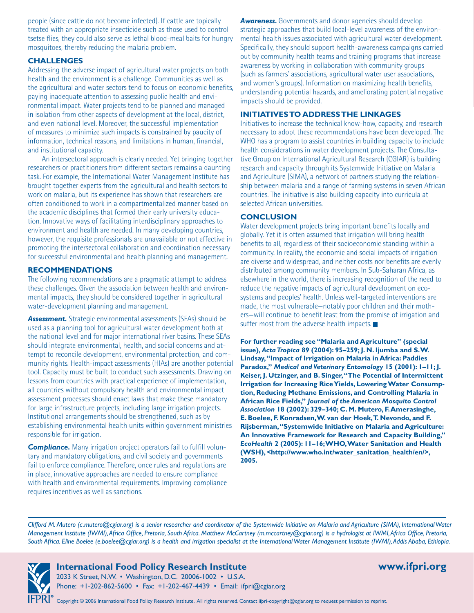people (since cattle do not become infected). If cattle are topically treated with an appropriate insecticide such as those used to control tsetse flies, they could also serve as lethal blood-meal baits for hungry mosquitoes, thereby reducing the malaria problem.

#### **CHALLENGES**

Addressing the adverse impact of agricultural water projects on both health and the environment is a challenge. Communities as well as the agricultural and water sectors tend to focus on economic benefits, paying inadequate attention to assessing public health and environmental impact. Water projects tend to be planned and managed in isolation from other aspects of development at the local, district, and even national level. Moreover, the successful implementation of measures to minimize such impacts is constrained by paucity of information, technical reasons, and limitations in human, financial, and institutional capacity.

An intersectoral approach is clearly needed. Yet bringing together researchers or practitioners from different sectors remains a daunting task. For example, the International Water Management Institute has brought together experts from the agricultural and health sectors to work on malaria, but its experience has shown that researchers are often conditioned to work in a compartmentalized manner based on the academic disciplines that formed their early university education. Innovative ways of facilitating interdisciplinary approaches to environment and health are needed. In many developing countries, however, the requisite professionals are unavailable or not effective in promoting the intersectoral collaboration and coordination necessary for successful environmental and health planning and management.

#### **RECOMMENDATIONS**

The following recommendations are a pragmatic attempt to address these challenges. Given the association between health and environmental impacts, they should be considered together in agricultural water-development planning and management.

*Assessment.* Strategic environmental assessments (SEAs) should be used as a planning tool for agricultural water development both at the national level and for major international river basins. These SEAs should integrate environmental, health, and social concerns and attempt to reconcile development, environmental protection, and community rights. Health-impact assessments (HIAs) are another potential tool. Capacity must be built to conduct such assessments. Drawing on lessons from countries with practical experience of implementation, all countries without compulsory health and environmental impact assessment processes should enact laws that make these mandatory for large infrastructure projects, including large irrigation projects. Institutional arrangements should be strengthened, such as by establishing environmental health units within government ministries responsible for irrigation.

*Compliance.* Many irrigation project operators fail to fulfill voluntary and mandatory obligations, and civil society and governments fail to enforce compliance. Therefore, once rules and regulations are in place, innovative approaches are needed to ensure compliance with health and environmental requirements. Improving compliance requires incentives as well as sanctions.

**Awareness.** Governments and donor agencies should develop strategic approaches that build local-level awareness of the environmental health issues associated with agricultural water development. Specifically, they should support health-awareness campaigns carried out by community health teams and training programs that increase awareness by working in collaboration with community groups (such as farmers' associations, agricultural water user associations, and women's groups). Information on maximizing health benefits, understanding potential hazards, and ameliorating potential negative impacts should be provided.

#### **INITIATIVES TO ADDRESS THE LINKAGES**

Initiatives to increase the technical know-how, capacity, and research necessary to adopt these recommendations have been developed. The WHO has a program to assist countries in building capacity to include health considerations in water development projects. The Consultative Group on International Agricultural Research (CGIAR) is building research and capacity through its Systemwide Initiative on Malaria and Agriculture (SIMA), a network of partners studying the relationship between malaria and a range of farming systems in seven African countries. The initiative is also building capacity into curricula at selected African universities.

### **CONCLUSION**

Water development projects bring important benefits locally and globally. Yet it is often assumed that irrigation will bring health benefits to all, regardless of their socioeconomic standing within a community. In reality, the economic and social impacts of irrigation are diverse and widespread, and neither costs nor benefits are evenly distributed among community members. In Sub-Saharan Africa, as elsewhere in the world, there is increasing recognition of the need to reduce the negative impacts of agricultural development on ecosystems and peoples' health. Unless well-targeted interventions are made, the most vulnerable—notably poor children and their mothers—will continue to benefit least from the promise of irrigation and suffer most from the adverse health impacts.

**For further reading see "Malaria and Agriculture" (special issue),** *Acta Tropica* **89 (2004): 95–259; J. N. Ijumba and S. W. Lindsay, "Impact of Irrigation on Malaria in Africa: Paddies Paradox,"** *Medical and Veterinary Entomology* **15 (2001): 1–11; J. Keiser, J. Utzinger, and B. Singer, "The Potential of Intermittent Irrigation for Increasing RiceYields, Lowering Water Consumption, Reducing Methane Emissions, and Controlling Malaria in African Rice Fields,"** *Journal of the American Mosquito Control Association* **18 (2002): 329–340; C. M. Mutero, F. Amerasinghe, E. Boelee, F. Konradsen, W. van der Hoek, T. Nevondo, and F. Rijsberman, "Systemwide Initiative on Malaria and Agriculture: An Innovative Framework for Research and Capacity Building,"**  *EcoHealth* **2 (2005): 11–16; WHO, Water Sanitation and Health (WSH), <http://www.who.int/water\_sanitation\_health/en/>, 2005.**

*Clifford M. Mutero (c.mutero@cgiar.org) is a senior researcher and coordinator of the Systemwide Initiative on Malaria and Agriculture (SIMA), International Water Management Institute (IWMI), Africa Office, Pretoria, South Africa. Matthew McCartney (m.mccartney@cgiar.org) is a hydrologist at IWMI, Africa Office, Pretoria, South Africa. Eline Boelee (e.boelee@cgiar.org) is a health and irrigation specialist at the International Water Management Institute (IWMI), Addis Ababa, Ethiopia.*



**International Food Policy Research Institute www.ifpri.org** 

2033 K Street, N.W. • Washington, D.C. 20006-1002 • U.S.A. Phone: +1-202-862-5600 • Fax: +1-202-467-4439 • Email: ifpri@cgiar.org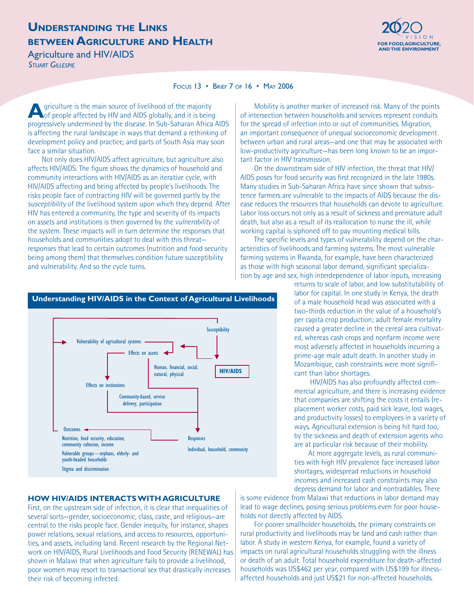### **UNDERSTANDING THE LINKS BETWEEN AGRICULTURE AND HEALTH FOR FOOD, AGRICULTURE,**

Agriculture and HIV/AIDS

*STUART GILLESPIE*



#### FOCUS 13 • BRIEF 7 OF 16 • MAY 2006

**A**griculture is the main source of livelihood of the majority of people affected by HIV and AIDS globally, and it is being progressively undermined by the disease. In Sub-Saharan Africa AIDS is affecting the rural landscape in ways that demand a rethinking of development policy and practice, and parts of South Asia may soon face a similar situation.

Not only does HIV/AIDS affect agriculture, but agriculture also affects HIV/AIDS. The figure shows the dynamics of household and community interactions with HIV/AIDS as an iterative cycle, with HIV/AIDS affecting and being affected by people's livelihoods. The risks people face of contracting HIV will be governed partly by the *susceptibility* of the livelihood system upon which they depend. After HIV has entered a community, the type and severity of its impacts on assets and institutions is then governed by the *vulnerability* of the system. These impacts will in turn determine the responses that households and communities adopt to deal with this threat responses that lead to certain outcomes (nutrition and food security being among them) that themselves condition future susceptibility and vulnerability. And so the cycle turns.

Mobility is another marker of increased risk. Many of the points of intersection between households and services represent conduits for the spread of infection into or out of communities. Migration, an important consequence of unequal socioeconomic development between urban and rural areas—and one that may be associated with low-productivity agriculture—has been long known to be an important factor in HIV transmission.

On the downstream side of HIV infection, the threat that HIV/ AIDS poses for food security was first recognized in the late 1980s. Many studies in Sub-Saharan Africa have since shown that subsistence farmers are vulnerable to the impacts of AIDS because the disease reduces the resources that households can devote to agriculture. Labor loss occurs not only as a result of sickness and premature adult death, but also as a result of its reallocation to nurse the ill, while working capital is siphoned off to pay mounting medical bills.

The specific levels and types of vulnerability depend on the characteristics of livelihoods and farming systems. The most vulnerable farming systems in Rwanda, for example, have been characterized as those with high seasonal labor demand, significant specialization by age and sex, high interdependence of labor inputs, increasing

> returns to scale of labor, and low substitutability of labor for capital. In one study in Kenya, the death of a male household head was associated with a two-thirds reduction in the value of a household's per capita crop production; adult female mortality caused a greater decline in the cereal area cultivated, whereas cash crops and nonfarm income were most adversely affected in households incurring a prime-age male adult death. In another study in Mozambique, cash constraints were more significant than labor shortages.

 HIV/AIDS has also profoundly affected commercial agriculture, and there is increasing evidence that companies are shifting the costs it entails (replacement worker costs, paid sick leave, lost wages, and productivity losses) to employees in a variety of ways. Agricultural extension is being hit hard too, by the sickness and death of extension agents who are at particular risk because of their mobility.

At more aggregate levels, as rural communities with high HIV prevalence face increased labor shortages, widespread reductions in household incomes and increased cash constraints may also depress demand for labor and nontradables. There

is some evidence from Malawi that reductions in labor demand may lead to wage declines, posing serious problems even for poor households not directly affected by AIDS.

For poorer smallholder households, the primary constraints on rural productivity and livelihoods may be land and cash rather than labor. A study in western Kenya, for example, found a variety of impacts on rural agricultural households struggling with the illness or death of an adult. Total household expenditure for death-affected households was US\$462 per year, compared with US\$199 for illnessaffected households and just US\$21 for non-affected households.

#### **Understanding HIV/AIDS in the Context of Agricultural Livelihoods**



#### **HOW HIV/AIDS INTERACTS WITH AGRICULTURE**

First, on the upstream side of infection, it is clear that inequalities of several sorts—gender, socioeconomic, class, caste, and religious—are central to the risks people face. Gender inequity, for instance, shapes power relations, sexual relations, and access to resources, opportunities, and assets, including land. Recent research by the Regional Network on HIV/AIDS, Rural Livelihoods and Food Security (RENEWAL) has shown in Malawi that when agriculture fails to provide a livelihood, poor women may resort to transactional sex that drastically increases their risk of becoming infected.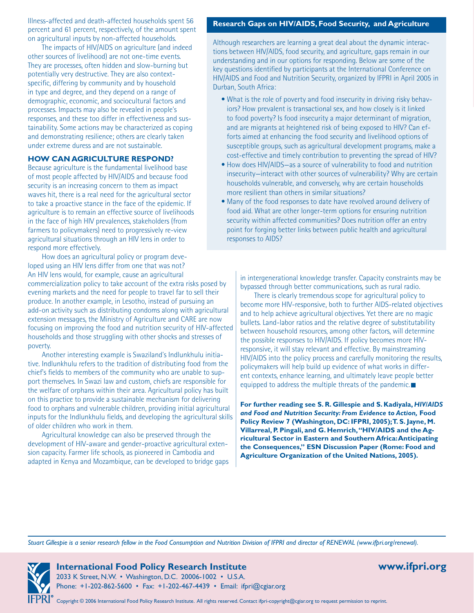Illness-affected and death-affected households spent 56 percent and 61 percent, respectively, of the amount spent on agricultural inputs by non-affected households.

The impacts of HIV/AIDS on agriculture (and indeed other sources of livelihood) are not one-time events. They are processes, often hidden and slow-burning but potentially very destructive. They are also contextspecific, differing by community and by household in type and degree, and they depend on a range of demographic, economic, and sociocultural factors and processes. Impacts may also be revealed in people's responses, and these too differ in effectiveness and sustainability. Some actions may be characterized as coping and demonstrating resilience; others are clearly taken under extreme duress and are not sustainable.

#### **HOW CAN AGRICULTURE RESPOND?**

Because agriculture is the fundamental livelihood base of most people affected by HIV/AIDS and because food security is an increasing concern to them as impact waves hit, there is a real need for the agricultural sector to take a proactive stance in the face of the epidemic. If agriculture is to remain an effective source of livelihoods in the face of high HIV prevalences, stakeholders (from farmers to policymakers) need to progressively re-view agricultural situations through an HIV lens in order to respond more effectively.

How does an agricultural policy or program developed using an HIV lens differ from one that was not? An HIV lens would, for example, cause an agricultural commercialization policy to take account of the extra risks posed by evening markets and the need for people to travel far to sell their produce. In another example, in Lesotho, instead of pursuing an add-on activity such as distributing condoms along with agricultural extension messages, the Ministry of Agriculture and CARE are now focusing on improving the food and nutrition security of HIV-affected households and those struggling with other shocks and stresses of poverty.

Another interesting example is Swaziland's Indlunkhulu initiative. Indlunkhulu refers to the tradition of distributing food from the chief's fields to members of the community who are unable to support themselves. In Swazi law and custom, chiefs are responsible for the welfare of orphans within their area. Agricultural policy has built on this practice to provide a sustainable mechanism for delivering food to orphans and vulnerable children, providing initial agricultural inputs for the Indlunkhulu fields, and developing the agricultural skills of older children who work in them.

Agricultural knowledge can also be preserved through the development of HIV-aware and gender-proactive agricultural extension capacity. Farmer life schools, as pioneered in Cambodia and adapted in Kenya and Mozambique, can be developed to bridge gaps

#### **Research Gaps on HIV/AIDS, Food Security, and Agriculture**

Although researchers are learning a great deal about the dynamic interactions between HIV/AIDS, food security, and agriculture, gaps remain in our understanding and in our options for responding. Below are some of the key questions identified by participants at the International Conference on HIV/AIDS and Food and Nutrition Security, organized by IFPRI in April 2005 in Durban, South Africa:

- What is the role of poverty and food insecurity in driving risky behaviors? How prevalent is transactional sex, and how closely is it linked to food poverty? Is food insecurity a major determinant of migration, and are migrants at heightened risk of being exposed to HIV? Can efforts aimed at enhancing the food security and livelihood options of susceptible groups, such as agricultural development programs, make a cost-effective and timely contribution to preventing the spread of HIV?
- How does HIV/AIDS-as a source of vulnerability to food and nutrition insecurity—interact with other sources of vulnerability? Why are certain households vulnerable, and conversely, why are certain households more resilient than others in similar situations?
- Many of the food responses to date have revolved around delivery of •food aid. What are other longer-term options for ensuring nutrition security within affected communities? Does nutrition offer an entry point for forging better links between public health and agricultural responses to AIDS?

in intergenerational knowledge transfer. Capacity constraints may be bypassed through better communications, such as rural radio.

There is clearly tremendous scope for agricultural policy to become more HIV-responsive, both to further AIDS-related objectives and to help achieve agricultural objectives. Yet there are no magic bullets. Land-labor ratios and the relative degree of substitutability between household resources, among other factors, will determine the possible responses to HIV/AIDS. If policy becomes more HIVresponsive, it will stay relevant and effective. By mainstreaming HIV/AIDS into the policy process and carefully monitoring the results, policymakers will help build up evidence of what works in different contexts, enhance learning, and ultimately leave people better equipped to address the multiple threats of the pandemic.

**For further reading see S. R. Gillespie and S. Kadiyala,** *HIV/AIDS and Food and Nutrition Security: From Evidence to Action,* **Food Policy Review 7 (Washington, DC: IFPRI, 2005); T. S. Jayne, M. Villarreal, P. Pingali, and G. Hemrich, "HIV/AIDS and the Agricultural Sector in Eastern and Southern Africa: Anticipating the Consequences," ESN Discussion Paper (Rome: Food and Agriculture Organization of the United Nations, 2005).**

*Stuart Gillespie is a senior research fellow in the Food Consumption and Nutrition Division of IFPRI and director of RENEWAL (www.ifpri.org/renewal).*



**International Food Policy Research Institute www.ifpri.org**  2033 K Street, N.W. • Washington, D.C. 20006-1002 • U.S.A. Phone: +1-202-862-5600 • Fax: +1-202-467-4439 • Email: ifpri@cgiar.org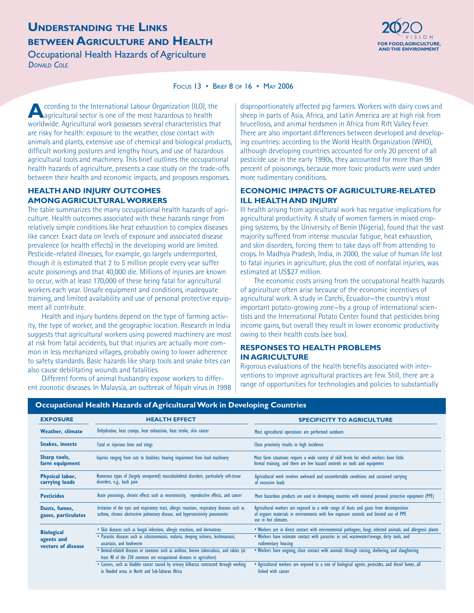## **UNDERSTANDING THE LINKS BETWEEN AGRICULTURE AND HEALTH Experiment and the component of the set of the set of the set of the set of the set of the set of the set of the set of the set of the set of the set of the set of the set of the set of th**

**Occupational Health Hazards of Agriculture** *DONALD COLE*



#### FOCUS 13 • BRIEF 8 OF 16 • MAY 2006

**A**ccording to the International Labour Organization (ILO), the agricultural sector is one of the most hazardous to health worldwide. Agricultural work possesses several characteristics that are risky for health: exposure to the weather, close contact with animals and plants, extensive use of chemical and biological products, difficult working postures and lengthy hours, and use of hazardous agricultural tools and machinery. This brief outlines the occupational health hazards of agriculture, presents a case study on the trade-offs between their health and economic impacts, and proposes responses.

#### **HEALTH AND INJURY OUTCOMES AMONG AGRICULTURAL WORKERS**

The table summarizes the many occupational health hazards of agriculture. Health outcomes associated with these hazards range from relatively simple conditions like heat exhaustion to complex diseases like cancer. Exact data on levels of exposure and associated disease prevalence (or health effects) in the developing world are limited. Pesticide-related illnesses, for example, go largely underreported, though it is estimated that 2 to 5 million people every year suffer acute poisonings and that 40,000 die. Millions of injuries are known to occur, with at least 170,000 of these being fatal for agricultural workers each year. Unsafe equipment and conditions, inadequate training, and limited availability and use of personal protective equipment all contribute.

Health and injury burdens depend on the type of farming activity, the type of worker, and the geographic location. Research in India suggests that agricultural workers using powered machinery are most at risk from fatal accidents, but that injuries are actually more common in less mechanized villages, probably owing to lower adherence to safety standards. Basic hazards like sharp tools and snake bites can also cause debilitating wounds and fatalities.

Different forms of animal husbandry expose workers to different zoonotic diseases. In Malaysia, an outbreak of Nipah virus in 1998 disproportionately affected pig farmers. Workers with dairy cows and sheep in parts of Asia, Africa, and Latin America are at high risk from brucellosis, and animal herdsmen in Africa from Rift Valley Fever. There are also important differences between developed and developing countries: according to the World Health Organization (WHO), although developing countries accounted for only 20 percent of all pesticide use in the early 1990s, they accounted for more than 99 percent of poisonings, because more toxic products were used under more rudimentary conditions.

#### **ECONOMIC IMPACTS OF AGRICULTURE-RELATED ILL HEALTH AND INJURY**

Ill health arising from agricultural work has negative implications for agricultural productivity. A study of women farmers in mixed cropping systems, by the University of Benin (Nigeria), found that the vast majority suffered from intense muscular fatigue, heat exhaustion, and skin disorders, forcing them to take days off from attending to crops. In Madhya Pradesh, India, in 2000, the value of human life lost to fatal injuries in agriculture, plus the cost of nonfatal injuries, was estimated at US\$27 million.

The economic costs arising from the occupational health hazards of agriculture often arise because of the economic incentives of agricultural work. A study in Carchi, Ecuador—the country's most important potato-growing zone—by a group of international scientists and the International Potato Center found that pesticides bring income gains, but overall they result in lower economic productivity owing to their health costs (see box).

#### **RESPONSES TO HEALTH PROBLEMS IN AGRICULTURE**

Rigorous evaluations of the health benefits associated with interventions to improve agricultural practices are few. Still, there are a range of opportunities for technologies and policies to substantially

| <b>EXPOSURE</b>                                       | <b>HEALTH EFFECT</b>                                                                                                                                                                                                                                                                                | <b>SPECIFICITY TO AGRICULTURE</b>                                                                                                                                                                                                                                                                                                      |
|-------------------------------------------------------|-----------------------------------------------------------------------------------------------------------------------------------------------------------------------------------------------------------------------------------------------------------------------------------------------------|----------------------------------------------------------------------------------------------------------------------------------------------------------------------------------------------------------------------------------------------------------------------------------------------------------------------------------------|
| <b>Weather, climate</b>                               | Dehydration, heat cramps, heat exhaustion, heat stroke, skin cancer                                                                                                                                                                                                                                 | Most agricultural operations are performed outdoors                                                                                                                                                                                                                                                                                    |
| <b>Snakes, insects</b>                                | Fatal or injurious bites and stings                                                                                                                                                                                                                                                                 | Close proximity results in high incidence                                                                                                                                                                                                                                                                                              |
| Sharp tools,<br>farm equipment                        | Injuries ranging from cuts to fatalities; hearing impairment from loud machinery                                                                                                                                                                                                                    | Most farm situations require a wide variety of skill levels for which workers have little<br>formal training, and there are few hazard controls on tools and equipment                                                                                                                                                                 |
| Physical labor,<br>carrying loads                     | Numerous types of (largely unreported) musculoskeletal disorders, particularly soft-tissue<br>disorders, e.g., back pain                                                                                                                                                                            | Agricultural work involves awkward and uncomfortable conditions and sustained carrying<br>of excessive loads                                                                                                                                                                                                                           |
| <b>Pesticides</b>                                     | Acute poisonings, chronic effects such as neurotoxicity, reproductive effects, and cancer                                                                                                                                                                                                           | More hazardous products are used in developing countries with minimal personal protective equipment (PPE)                                                                                                                                                                                                                              |
| Dusts, fumes,<br>gases, particulates                  | Irritation of the eyes and respiratory tract, allergic reactions, respiratory diseases such as<br>asthma, chronic obstructive pulmonary disease, and hypersensitivity pneumonitis                                                                                                                   | Agricultural workers are exposed to a wide range of dusts and gases from decomposition<br>of organic materials in environments with few exposure controls and limited use of PPE<br>use in hot climates.                                                                                                                               |
| <b>Biological</b><br>agents and<br>vectors of disease | • Skin diseases such as fungal infections, allergic reactions, and dermatoses<br>· Parasitic diseases such as schistosomiasis, malaria, sleeping sickness, leishmaniasis,<br>ascariasis, and hookworm<br>. Animal-related diseases or zoonoses such as anthrax, bovine tuberculosis, and rabies (at | . Workers are in direct contact with environmental pathogens, fungi, infected animals, and allergenic plants<br>. Workers have intimate contact with parasites in soil, wastewater/sewage, dirty tools, and<br>rudimentary housing<br>. Workers have ongoing, close contact with animals through raising, sheltering, and slaughtering |
|                                                       | least 40 of the 250 zoonoses are occupational diseases in agriculture)<br>• Cancers, such as bladder cancer caused by urinary bilharzia contracted through working<br>in flooded areas in North and Sub-Saharan Africa                                                                              | • Agricultural workers are exposed to a mix of biological agents, pesticides, and diesel fumes, all<br>linked with cancer                                                                                                                                                                                                              |

### **Occupational Health Hazards of Agricultural Work in Developing Countries**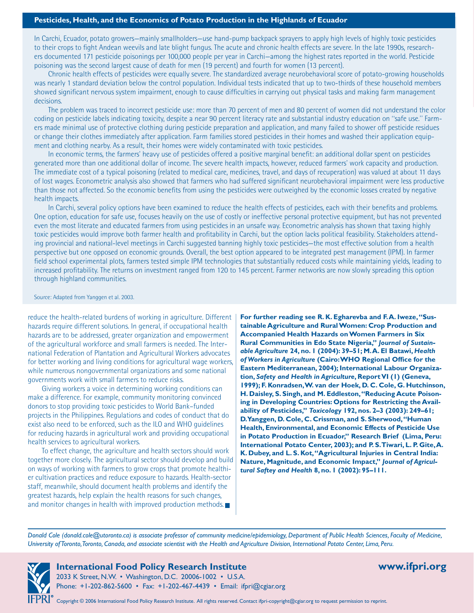In Carchi, Ecuador, potato growers—mainly smallholders—use hand-pump backpack sprayers to apply high levels of highly toxic pesticides to their crops to fight Andean weevils and late blight fungus. The acute and chronic health effects are severe. In the late 1990s, researchers documented 171 pesticide poisonings per 100,000 people per year in Carchi—among the highest rates reported in the world. Pesticide poisoning was the second largest cause of death for men (19 percent) and fourth for women (13 percent).

Chronic health effects of pesticides were equally severe. The standardized average neurobehavioral score of potato-growing households was nearly 1 standard deviation below the control population. Individual tests indicated that up to two-thirds of these household members showed significant nervous system impairment, enough to cause difficulties in carrying out physical tasks and making farm management decisions.

The problem was traced to incorrect pesticide use: more than 70 percent of men and 80 percent of women did not understand the color coding on pesticide labels indicating toxicity, despite a near 90 percent literacy rate and substantial industry education on "safe use." Farmers made minimal use of protective clothing during pesticide preparation and application, and many failed to shower off pesticide residues or change their clothes immediately after application. Farm families stored pesticides in their homes and washed their application equipment and clothing nearby. As a result, their homes were widely contaminated with toxic pesticides.

In economic terms, the farmers' heavy use of pesticides offered a positive marginal benefit: an additional dollar spent on pesticides generated more than one additional dollar of income. The severe health impacts, however, reduced farmers' work capacity and production. The immediate cost of a typical poisoning (related to medical care, medicines, travel, and days of recuperation) was valued at about 11 days of lost wages. Econometric analysis also showed that farmers who had suffered significant neurobehavioral impairment were less productive than those not affected. So the economic benefits from using the pesticides were outweighed by the economic losses created by negative health impacts.

In Carchi, several policy options have been examined to reduce the health effects of pesticides, each with their benefits and problems. One option, education for safe use, focuses heavily on the use of costly or ineffective personal protective equipment, but has not prevented even the most literate and educated farmers from using pesticides in an unsafe way. Econometric analysis has shown that taxing highly toxic pesticides would improve both farmer health and profitability in Carchi, but the option lacks political feasibility. Stakeholders attending provincial and national-level meetings in Carchi suggested banning highly toxic pesticides—the most effective solution from a health perspective but one opposed on economic grounds. Overall, the best option appeared to be integrated pest management (IPM). In farmer field school experimental plots, farmers tested simple IPM technologies that substantially reduced costs while maintaining yields, leading to increased profitability. The returns on investment ranged from 120 to 145 percent. Farmer networks are now slowly spreading this option through highland communities.

Source: Adapted from Yanggen et al. 2003.

reduce the health-related burdens of working in agriculture. Different hazards require different solutions. In general, if occupational health hazards are to be addressed, greater organization and empowerment of the agricultural workforce and small farmers is needed. The International Federation of Plantation and Agricultural Workers advocates for better working and living conditions for agricultural wage workers, while numerous nongovernmental organizations and some national governments work with small farmers to reduce risks.

Giving workers a voice in determining working conditions can make a difference. For example, community monitoring convinced donors to stop providing toxic pesticides to World Bank–funded projects in the Philippines. Regulations and codes of conduct that do exist also need to be enforced, such as the ILO and WHO guidelines for reducing hazards in agricultural work and providing occupational health services to agricultural workers.

To effect change, the agriculture and health sectors should work together more closely. The agricultural sector should develop and build on ways of working with farmers to grow crops that promote healthier cultivation practices and reduce exposure to hazards. Health-sector staff, meanwhile, should document health problems and identify the greatest hazards, help explain the health reasons for such changes, and monitor changes in health with improved production methods.

**For further reading see R. K. Egharevba and F. A. Iweze, "Sustainable Agriculture and Rural Women: Crop Production and Accompanied Health Hazards on Women Farmers in Six Rural Communities in Edo State Nigeria,"** *Journal of Sustainable Agriculture* **24, no. 1 (2004): 39–51; M. A. El Batawi,** *Health of Workers in Agriculture* **(Cairo: WHO Regional Office for the Eastern Mediterranean, 2004); International Labour Organization,** *Safety and Health in Agriculture***, Report VI (1) (Geneva, 1999); F. Konradsen, W. van der Hoek, D. C. Cole, G. Hutchinson, H. Daisley, S. Singh, and M. Eddleston, "Reducing Acute Poisoning in Developing Countries: Options for Restricting the Availability of Pesticides,"** *Toxicology* **192, nos. 2–3 (2003): 249–61; D. Yanggen, D. Cole, C. Crissman, and S. Sherwood, "Human Health, Environmental, and Economic Effects of Pesticide Use in Potato Production in Ecuador," Research Brief (Lima, Peru: International Potato Center, 2003); and P. S. Tiwari, L. P. Gite, A. K. Dubey, and L. S. Kot, "Agricultural Injuries in Central India: Nature, Magnitude, and Economic Impact,"** *Journal of Agricultural Saftey and Health* **8, no. 1 (2002): 95–111.**

*Donald Cole (donald.cole@utoronto.ca) is associate professor of community medicine/epidemiology, Department of Public Health Sciences, Faculty of Medicine, University of Toronto, Toronto, Canada, and associate scientist with the Health and Agriculture Division, International Potato Center, Lima, Peru.*

### **International Food Policy Research Institute www.ifpri.org**

2033 K Street, N.W. • Washington, D.C. 20006-1002 • U.S.A. Phone: +1-202-862-5600 • Fax: +1-202-467-4439 • Email: ifpri@cgiar.org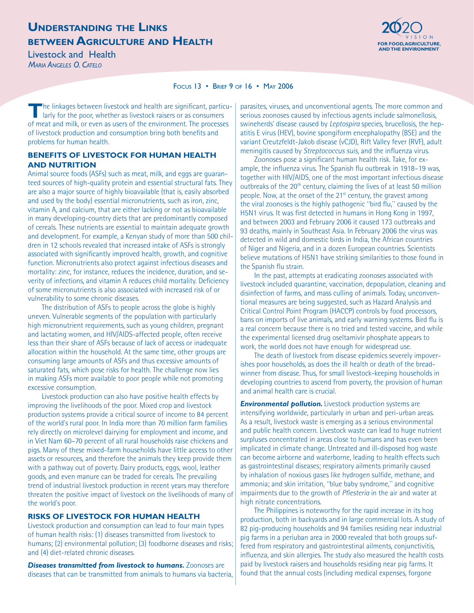### **UNDERSTANDING THE LINKS BETWEEN AGRICULTURE AND HEALTH Experiment and the component of the set of the set of the set of the set of the set of the set of the set of the set of the set of the set of the set of the set of the set of the set of th**

**Livestock and Health** *MARIA ANGELES O. CATELO*



#### FOCUS 13 • BRIEF 9 OF 16 • MAY 2006

**T**he linkages between livestock and health are significant, particularly for the poor, whether as livestock raisers or as consumers of meat and milk, or even as users of the environment. The processes of livestock production and consumption bring both benefits and problems for human health.

#### **BENEFITS OF LIVESTOCK FOR HUMAN HEALTH AND NUTRITION**

Animal source foods (ASFs) such as meat, milk, and eggs are guaranteed sources of high-quality protein and essential structural fats. They are also a major source of highly bioavailable (that is, easily absorbed and used by the body) essential micronutrients, such as iron, zinc, vitamin A, and calcium, that are either lacking or not as bioavailable in many developing-country diets that are predominantly composed of cereals. These nutrients are essential to maintain adequate growth and development. For example, a Kenyan study of more than 500 children in 12 schools revealed that increased intake of ASFs is strongly associated with significantly improved health, growth, and cognitive function. Micronutrients also protect against infectious diseases and mortality: zinc, for instance, reduces the incidence, duration, and severity of infections, and vitamin A reduces child mortality. Deficiency of some micronutrients is also associated with increased risk of or vulnerability to some chronic diseases.

The distribution of ASFs to people across the globe is highly uneven. Vulnerable segments of the population with particularly high micronutrient requirements, such as young children, pregnant and lactating women, and HIV/AIDS-affected people, often receive less than their share of ASFs because of lack of access or inadequate allocation within the household. At the same time, other groups are consuming large amounts of ASFs and thus excessive amounts of saturated fats, which pose risks for health. The challenge now lies in making ASFs more available to poor people while not promoting excessive consumption.

Livestock production can also have positive health effects by improving the livelihoods of the poor. Mixed crop and livestock production systems provide a critical source of income to 84 percent of the world's rural poor. In India more than 70 million farm families rely directly on microlevel dairying for employment and income, and in Viet Nam 60–70 percent of all rural households raise chickens and pigs. Many of these mixed-farm households have little access to other assets or resources, and therefore the animals they keep provide them with a pathway out of poverty. Dairy products, eggs, wool, leather goods, and even manure can be traded for cereals. The prevailing trend of industrial livestock production in recent years may therefore threaten the positive impact of livestock on the livelihoods of many of the world's poor.

#### **RISKS OF LIVESTOCK FOR HUMAN HEALTH**

Livestock production and consumption can lead to four main types of human health risks: (1) diseases transmitted from livestock to humans; (2) environmental pollution; (3) foodborne diseases and risks; and (4) diet-related chronic diseases.

*Diseases transmitted from livestock to humans.* Zoonoses are diseases that can be transmitted from animals to humans via bacteria, parasites, viruses, and unconventional agents. The more common and serious zoonoses caused by infectious agents include salmonellosis, swineherds' disease caused by *Leptospira* species, brucellosis, the hepatitis E virus (HEV), bovine spongiform encephalopathy (BSE) and the variant Creutzfeldt-Jakob disease (vCJD), Rift Valley fever (RVF), adult meningitis caused by *Streptococcus suis*, and the influenza virus.

Zoonoses pose a significant human health risk. Take, for example, the influenza virus. The Spanish flu outbreak in 1918–19 was, together with HIV/AIDS, one of the most important infectious disease outbreaks of the 20<sup>th</sup> century, claiming the lives of at least 50 million people. Now, at the onset of the 21<sup>st</sup> century, the gravest among the viral zoonoses is the highly pathogenic "bird flu," caused by the H5N1 virus. It was first detected in humans in Hong Kong in 1997, and between 2003 and February 2006 it caused 173 outbreaks and 93 deaths, mainly in Southeast Asia. In February 2006 the virus was detected in wild and domestic birds in India, the African countries of Niger and Nigeria, and in a dozen European countries. Scientists believe mutations of H5N1 have striking similarities to those found in the Spanish flu strain.

In the past, attempts at eradicating zoonoses associated with livestock included quarantine, vaccination, depopulation, cleaning and disinfection of farms, and mass culling of animals. Today, unconventional measures are being suggested, such as Hazard Analysis and Critical Control Point Program (HACCP) controls by food processors, bans on imports of live animals, and early warning systems. Bird flu is a real concern because there is no tried and tested vaccine, and while the experimental licensed drug oseltamivir phosphate appears to work, the world does not have enough for widespread use.

The death of livestock from disease epidemics severely impoverishes poor households, as does the ill health or death of the breadwinner from disease. Thus, for small livestock-keeping households in developing countries to ascend from poverty, the provision of human and animal health care is crucial.

**Environmental pollution.** Livestock production systems are intensifying worldwide, particularly in urban and peri-urban areas. As a result, livestock waste is emerging as a serious environmental and public health concern. Livestock waste can lead to huge nutrient surpluses concentrated in areas close to humans and has even been implicated in climate change. Untreated and ill-disposed hog waste can become airborne and waterborne, leading to health effects such as gastrointestinal diseases; respiratory ailments primarily caused by inhalation of noxious gases like hydrogen sulfide, methane, and ammonia; and skin irritation, "blue baby syndrome," and cognitive impairments due to the growth of *Pfiesteria* in the air and water at high nitrate concentrations.

The Philippines is noteworthy for the rapid increase in its hog production, both in backyards and in large commercial lots. A study of 82 pig-producing households and 94 families residing near industrial pig farms in a periuban area in 2000 revealed that both groups suffered from respiratory and gastrointestinal ailments, conjunctivitis, influenza, and skin allergies. The study also measured the health costs paid by livestock raisers and households residing near pig farms. It found that the annual costs (including medical expenses, forgone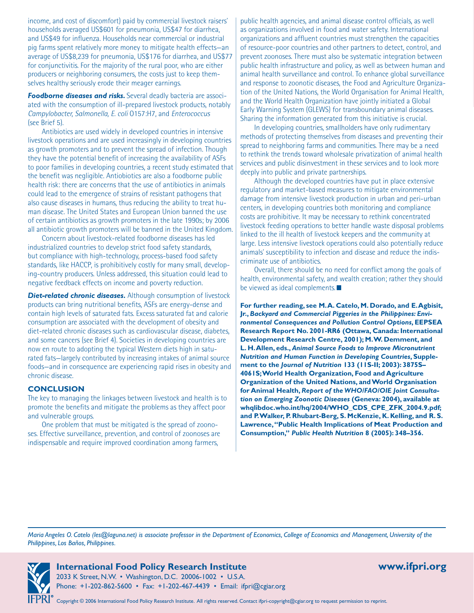income, and cost of discomfort) paid by commercial livestock raisers' households averaged US\$601 for pneumonia, US\$47 for diarrhea, and US\$49 for influenza. Households near commercial or industrial pig farms spent relatively more money to mitigate health effects—an average of US\$8,239 for pneumonia, US\$176 for diarrhea, and US\$77 for conjunctivitis. For the majority of the rural poor, who are either producers or neighboring consumers, the costs just to keep themselves healthy seriously erode their meager earnings.

**Foodborne diseases and risks.** Several deadly bacteria are associated with the consumption of ill-prepared livestock products, notably *Campylobacter, Salmonella, E. coli* O157:H7, and *Enterococcus*  (see Brief 5).

Antibiotics are used widely in developed countries in intensive livestock operations and are used increasingly in developing countries as growth promoters and to prevent the spread of infection. Though they have the potential benefit of increasing the availability of ASFs to poor families in developing countries, a recent study estimated that the benefit was negligible. Antiobiotics are also a foodborne public health risk: there are concerns that the use of antibiotics in animals could lead to the emergence of strains of resistant pathogens that also cause diseases in humans, thus reducing the ability to treat human disease. The United States and European Union banned the use of certain antibiotics as growth promoters in the late 1990s; by 2006 all antibiotic growth promoters will be banned in the United Kingdom.

Concern about livestock-related foodborne diseases has led industrialized countries to develop strict food safety standards, but compliance with high-technology, process-based food safety standards, like HACCP, is prohibitively costly for many small, developing-country producers. Unless addressed, this situation could lead to negative feedback effects on income and poverty reduction.

*Diet-related chronic diseases.* Although consumption of livestock products can bring nutritional benefits, ASFs are energy-dense and contain high levels of saturated fats. Excess saturated fat and calorie consumption are associated with the development of obesity and diet-related chronic diseases such as cardiovascular disease, diabetes, and some cancers (see Brief 4). Societies in developing countries are now en route to adopting the typical Western diets high in saturated fats—largely contributed by increasing intakes of animal source foods—and in consequence are experiencing rapid rises in obesity and chronic disease.

#### **CONCLUSION**

The key to managing the linkages between livestock and health is to promote the benefits and mitigate the problems as they affect poor and vulnerable groups.

One problem that must be mitigated is the spread of zoonoses. Effective surveillance, prevention, and control of zoonoses are indispensable and require improved coordination among farmers,

public health agencies, and animal disease control officials, as well as organizations involved in food and water safety. International organizations and affluent countries must strengthen the capacities of resource-poor countries and other partners to detect, control, and prevent zoonoses. There must also be systematic integration between public health infrastructure and policy, as well as between human and animal health surveillance and control. To enhance global surveillance and response to zoonotic diseases, the Food and Agriculture Organization of the United Nations, the World Organisation for Animal Health, and the World Health Organization have jointly initiated a Global Early Warning System (GLEWS) for transboundary animal diseases. Sharing the information generated from this initiative is crucial.

In developing countries, smallholders have only rudimentary methods of protecting themselves from diseases and preventing their spread to neighboring farms and communities. There may be a need to rethink the trends toward wholesale privatization of animal health services and public disinvestment in these services and to look more deeply into public and private partnerships.

Although the developed countries have put in place extensive regulatory and market-based measures to mitigate environmental damage from intensive livestock production in urban and peri-urban centers, in developing countries both monitoring and compliance costs are prohibitive. It may be necessary to rethink concentrated livestock feeding operations to better handle waste disposal problems linked to the ill health of livestock keepers and the community at large. Less intensive livestock operations could also potentially reduce animals' susceptibility to infection and disease and reduce the indiscriminate use of antibiotics.

Overall, there should be no need for conflict among the goals of health, environmental safety, and wealth creation; rather they should be viewed as ideal complements.

**For further reading, see M. A. Catelo, M. Dorado, and E. Agbisit, Jr.,** *Backyard and Commercial Piggeries in the Philippines: Environmental Consequences and Pollution Control Options***, EEPSEA Research Report No. 2001-RR6 (Ottawa, Canada: International Development Research Centre, 2001); M. W. Demment, and L. H. Allen, eds.,** *Animal Source Foods to Improve Micronutrient Nutrition and Human Function in Developing Countries***, Supplement to the** *Journal of Nutrition* **133 (11S-II; 2003): 3875S– 4061S; World Health Organization, Food and Agriculture Organization of the United Nations, and World Organisation for Animal Health,** *Report of the WHO/FAO/OIE Joint Consultation on Emerging Zoonotic Diseases* **(Geneva: 2004), available at whqlibdoc.who.int/hq/2004/WHO\_CDS\_CPE\_ZFK\_2004.9.pdf; and P. Walker, P. Rhubart-Berg, S. McKenzie, K. Kelling, and R. S. Lawrence, "Public Health Implications of Meat Production and Consumption,"** *Public Health Nutrition* **8 (2005): 348–356.**

*Maria Angeles O. Catelo (les@laguna.net) is associate professor in the Department of Economics, College of Economics and Management, University of the Philippines, Los Baños, Philippines.*



**International Food Policy Research Institute www.ifpri.org**  2033 K Street, N.W. • Washington, D.C. 20006-1002 • U.S.A. Phone: +1-202-862-5600 • Fax: +1-202-467-4439 • Email: ifpri@cgiar.org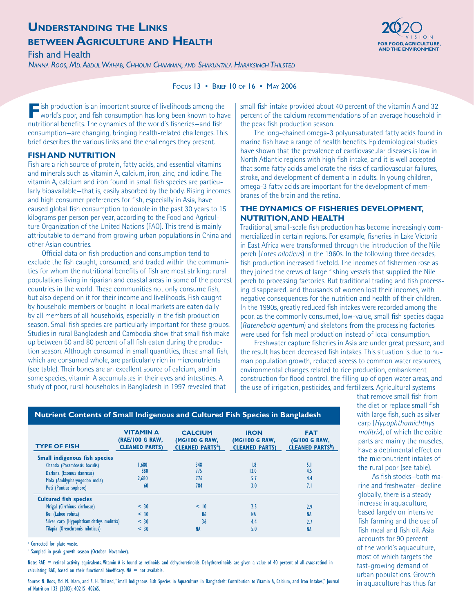# **UNDERSTANDING THE LINKS BETWEEN AGRICULTURE AND HEALTH Experiment and the component of the set of the set of the set of the set of the set of the set of the set of the set of the set of the set of the set of the set of the set of the set of th**

**AND THE ENVIRONMENT** Fish and Health

*NANNA ROOS, MD. ABDULWAHAB, CHHOUN CHAMNAN, AND SHAKUNTALA HARAKSINGH THILSTED*



#### FOCUS 13 • BRIEF 10 OF 16 • MAY 2006

**F** ish production is an important source of livelihoods among the world's poor, and fish consumption has long been known to have nutritional benefits. The dynamics of the world's fisheries—and fish consumption—are changing, bringing health-related challenges. This brief describes the various links and the challenges they present.

#### **FISH AND NUTRITION**

Fish are a rich source of protein, fatty acids, and essential vitamins and minerals such as vitamin A, calcium, iron, zinc, and iodine. The vitamin A, calcium and iron found in small fish species are particularly bioavailable—that is, easily absorbed by the body. Rising incomes and high consumer preferences for fish, especially in Asia, have caused global fish consumption to double in the past 30 years to 15 kilograms per person per year, according to the Food and Agriculture Organization of the United Nations (FAO). This trend is mainly attributable to demand from growing urban populations in China and other Asian countries.

Official data on fish production and consumption tend to exclude the fish caught, consumed, and traded within the communities for whom the nutritional benefits of fish are most striking: rural populations living in riparian and coastal areas in some of the poorest countries in the world. These communities not only consume fish, but also depend on it for their income and livelihoods. Fish caught by household members or bought in local markets are eaten daily by all members of all households, especially in the fish production season. Small fish species are particularly important for these groups. Studies in rural Bangladesh and Cambodia show that small fish make up between 50 and 80 percent of all fish eaten during the production season. Although consumed in small quantities, these small fish, which are consumed whole, are particularly rich in micronutrients (see table). Their bones are an excellent source of calcium, and in some species, vitamin A accumulates in their eyes and intestines. A study of poor, rural households in Bangladesh in 1997 revealed that

small fish intake provided about 40 percent of the vitamin A and 32 percent of the calcium recommendations of an average household in the peak fish production season.

The long-chained omega-3 polyunsaturated fatty acids found in marine fish have a range of health benefits. Epidemiological studies have shown that the prevalence of cardiovascular diseases is low in North Atlantic regions with high fish intake, and it is well accepted that some fatty acids ameliorate the risks of cardiovascular failures, stroke, and development of dementia in adults. In young children, omega-3 fatty acids are important for the development of membranes of the brain and the retina.

### **THE DYNAMICS OF FISHERIES DEVELOPMENT, NUTRITION, AND HEALTH**

Traditional, small-scale fish production has become increasingly commercialized in certain regions. For example, fisheries in Lake Victoria in East Africa were transformed through the introduction of the Nile perch (*Lates niloticus*) in the 1960s. In the following three decades, fish production increased fivefold. The incomes of fishermen rose as they joined the crews of large fishing vessels that supplied the Nile perch to processing factories. But traditional trading and fish processing disappeared, and thousands of women lost their incomes, with negative consequences for the nutrition and health of their children. In the 1990s, greatly reduced fish intakes were recorded among the poor, as the commonly consumed, low-value, small fish species dagaa (*Ratenebola agentum*) and skeletons from the processing factories were used for fish meal production instead of local consumption.

Freshwater capture fisheries in Asia are under great pressure, and the result has been decreased fish intakes. This situation is due to human population growth, reduced access to common water resources, environmental changes related to rice production, embankment construction for flood control, the filling up of open water areas, and the use of irrigation, pesticides, and fertilizers. Agricultural systems

| <b>TYPE OF FISH</b>                      | <b>VITAMIN A</b><br><b>(RAE/100 G RAW,</b><br><b>CLEANED PARTS)</b> | <b>CALCIUM</b><br>(MG/100 G RAW,<br><b>CLEANED PARTS<sup>a</sup></b> ) | <b>IRON</b><br>(MG/100 G RAW,<br><b>CLEANED PARTS)</b> | <b>FAT</b><br>(G/100 G RAW,<br><b>CLEANED PARTS<sup>b</sup></b> |
|------------------------------------------|---------------------------------------------------------------------|------------------------------------------------------------------------|--------------------------------------------------------|-----------------------------------------------------------------|
| <b>Small indigenous fish species</b>     |                                                                     |                                                                        |                                                        |                                                                 |
| Chanda (Parambassis baculis)             | 1.680                                                               | 348                                                                    | 1.8                                                    | 5.1                                                             |
| Darkina (Esomus danricus)                | 880                                                                 | 775                                                                    | 12.0                                                   | 4.5                                                             |
| Mola (Amblypharyngodon mola)             | 2.680                                                               | 776                                                                    | 5.7                                                    | 4.4                                                             |
| Puti (Puntius sophore)                   | 60                                                                  | 784                                                                    | 3.0                                                    | 7.1                                                             |
| <b>Cultured fish species</b>             |                                                                     |                                                                        |                                                        |                                                                 |
| Mrigal (Cirrhinus cirrhosus)             | $<$ 30                                                              | < 10                                                                   | 2.5                                                    | 2.9                                                             |
| Rui (Labeo rohita)                       | $<$ 30                                                              | 86                                                                     | <b>NA</b>                                              | <b>NA</b>                                                       |
| Silver carp (Hypophthamichthys molitrix) | $<$ 30                                                              | 36                                                                     | 4.4                                                    | 2.7                                                             |
| Tilapia (Oreochromis niloticus)          | < 30                                                                | <b>NA</b>                                                              | 5.0                                                    | <b>NA</b>                                                       |

**Nutrient Contents of Small Indigenous and Cultured Fish Species in Bangladesh**

<sup>a</sup> Corrected for plate waste.

**b** Sampled in peak growth season (October-November).

Note: RAE = retinol activity equivalents. Vitamin A is found as retinoids and dehydroretinoids. Dehydroretinoids are given a value of 40 percent of all-trans-retinol in calculating RAE, based on their functional bioefficacy.  $NA = not available$ .

Source: N. Roos, Md. M. Islam, and S. H. Thilsted, "Small Indigenous Fish Species in Aquaculture in Bangladesh: Contribution to Vitamin A, Calcium, and Iron Intakes," Journal of Nutrition 133 (2003): 4021S–4026S.

that remove small fish from the diet or replace small fish with large fish, such as silver carp (*Hypophthamichthys molitrix*), of which the edible parts are mainly the muscles, have a detrimental effect on the micronutrient intakes of the rural poor (see table).

As fish stocks—both marine and freshwater—decline globally, there is a steady increase in aquaculture, based largely on intensive fish farming and the use of fish meal and fish oil. Asia accounts for 90 percent of the world's aquaculture, most of which targets the fast-growing demand of urban populations. Growth in aquaculture has thus far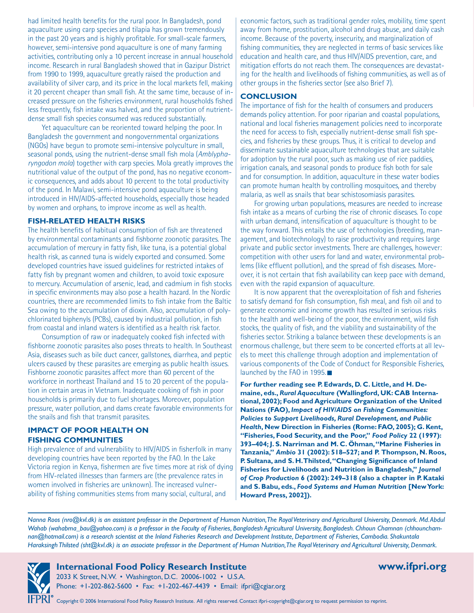had limited health benefits for the rural poor. In Bangladesh, pond aquaculture using carp species and tilapia has grown tremendously in the past 20 years and is highly profitable. For small-scale farmers, however, semi-intensive pond aquaculture is one of many farming activities, contributing only a 10 percent increase in annual household income. Research in rural Bangladesh showed that in Gazipur District from 1990 to 1999, aquaculture greatly raised the production and availability of silver carp, and its price in the local markets fell, making it 20 percent cheaper than small fish. At the same time, because of increased pressure on the fisheries environment, rural households fished less frequently, fish intake was halved, and the proportion of nutrientdense small fish species consumed was reduced substantially.

Yet aquaculture can be reoriented toward helping the poor. In Bangladesh the government and nongovernmental organizations (NGOs) have begun to promote semi-intensive polyculture in small, seasonal ponds, using the nutrient-dense small fish mola (*Amblypharyngodon mola*) together with carp species. Mola greatly improves the nutritional value of the output of the pond, has no negative economic consequences, and adds about 10 percent to the total productivity of the pond. In Malawi, semi-intensive pond aquaculture is being introduced in HIV/AIDS-affected households, especially those headed by women and orphans, to improve income as well as health.

#### **FISH-RELATED HEALTH RISKS**

The health benefits of habitual consumption of fish are threatened by environmental contaminants and fishborne zoonotic parasites. The accumulation of mercury in fatty fish, like tuna, is a potential global health risk, as canned tuna is widely exported and consumed. Some developed countries have issued guidelines for restricted intakes of fatty fish by pregnant women and children, to avoid toxic exposure to mercury. Accumulation of arsenic, lead, and cadmium in fish stocks in specific environments may also pose a health hazard. In the Nordic countries, there are recommended limits to fish intake from the Baltic Sea owing to the accumulation of dioxin. Also, accumulation of polychlorinated biphenyls (PCBs), caused by industrial pollution, in fish from coastal and inland waters is identified as a health risk factor.

Consumption of raw or inadequately cooked fish infected with fishborne zoonotic parasites also poses threats to health. In Southeast Asia, diseases such as bile duct cancer, gallstones, diarrhea, and peptic ulcers caused by these parasites are emerging as public health issues. Fishborne zoonotic parasites affect more than 60 percent of the workforce in northeast Thailand and 15 to 20 percent of the population in certain areas in Vietnam. Inadequate cooking of fish in poor households is primarily due to fuel shortages. Moreover, population pressure, water pollution, and dams create favorable environments for the snails and fish that transmit parasites.

#### **IMPACT OF POOR HEALTH ON FISHING COMMUNITIES**

High prevalence of and vulnerability to HIV/AIDS in fisherfolk in many developing countries have been reported by the FAO. In the Lake Victoria region in Kenya, fishermen are five times more at risk of dying from HIV-related illnesses than farmers are (the prevalence rates in women involved in fisheries are unknown). The increased vulnerability of fishing communities stems from many social, cultural, and

economic factors, such as traditional gender roles, mobility, time spent away from home, prostitution, alcohol and drug abuse, and daily cash income. Because of the poverty, insecurity, and marginalization of fishing communities, they are neglected in terms of basic services like education and health care, and thus HIV/AIDS prevention, care, and mitigation efforts do not reach them. The consequences are devastating for the health and livelihoods of fishing communities, as well as of other groups in the fisheries sector (see also Brief 7).

#### **CONCLUSION**

The importance of fish for the health of consumers and producers demands policy attention. For poor riparian and coastal populations, national and local fisheries management policies need to incorporate the need for access to fish, especially nutrient-dense small fish species, and fisheries by these groups. Thus, it is critical to develop and disseminate sustainable aquaculture technologies that are suitable for adoption by the rural poor, such as making use of rice paddies, irrigation canals, and seasonal ponds to produce fish both for sale and for consumption. In addition, aquaculture in these water bodies can promote human health by controlling mosquitoes, and thereby malaria, as well as snails that bear schistosomiasis parasites.

For growing urban populations, measures are needed to increase fish intake as a means of curbing the rise of chronic diseases. To cope with urban demand, intensification of aquaculture is thought to be the way forward. This entails the use of technologies (breeding, management, and biotechnology) to raise productivity and requires large private and public sector investments. There are challenges, however: competition with other users for land and water, environmental problems (like effluent pollution), and the spread of fish diseases. Moreover, it is not certain that fish availability can keep pace with demand, even with the rapid expansion of aquaculture.

It is now apparent that the overexploitation of fish and fisheries to satisfy demand for fish consumption, fish meal, and fish oil and to generate economic and income growth has resulted in serious risks to the health and well-being of the poor, the environment, wild fish stocks, the quality of fish, and the viability and sustainability of the fisheries sector. Striking a balance between these developments is an enormous challenge, but there seem to be concerted efforts at all levels to meet this challenge through adoption and implementation of various components of the Code of Conduct for Responsible Fisheries, launched by the FAO in 1995.

**For further reading see P. Edwards, D. C. Little, and H. Demaine, eds.,** *Rural Aquaculture* **(Wallingford, UK: CAB International, 2002); Food and Agriculture Organization of the United Nations (FAO),** *Impact of HIV/AIDS on Fishing Communities: Policies to Support Livelihoods, Rural Development, and Public Health***, New Direction in Fisheries (Rome: FAO, 2005); G. Kent, "Fisheries, Food Security, and the Poor,"** *Food Policy* **22 (1997): 393–404; J. S. Narriman and M. C. Öhman, "Marine Fisheries in Tanzania,"** *Ambio* **31 (2002): 518–527; and P. Thompson, N. Roos, P. Sultana, and S. H. Thilsted, "Changing Significance of Inland Fisheries for Livelihoods and Nutrition in Bangladesh,"** *Journal of Crop Production* **6 (2002): 249–318 (also a chapter in P. Kataki and S. Babu, eds.,** *Food Systems and Human Nutrition* **[New York: Howard Press, 2002]).**

*Nanna Roos (nro@kvl.dk) is an assistant professor in the Department of Human Nutrition, The Royal Veterinary and Agricultural University, Denmark. Md. Abdul Wahab (wahabma\_bau@yahoo.com) is a professor in the Faculty of Fisheries, Bangladesh Agricultural University, Bangladesh. Chhoun Chamnan (chhounchamnan@hotmail.com) is a research scientist at the Inland Fisheries Research and Development Institute, Department of Fisheries, Cambodia. Shakuntala Haraksingh Thilsted (sht@kvl.dk) is an associate professor in the Department of Human Nutrition, The Royal Veterinary and Agricultural University, Denmark.* 



**International Food Policy Research Institute www.ifpri.org** 

2033 K Street, N.W. • Washington, D.C. 20006-1002 • U.S.A. Phone: +1-202-862-5600 • Fax: +1-202-467-4439 • Email: ifpri@cgiar.org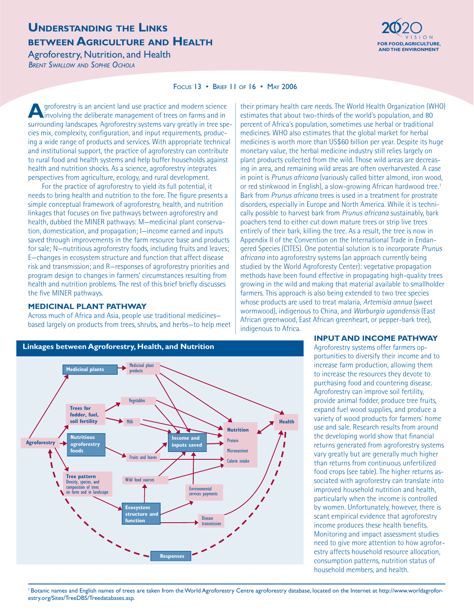### **UNDERSTANDING THE LINKS BETWEEN AGRICULTURE AND HEALTH EXECUTIVE AND THE ENVIRONMENT AND THE ENVIRONMENT AND THE ENVIRONMENT (**

**Agroforestry, Nutrition, and Health** *BRENT SWALLOW AND SOPHIE OCHOLA*



#### FOCUS 13 • BRIEF 11 OF 16 • MAY 2006

**A**groforestry is an ancient land use practice and modern science involving the deliberate management of trees on farms and in surrounding landscapes. Agroforestry systems vary greatly in tree species mix, complexity, configuration, and input requirements, producing a wide range of products and services. With appropriate technical and institutional support, the practice of agroforestry can contribute to rural food and health systems and help buffer households against health and nutrition shocks. As a science, agroforestry integrates perspectives from agriculture, ecology, and rural development.

For the practice of agroforestry to yield its full potential, it needs to bring health and nutrition to the fore. The figure presents a simple conceptual framework of agroforestry, health, and nutrition linkages that focuses on five pathways between agroforestry and health, dubbed the MINER pathways: M—medicinal plant conservation, domestication, and propagation; I—income earned and inputs saved through improvements in the farm resource base and products for sale; N—nutritious agroforestry foods, including fruits and leaves; E—changes in ecosystem structure and function that affect disease risk and transmission; and R—responses of agroforestry priorities and program design to changes in farmers' circumstances resulting from health and nutrition problems. The rest of this brief briefly discusses the five MINER pathways.

#### **MEDICINAL PLANT PATHWAY**

Across much of Africa and Asia, people use traditional medicines based largely on products from trees, shrubs, and herbs—to help meet

**Linkages between Agroforestry, Health, and Nutrition** Medicinal plant **Medicinal plants** products Vegetables **Trees for fodder, fuel, soil fertility Health** Milk **Nutrition Nutritious Income and Protein Agroforestry agroforestry inputs saved foods Micronutrient** I Fruits and leavesCalorie intake  $\mathbf{I}$ ١  $\overline{\mathbf{I}}$ **Tree pattern** Wild food sources **Density, species, and**  $\sqrt{2}$ composition of trees Environmental farm and in landscape services payments **Ecosystem structure and Disease function** transmission **Responses**

their primary health care needs. The World Health Organization (WHO) estimates that about two-thirds of the world's population, and 80 percent of Africa's population, sometimes use herbal or traditional medicines. WHO also estimates that the global market for herbal medicines is worth more than US\$60 billion per year. Despite its huge monetary value, the herbal medicine industry still relies largely on plant products collected from the wild. Those wild areas are decreasing in area, and remaining wild areas are often overharvested. A case in point is *Prunus africana* (variously called bitter almond, iron wood, or red stinkwood in English), a slow-growing African hardwood tree.<sup>1</sup> Bark from *Prunus africana* trees is used in a treatment for prostrate disorders, especially in Europe and North America. While it is technically possible to harvest bark from *Prunus africana* sustainably, bark poachers tend to either cut down mature trees or strip live trees entirely of their bark, killing the tree. As a result, the tree is now in Appendix II of the Convention on the International Trade in Endangered Species (CITES). One potential solution is to incorporate *Prunus africana* into agroforestry systems (an approach currently being studied by the World Agroforesty Center): vegetative propagation methods have been found effective in propagating high-quality trees growing in the wild and making that material available to smallholder farmers. This approach is also being extended to two tree species whose products are used to treat malaria, *Artemisia annua* (sweet wormwood), indigenous to China, and *Warburgia ugandensis* (East African greenwood, East African greenheart, or pepper-bark tree), indigenous to Africa.

#### **INPUT AND INCOME PATHWAY**

Agroforestry systems offer farmers opportunities to diversify their income and to increase farm production, allowing them to increase the resources they devote to purchasing food and countering disease. Agroforestry can improve soil fertility, provide animal fodder, produce tree fruits, expand fuel wood supplies, and produce a variety of wood products for farmers' home use and sale. Research results from around the developing world show that financial returns generated from agroforestry systems vary greatly but are generally much higher than returns from continuous unfertilized food crops (see table). The higher returns associated with agroforestry can translate into improved household nutrition and health, particularly when the income is controlled by women. Unfortunately, however, there is scant empirical evidence that agroforestry income produces these health benefits. Monitoring and impact assessment studies need to give more attention to how agroforestry affects household resource allocation, consumption patterns, nutrition status of household members, and health.

<sup>1</sup> Botanic names and English names of trees are taken from the World Agroforestry Centre agroforestry database, located on the Internet at http://www.worldagroforestry.org/Sites/TreeDBS/Treedatabases.asp.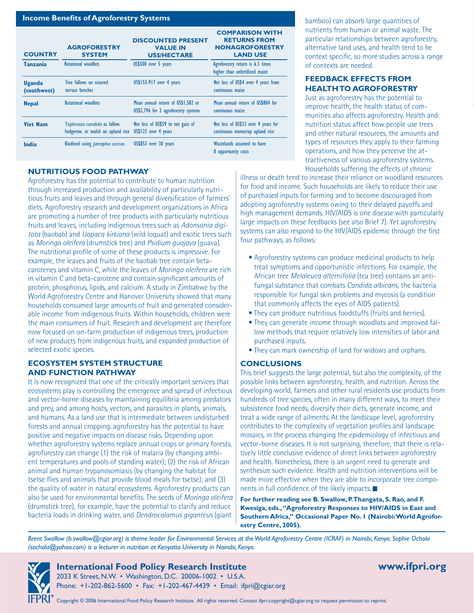| <b>Income Benefits of Agroforestry Systems</b> |                                                                   |                                                                            |                                                                                            |
|------------------------------------------------|-------------------------------------------------------------------|----------------------------------------------------------------------------|--------------------------------------------------------------------------------------------|
| <b>COUNTRY</b>                                 | <b>AGROFORESTRY</b><br><b>SYSTEM</b>                              | <b>DISCOUNTED PRESENT</b><br><b>VALUE IN</b><br><b>US\$/HECTARE</b>        | <b>COMPARISON WITH</b><br><b>RETURNS FROM</b><br><b>NONAGROFORESTRY</b><br><b>LAND USE</b> |
| <b>Tanzania</b>                                | Rotational woodlots                                               | US\$500 over 5 years                                                       | Agroforestry return is 6.3 times<br>higher than unfertilized maize                         |
| <b>Uganda</b><br>(southwest)                   | Tree fallows on scoured<br>terrace benches                        | US\$155-917 over 4 years                                                   | Net loss of US\$4 over 4 years from<br>continuous maize                                    |
| <b>Nepal</b>                                   | Rotational woodlots                                               | Mean annual return of US\$1.582 or<br>US\$2,796 for 2 agroforestry systems | Mean annual return of US\$804 for<br>continuous maize                                      |
| <b>Viet Nam</b>                                | Tephrosia candida as fallow,<br>hedgerow, or mulch on upland rice | Net loss of US\$59 to net gain of<br>US\$123 over 4 years                  | Net loss of US\$33 over 4 years for<br>continuous monocrop upland rice                     |
| India                                          | Biodiesel using <i>Jatropha curcas</i>                            | US\$853 over 30 years                                                      | Wastelands assumed to have<br><b>0</b> opportunity costs                                   |

### **NUTRITIOUS FOOD PATHWAY**

Agroforestry has the potential to contribute to human nutrition through increased production and availability of particularly nutritious fruits and leaves and through general diversification of farmers' diets. Agroforestry research and development organizations in Africa are promoting a number of tree products with particularly nutritious fruits and leaves, including indigenous trees such as *Adonsonia digitata* (baobab) and *Uapaca kirkiana* (wild loquat) and exotic trees such as *Moringa oleifera* (drumstick tree) and *Psidium guajaya* (guava). The nutritional profile of some of these products is impressive. For example, the leaves and fruits of the baobab tree contain betacarotenes and vitamin C, while the leaves of *Moringa oleifera* are rich in vitamin C and beta-carotene and contain significant amounts of protein, phosphorus, lipids, and calcium. A study in Zimbabwe by the World Agroforestry Centre and Hanover University showed that many households consumed large amounts of fruit and generated considerable income from indigenous fruits. Within households, children were the main consumers of fruit. Research and development are therefore now focused on on-farm production of indigenous trees, production of new products from indigenous fruits, and expanded production of selected exotic species.

#### **ECOSYSTEM SYSTEM STRUCTURE AND FUNCTION PATHWAY**

It is now recognized that one of the critically important services that ecosystems play is controlling the emergence and spread of infectious and vector-borne diseases by maintaining equilibria among predators and prey, and among hosts, vectors, and parasites in plants, animals, and humans. As a land use that is intermediate between undisturbed forests and annual cropping, agroforestry has the potential to have positive and negative impacts on disease risks. Depending upon whether agroforestry systems replace annual crops or primary forests, agroforestry can change (1) the risk of malaria (by changing ambient temperatures and pools of standing water); (2) the risk of African animal and human trypanosomiasis (by changing the habitat for tsetse flies and animals that provide blood meals for tsetse); and (3) the quality of water in natural ecosystems. Agroforestry products can also be used for environmental benefits. The seeds of *Moringa oleifera* (drumstick tree), for example, have the potential to clarify and reduce bacteria loads in drinking water, and *Dendrocalamus giganteus* (giant

bamboo) can absorb large quantities of nutrients from human or animal waste. The particular relationships between agroforestry, alternative land uses, and health tend to be context specific, so more studies across a range of contexts are needed.

#### **FEEDBACK EFFECTS FROM HEALTH TO AGROFORESTRY**

Just as agroforestry has the potential to improve health, the health status of communities also affects agroforestry. Health and nutrition status affect how people use trees and other natural resources, the amounts and types of resources they apply to their farming operations, and how they perceive the attractiveness of various agroforestry systems. Households suffering the effects of chronic

illness or death tend to increase their reliance on woodland resources for food and income. Such households are likely to reduce their use of purchased inputs for farming and to become discouraged from adopting agroforestry systems owing to their delayed payoffs and high management demands. HIV/AIDS is one disease with particularly large impacts on these feedbacks (see also Brief 7). Yet agroforestry systems can also respond to the HIV/AIDS epidemic through the first four pathways, as follows:

- Agroforestry systems can produce medicinal products to help treat symptoms and opportunistic infections. For example, the African tree *Melaleuca alternifolia* (tea tree) contains an antifungal substance that combats *Candida albicans*, the bacteria responsible for fungal skin problems and mycosis (a condition that commonly affects the eyes of AIDS patients).
- They can produce nutritious foodstuffs (fruits and berries). •
- They can generate income through woodlots and improved fallow methods that require relatively low intensities of labor and purchased inputs.
- They can mark ownership of land for widows and orphans.

### **CONCLUSIONS**

This brief suggests the large potential, but also the complexity, of the possible links between agroforestry, health, and nutrition. Across the developing world, farmers and other rural residents use products from hundreds of tree species, often in many different ways, to meet their subsistence food needs, diversify their diets, generate income, and treat a wide range of ailments. At the landscape level, agroforestry contributes to the complexity of vegetation profiles and landscape mosaics, in the process changing the epidemiology of infectious and vector-borne diseases. It is not surprising, therefore, that there is relatively little conclusive evidence of direct links between agroforestry and health. Nonetheless, there is an urgent need to generate and synthesize such evidence. Health and nutrition interventions will be made more effective when they are able to incorporate tree components in full confidence of the likely impacts.

**For further reading see B. Swallow, P. Thangata, S. Rao, and F. Kwesiga, eds., "Agroforestry Responses to HIV/AIDS in East and Southern Africa," Occasional Paper No. 1 (Nairobi: World Agroforestry Centre, 2005).**

*Brent Swallow (b.swallow@cgiar.org) is theme leader for Environmental Services at the World Agroforestry Centre (ICRAF) in Nairobi, Kenya. Sophie Ochola (sochola@yahoo.com) is a lecturer in nutrition at Kenyatta University in Nairobi, Kenya.*

**International Food Policy Research Institute www.ifpri.org**  2033 K Street, N.W. • Washington, D.C. 20006-1002 • U.S.A. Phone: +1-202-862-5600 • Fax: +1-202-467-4439 • Email: ifpri@cgiar.org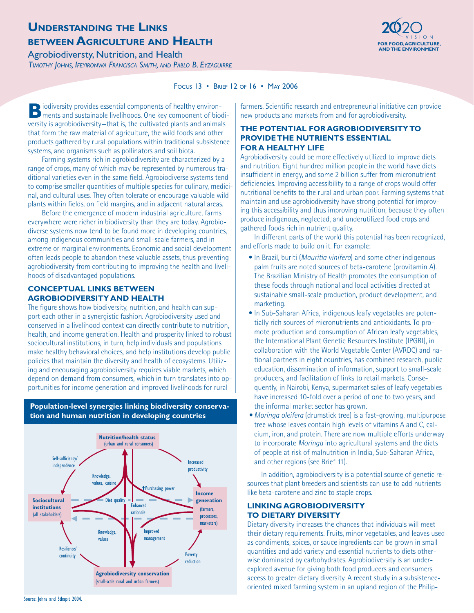# **UNDERSTANDING THE LINKS BETWEEN AGRICULTURE AND HEALTH EXECUTIVE AND THE ALT HEALTH**



Agrobiodiversty, Nutrition, and Health *TIMOTHY JOHNS, IFEYIRONWA FRANCISCA SMITH, AND PABLO B. EYZAGUIRRE*

#### FOCUS 13 • BRIEF 12 OF 16 • MAY 2006

**B**iodiversity provides essential components of healthy environ-<br>ments and sustainable livelihoods. One key component of biodiversity is agrobiodiversity—that is, the cultivated plants and animals that form the raw material of agriculture, the wild foods and other products gathered by rural populations within traditional subsistence systems, and organisms such as pollinators and soil biota.

Farming systems rich in agrobiodiversity are characterized by a range of crops, many of which may be represented by numerous traditional varieties even in the same field. Agrobiodiverse systems tend to comprise smaller quantities of multiple species for culinary, medicinal, and cultural uses. They often tolerate or encourage valuable wild plants within fields, on field margins, and in adjacent natural areas.

Before the emergence of modern industrial agriculture, farms everywhere were richer in biodiversity than they are today. Agrobiodiverse systems now tend to be found more in developing countries, among indigenous communities and small-scale farmers, and in extreme or marginal environments. Economic and social development often leads people to abandon these valuable assets, thus preventing agrobiodiversity from contributing to improving the health and livelihoods of disadvantaged populations.

### **CONCEPTUAL LINKS BETWEEN AGROBIODIVERSITY AND HEALTH**

The figure shows how biodiversity, nutrition, and health can support each other in a synergistic fashion. Agrobiodiversity used and conserved in a livelihood context can directly contribute to nutrition, health, and income generation. Health and prosperity linked to robust sociocultural institutions, in turn, help individuals and populations make healthy behavioral choices, and help institutions develop public policies that maintain the diversity and health of ecosystems. Utilizing and encouraging agrobiodiversity requires viable markets, which depend on demand from consumers, which in turn translates into opportunities for income generation and improved livelihoods for rural

**Nutrition/health status** (urban and rural consumers) **Income generation** (farmers, processors, marketers) Knowledge, value Improved management Diet quality  $\blacksquare$  Enhanced rationale Knowledge, values, cuisi **Sociocultural institutions** (all stakeholders) Self-sufficiency/ independence Purchasing power Resilience/ Increased productivity

> **Agrobiodiversity conservation** (small-scale rural and urban farmers)

reduction

continuity **Poverty** 

**Population-level synergies linking biodiversity conservation and human nutrition in developing countries**

farmers. Scientific research and entrepreneurial initiative can provide new products and markets from and for agrobiodiversity.

#### **THE POTENTIAL FOR AGROBIODIVERSITY TO PROVIDE THE NUTRIENTS ESSENTIAL FOR A HEALTHY LIFE**

Agrobiodiversity could be more effectively utilized to improve diets and nutrition. Eight hundred million people in the world have diets insufficient in energy, and some 2 billion suffer from micronutrient deficiencies. Improving accessibility to a range of crops would offer nutritional benefits to the rural and urban poor. Farming systems that maintain and use agrobiodiversity have strong potential for improving this accessibility and thus improving nutrition, because they often produce indigenous, neglected, and underutilized food crops and gathered foods rich in nutrient quality.

In different parts of the world this potential has been recognized, and efforts made to build on it. For example:

- In Brazil, buriti (Mauritia vinifera) and some other indigenous palm fruits are noted sources of beta-carotene (provitamin A). The Brazilian Ministry of Health promotes the consumption of these foods through national and local activities directed at sustainable small-scale production, product development, and marketing.
- . In Sub-Saharan Africa, indigenous leafy vegetables are potentially rich sources of micronutrients and antioxidants. To promote production and consumption of African leafy vegetables, the International Plant Genetic Resources Institute (IPGRI), in collaboration with the World Vegetable Center (AVRDC) and national partners in eight countries, has combined research, public education, dissemination of information, support to small-scale producers, and facilitation of links to retail markets. Consequently, in Nairobi, Kenya, supermarket sales of leafy vegetables have increased 10-fold over a period of one to two years, and the informal market sector has grown.
- *Moringa oleifera* (drumstick tree) is a fast-growing, multipurpose *•* tree whose leaves contain high levels of vitamins A and C, calcium, iron, and protein. There are now multiple efforts underway to incorporate *Moringa* into agricultural systems and the diets of people at risk of malnutrition in India, Sub-Saharan Africa, and other regions (see Brief 11).

In addition, agrobiodiversity is a potential source of genetic resources that plant breeders and scientists can use to add nutrients like beta-carotene and zinc to staple crops.

### **LINKING AGROBIODIVERSITY TO DIETARY DIVERSITY**

Dietary diversity increases the chances that individuals will meet their dietary requirements. Fruits, minor vegetables, and leaves used as condiments, spices, or sauce ingredients can be grown in small quantities and add variety and essential nutrients to diets otherwise dominated by carbohydrates. Agrobiodiversity is an underexplored avenue for giving both food producers and consumers access to greater dietary diversity. A recent study in a subsistenceoriented mixed farming system in an upland region of the Philip-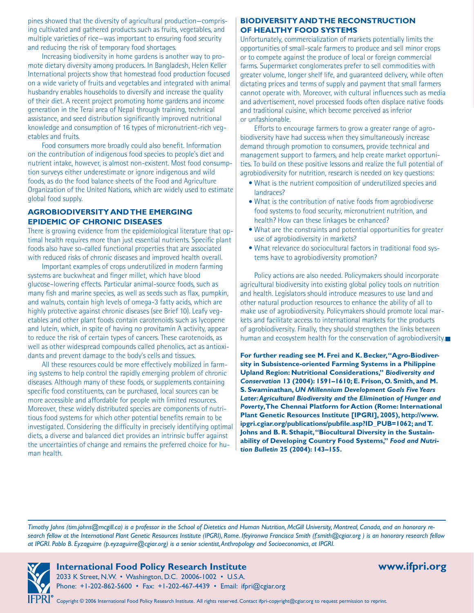pines showed that the diversity of agricultural production—comprising cultivated and gathered products such as fruits, vegetables, and multiple varieties of rice—was important to ensuring food security and reducing the risk of temporary food shortages.

Increasing biodiversity in home gardens is another way to promote dietary diversity among producers. In Bangladesh, Helen Keller International projects show that homestead food production focused on a wide variety of fruits and vegetables and integrated with animal husbandry enables households to diversify and increase the quality of their diet. A recent project promoting home gardens and income generation in the Terai area of Nepal through training, technical assistance, and seed distribution significantly improved nutritional knowledge and consumption of 16 types of micronutrient-rich vegetables and fruits.

Food consumers more broadly could also benefit. Information on the contribution of indigenous food species to people's diet and nutrient intake, however, is almost non-existent. Most food consumption surveys either underestimate or ignore indigenous and wild foods, as do the food balance sheets of the Food and Agriculture Organization of the United Nations, which are widely used to estimate global food supply.

#### **AGROBIODIVERSITY AND THE EMERGING EPIDEMIC OF CHRONIC DISEASES**

There is growing evidence from the epidemiological literature that optimal health requires more than just essential nutrients. Specific plant foods also have so-called functional properties that are associated with reduced risks of chronic diseases and improved health overall.

Important examples of crops underutilized in modern farming systems are buckwheat and finger millet, which have blood glucose–lowering effects. Particular animal-source foods, such as many fish and marine species, as well as seeds such as flax, pumpkin, and walnuts, contain high levels of omega-3 fatty acids, which are highly protective against chronic diseases (see Brief 10). Leafy vegetables and other plant foods contain carotenoids such as lycopene and lutein, which, in spite of having no provitamin A activity, appear to reduce the risk of certain types of cancers. These carotenoids, as well as other widespread compounds called phenolics, act as antioxidants and prevent damage to the body's cells and tissues.

All these resources could be more effectively mobilized in farming systems to help control the rapidly emerging problem of chronic diseases. Although many of these foods, or supplements containing specific food constituents, can be purchased, local sources can be more accessible and affordable for people with limited resources. Moreover, these widely distributed species are components of nutritious food systems for which other potential benefits remain to be investigated. Considering the difficulty in precisely identifying optimal diets, a diverse and balanced diet provides an intrinsic buffer against the uncertainties of change and remains the preferred choice for human health.

#### **BIODIVERSITY AND THE RECONSTRUCTION OF HEALTHY FOOD SYSTEMS**

Unfortunately, commercialization of markets potentially limits the opportunities of small-scale farmers to produce and sell minor crops or to compete against the produce of local or foreign commercial farms. Supermarket conglomerates prefer to sell commodities with greater volume, longer shelf life, and guaranteed delivery, while often dictating prices and terms of supply and payment that small farmers cannot operate with. Moreover, with cultural influences such as media and advertisement, novel processed foods often displace native foods and traditional cuisine, which become perceived as inferior or unfashionable.

Efforts to encourage farmers to grow a greater range of agrobiodiversity have had success when they simultaneously increase demand through promotion to consumers, provide technical and management support to farmers, and help create market opportunities. To build on these positive lessons and realize the full potential of agrobiodiversity for nutrition, research is needed on key questions:

- What is the nutrient composition of underutilized species and landraces?
- What is the contribution of native foods from agrobiodiverse food systems to food security, micronutrient nutrition, and health? How can these linkages be enhanced?
- What are the constraints and potential opportunities for greater use of agrobiodiversity in markets?
- What relevance do sociocultural factors in traditional food sys-• tems have to agrobiodiversity promotion?

Policy actions are also needed. Policymakers should incorporate agricultural biodiversity into existing global policy tools on nutrition and health. Legislators should introduce measures to use land and other natural production resources to enhance the ability of all to make use of agrobiodiversity. Policymakers should promote local markets and facilitate access to international markets for the products of agrobiodiversity. Finally, they should strengthen the links between human and ecosystem health for the conservation of agrobiodiversity.

**For further reading see M. Frei and K. Becker, "Agro-Biodiversity in Subsistence-oriented Farming Systems in a Philippine Upland Region: Nutritional Considerations,"** *Biodiversity and Conservation* **13 (2004): 1591–1610; E. Frison, O. Smith, and M. S. Swaminathan,** *UN Millennium Development Goals Five Years Later: Agricultural Biodiversity and the Elimination of Hunger and Poverty***, The Chennai Platform for Action (Rome: International Plant Genetic Resources Institute [IPGRI], 2005), http://www. ipgri.cgiar.org/publications/pubfile.asp?ID\_PUB=1062; and T. Johns and B. R. Sthapit, "Biocultural Diversity in the Sustainability of Developing Country Food Systems,"** *Food and Nutrition Bulletin* **25 (2004): 143–155.** 

*Timothy Johns (tim.johns@mcgill.ca) is a professor in the School of Dietetics and Human Nutrition, McGill University, Montreal, Canada, and an honorary research fellow at the International Plant Genetic Resources Institute (IPGRI), Rome. Ifeyironwa Francisca Smith (f.smith@cgiar.org ) is an honorary research fellow at IPGRI. Pablo B. Eyzaguirre (p.eyzaguirre@cgiar.org) is a senior scientist, Anthropology and Socioeconomics, at IPGRI.*



**International Food Policy Research Institute www.ifpri.org** 

2033 K Street, N.W. • Washington, D.C. 20006-1002 • U.S.A. Phone: +1-202-862-5600 • Fax: +1-202-467-4439 • Email: ifpri@cgiar.org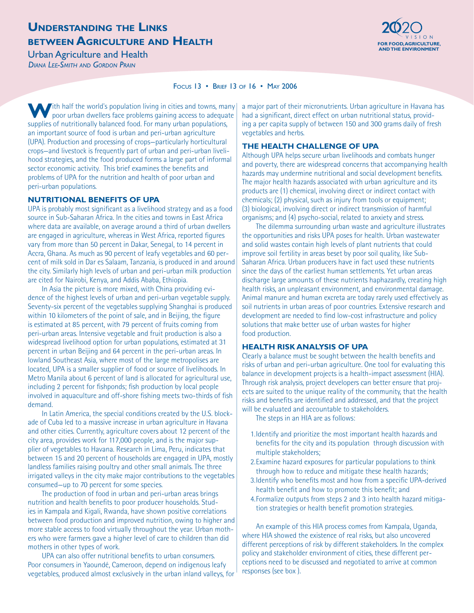### **UNDERSTANDING THE LINKS BETWEEN AGRICULTURE AND HEALTH FOR FOOD, AGRICULTURE AND HEALTH**



**Urban Agriculture and Health** *DIANA LEE-SMITH AND GORDON PRAIN*

FOCUS 13 • BRIEF 13 OF 16 • MAY 2006

With half the world's population living in cities and towns, many poor urban dwellers face problems gaining access to adequate supplies of nutritionally balanced food. For many urban populations, an important source of food is urban and peri-urban agriculture (UPA). Production and processing of crops—particularly horticultural crops—and livestock is frequently part of urban and peri-urban livelihood strategies, and the food produced forms a large part of informal sector economic activity. This brief examines the benefits and problems of UPA for the nutrition and health of poor urban and peri-urban populations.

#### **NUTRITIONAL BENEFITS OF UPA**

UPA is probably most significant as a livelihood strategy and as a food source in Sub-Saharan Africa. In the cities and towns in East Africa where data are available, on average around a third of urban dwellers are engaged in agriculture, whereas in West Africa, reported figures vary from more than 50 percent in Dakar, Senegal, to 14 percent in Accra, Ghana. As much as 90 percent of leafy vegetables and 60 percent of milk sold in Dar es Salaam, Tanzania, is produced in and around the city. Similarly high levels of urban and peri-urban milk production are cited for Nairobi, Kenya, and Addis Ababa, Ethiopia.

In Asia the picture is more mixed, with China providing evidence of the highest levels of urban and peri-urban vegetable supply. Seventy-six percent of the vegetables supplying Shanghai is produced within 10 kilometers of the point of sale, and in Beijing, the figure is estimated at 85 percent, with 79 percent of fruits coming from peri-urban areas. Intensive vegetable and fruit production is also a widespread livelihood option for urban populations, estimated at 31 percent in urban Beijing and 64 percent in the peri-urban areas. In lowland Southeast Asia, where most of the large metropolises are located, UPA is a smaller supplier of food or source of livelihoods. In Metro Manila about 6 percent of land is allocated for agricultural use, including 2 percent for fishponds; fish production by local people involved in aquaculture and off-shore fishing meets two-thirds of fish demand.

In Latin America, the special conditions created by the U.S. blockade of Cuba led to a massive increase in urban agriculture in Havana and other cities. Currently, agriculture covers about 12 percent of the city area, provides work for 117,000 people, and is the major supplier of vegetables to Havana. Research in Lima, Peru, indicates that between 15 and 20 percent of households are engaged in UPA, mostly landless families raising poultry and other small animals. The three irrigated valleys in the city make major contributions to the vegetables consumed—up to 70 percent for some species.

The production of food in urban and peri-urban areas brings nutrition and health benefits to poor producer households. Studies in Kampala and Kigali, Rwanda, have shown positive correlations between food production and improved nutrition, owing to higher and more stable access to food virtually throughout the year. Urban mothers who were farmers gave a higher level of care to children than did mothers in other types of work.

UPA can also offer nutritional benefits to urban consumers. Poor consumers in Yaoundé, Cameroon, depend on indigenous leafy vegetables, produced almost exclusively in the urban inland valleys, for a major part of their micronutrients. Urban agriculture in Havana has had a significant, direct effect on urban nutritional status, providing a per capita supply of between 150 and 300 grams daily of fresh vegetables and herbs.

#### **THE HEALTH CHALLENGE OF UPA**

Although UPA helps secure urban livelihoods and combats hunger and poverty, there are widespread concerns that accompanying health hazards may undermine nutritional and social development benefits. The major health hazards associated with urban agriculture and its products are (1) chemical, involving direct or indirect contact with chemicals; (2) physical, such as injury from tools or equipment; (3) biological, involving direct or indirect transmission of harmful organisms; and (4) psycho-social, related to anxiety and stress.

The dilemma surrounding urban waste and agriculture illustrates the opportunities and risks UPA poses for health. Urban wastewater and solid wastes contain high levels of plant nutrients that could improve soil fertility in areas beset by poor soil quality, like Sub-Saharan Africa. Urban producers have in fact used these nutrients since the days of the earliest human settlements. Yet urban areas discharge large amounts of these nutrients haphazardly, creating high health risks, an unpleasant environment, and environmental damage. Animal manure and human excreta are today rarely used effectively as soil nutrients in urban areas of poor countries. Extensive research and development are needed to find low-cost infrastructure and policy solutions that make better use of urban wastes for higher food production.

### **HEALTH RISK ANALYSIS OF UPA**

Clearly a balance must be sought between the health benefits and risks of urban and peri-urban agriculture. One tool for evaluating this balance in development projects is a health-impact assessment (HIA). Through risk analysis, project developers can better ensure that projects are suited to the unique reality of the community, that the health risks and benefits are identified and addressed, and that the project will be evaluated and accountable to stakeholders.

The steps in an HIA are as follows:

- Identify and prioritize the most important health hazards and 1. benefits for the city and its population through discussion with multiple stakeholders;
- 2. Examine hazard exposures for particular populations to think through how to reduce and mitigate these health hazards;
- 3. Identify who benefits most and how from a specific UPA-derived health benefit and how to promote this benefit; and
- Formalize outputs from steps 2 and 3 into health hazard mitiga-4.tion strategies or health benefit promotion strategies.

An example of this HIA process comes from Kampala, Uganda, where HIA showed the existence of real risks, but also uncovered different perceptions of risk by different stakeholders. In the complex policy and stakeholder environment of cities, these different perceptions need to be discussed and negotiated to arrive at common responses (see box ).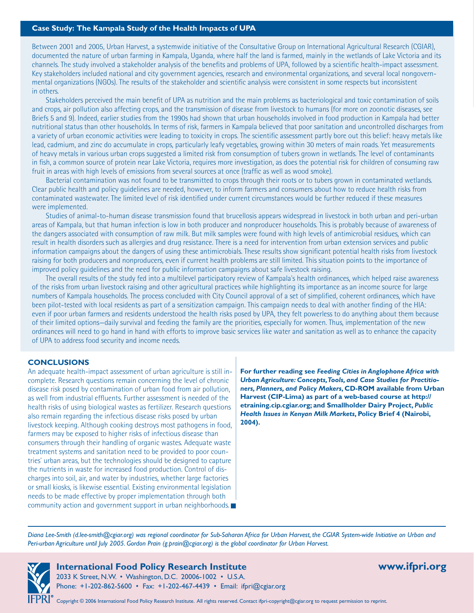#### **Case Study: The Kampala Study of the Health Impacts of UPA**

Between 2001 and 2005, Urban Harvest, a systemwide initiative of the Consultative Group on International Agricultural Research (CGIAR), documented the nature of urban farming in Kampala, Uganda, where half the land is farmed, mainly in the wetlands of Lake Victoria and its channels. The study involved a stakeholder analysis of the benefits and problems of UPA, followed by a scientific health-impact assessment. Key stakeholders included national and city government agencies, research and environmental organizations, and several local nongovernmental organizations (NGOs). The results of the stakeholder and scientific analysis were consistent in some respects but inconsistent in others.

Stakeholders perceived the main benefit of UPA as nutrition and the main problems as bacteriological and toxic contamination of soils and crops, air pollution also affecting crops, and the transmission of disease from livestock to humans (for more on zoonotic diseases, see Briefs 5 and 9). Indeed, earlier studies from the 1990s had shown that urban households involved in food production in Kampala had better nutritional status than other households. In terms of risk, farmers in Kampala believed that poor sanitation and uncontrolled discharges from a variety of urban economic activities were leading to toxicity in crops. The scientific assessment partly bore out this belief: heavy metals like lead, cadmium, and zinc do accumulate in crops, particularly leafy vegetables, growing within 30 meters of main roads. Yet measurements of heavy metals in various urban crops suggested a limited risk from consumption of tubers grown in wetlands. The level of contaminants in fish, a common source of protein near Lake Victoria, requires more investigation, as does the potential risk for children of consuming raw fruit in areas with high levels of emissions from several sources at once (traffic as well as wood smoke).

Bacterial contamination was not found to be transmitted to crops through their roots or to tubers grown in contaminated wetlands. Clear public health and policy guidelines are needed, however, to inform farmers and consumers about how to reduce health risks from contaminated wastewater. The limited level of risk identified under current circumstances would be further reduced if these measures were implemented.

Studies of animal-to-human disease transmission found that brucellosis appears widespread in livestock in both urban and peri-urban areas of Kampala, but that human infection is low in both producer and nonproducer households. This is probably because of awareness of the dangers associated with consumption of raw milk. But milk samples were found with high levels of antimicrobial residues, which can result in health disorders such as allergies and drug resistance. There is a need for intervention from urban extension services and public information campaigns about the dangers of using these antimicrobials. These results show significant potential health risks from livestock raising for both producers and nonproducers, even if current health problems are still limited. This situation points to the importance of improved policy guidelines and the need for public information campaigns about safe livestock raising.

The overall results of the study fed into a multilevel participatory review of Kampala's health ordinances, which helped raise awareness of the risks from urban livestock raising and other agricultural practices while highlighting its importance as an income source for large numbers of Kampala households. The process concluded with City Council approval of a set of simplified, coherent ordinances, which have been pilot-tested with local residents as part of a sensitization campaign. This campaign needs to deal with another finding of the HIA: even if poor urban farmers and residents understood the health risks posed by UPA, they felt powerless to do anything about them because of their limited options—daily survival and feeding the family are the priorities, especially for women. Thus, implementation of the new ordinances will need to go hand in hand with efforts to improve basic services like water and sanitation as well as to enhance the capacity of UPA to address food security and income needs.

#### **CONCLUSIONS**

An adequate health-impact assessment of urban agriculture is still incomplete. Research questions remain concerning the level of chronic disease risk posed by contamination of urban food from air pollution, as well from industrial effluents. Further assessment is needed of the health risks of using biological wastes as fertilizer. Research questions also remain regarding the infectious disease risks posed by urban livestock keeping. Although cooking destroys most pathogens in food, farmers may be exposed to higher risks of infectious disease than consumers through their handling of organic wastes. Adequate waste treatment systems and sanitation need to be provided to poor countries' urban areas, but the technologies should be designed to capture the nutrients in waste for increased food production. Control of discharges into soil, air, and water by industries, whether large factories or small kiosks, is likewise essential. Existing environmental legislation needs to be made effective by proper implementation through both community action and government support in urban neighborhoods.

**For further reading see** *Feeding Cities in Anglophone Africa with Urban Agriculture: Concepts, Tools, and Case Studies for Practitioners, Planners, and Policy Makers***, CD-ROM available from Urban Harvest (CIP-Lima) as part of a web-based course at http:// etraining.cip.cgiar.org; and Smallholder Dairy Project,** *Public Health Issues in Kenyan Milk Markets***, Policy Brief 4 (Nairobi, 2004).**

*Diana Lee-Smith (d.lee-smith@cgiar.org) was regional coordinator for Sub-Saharan Africa for Urban Harvest, the CGIAR System-wide Initiative on Urban and Peri-urban Agriculture until July 2005. Gordon Prain (g.prain@cgiar.org) is the global coordinator for Urban Harvest.* 



### **International Food Policy Research Institute www.ifpri.org**

2033 K Street, N.W. • Washington, D.C. 20006-1002 • U.S.A. Phone: +1-202-862-5600 • Fax: +1-202-467-4439 • Email: ifpri@cgiar.org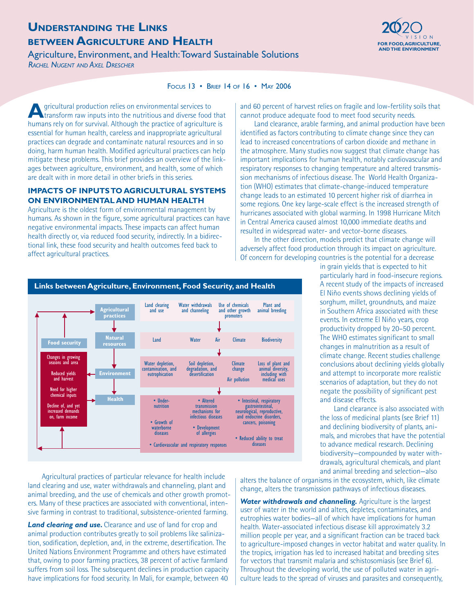# **UNDERSTANDING THE LINKS BETWEEN AGRICULTURE AND HEALTH FOR FOOD, AGRICULTURE**

Agriculture, Environment, and Health: Toward Sustainable Solutions *RACHEL NUGENT AND AXEL DRESCHER*



FOCUS 13 • BRIEF 14 OF 16 • MAY 2006

**A**gricultural production relies on environmental services to transform raw inputs into the nutritious and diverse food that humans rely on for survival. Although the practice of agriculture is essential for human health, careless and inappropriate agricultural practices can degrade and contaminate natural resources and in so doing, harm human health. Modified agricultural practices can help mitigate these problems. This brief provides an overview of the linkages between agriculture, environment, and health, some of which are dealt with in more detail in other briefs in this series.

#### **IMPACTS OF INPUTS TO AGRICULTURAL SYSTEMS ON ENVIRONMENTAL AND HUMAN HEALTH**

Agriculture is the oldest form of environmental management by humans. As shown in the figure, some agricultural practices can have negative environmental impacts. These impacts can affect human health directly or, via reduced food security, indirectly. In a bidirectional link, these food security and health outcomes feed back to affect agricultural practices.

> **Agricultural practices**

> > **Natural**

**Food security**

Changes in growing seasons and area Reduced yields and harvest Need for higher chemical inputs Decline of, and yet increased demands on, farm income

and 60 percent of harvest relies on fragile and low-fertility soils that cannot produce adequate food to meet food security needs.

Land clearance, arable farming, and animal production have been identified as factors contributing to climate change since they can lead to increased concentrations of carbon dioxide and methane in the atmosphere. Many studies now suggest that climate change has important implications for human health, notably cardiovascular and respiratory responses to changing temperature and altered transmission mechanisms of infectious disease. The World Health Organization (WHO) estimates that climate-change-induced temperature change leads to an estimated 10 percent higher risk of diarrhea in some regions. One key large-scale effect is the increased strength of hurricanes associated with global warming. In 1998 Hurricane Mitch in Central America caused almost 10,000 immediate deaths and resulted in widespread water- and vector-borne diseases.

In the other direction, models predict that climate change will adversely affect food production through its impact on agriculture. Of concern for developing countries is the potential for a decrease

particularly hard in food-insecure regions. A recent study of the impacts of increased El Niño events shows declining yields of sorghum, millet, groundnuts, and maize in Southern Africa associated with these events. In extreme El Niño years, crop productivity dropped by 20–50 percent. The WHO estimates significant to small changes in malnutrition as a result of climate change. Recent studies challenge conclusions about declining yields globally and attempt to incorporate more realistic scenarios of adaptation, but they do not negate the possibility of significant pest and disease effects. Land clearance is also associated with • Intestinal, respiratory gastrointestinal, neurological, reproductive, and endocrine disorders, Plant and animal breeding Land Water Air Climate Biodiversity Loss of plant and<br>animal diversity, animal diversity, including with medical uses

in grain yields that is expected to hit

the loss of medicinal plants (see Brief 11) and declining biodiversity of plants, animals, and microbes that have the potential to advance medical research. Declining biodiversity—compounded by water withdrawals, agricultural chemicals, and plant and animal breeding and selection—also

Agricultural practices of particular relevance for health include land clearing and use, water withdrawals and channeling, plant and animal breeding, and the use of chemicals and other growth promoters. Many of these practices are associated with conventional, inten-• Reduced ability to treat • Cardiovascular and respiratory responses • Cardiovascular and respiratory responses

**Health** • Under-

nutrition

Water depletion, contamination, and eutrophication

> • Altered transmission mechanisms for infectious diseases • Development of allergies

Soil depletion, degradation, and desertification

Water withdrawals and channeling

Use of chemicals and other growth promoters

> **Climate** change Air pollution

> > cancers, poisoning

• Growth of waterborne diseases

*Land clearing and use.* Clearance and use of land for crop and animal production contributes greatly to soil problems like salinization, sodification, depletion, and, in the extreme, desertification. The United Nations Environment Programme and others have estimated that, owing to poor farming practices, 38 percent of active farmland suffers from soil loss. The subsequent declines in production capacity have implications for food security. In Mali, for example, between 40

sive farming in contrast to traditional, subsistence-oriented farming.

alters the balance of organisms in the ecosystem, which, like climate change, alters the transmission pathways of infectious diseases.

*Water withdrawals and channeling.* Agriculture is the largest user of water in the world and alters, depletes, contaminates, and eutrophies water bodies—all of which have implications for human health. Water-associated infectious disease kill approximately 3.2 million people per year, and a significant fraction can be traced back to agriculture-imposed changes in vector habitat and water quality. In the tropics, irrigation has led to increased habitat and breeding sites for vectors that transmit malaria and schistosomiasis (see Brief 6). Throughout the developing world, the use of polluted water in agriculture leads to the spread of viruses and parasites and consequently,

#### **Links between Agriculture, Environment, Food Security, and Health**

Land clearing and use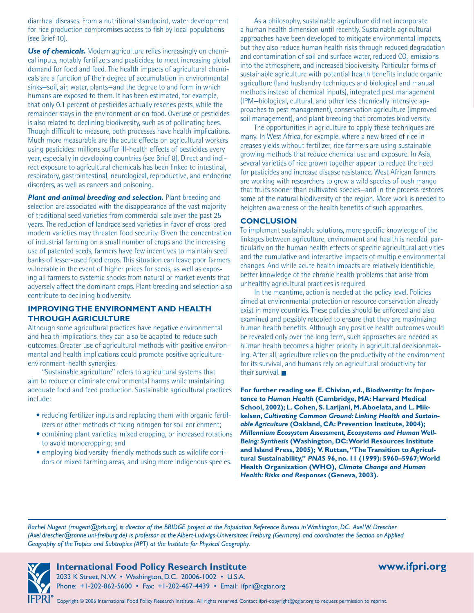diarrheal diseases. From a nutritional standpoint, water development for rice production compromises access to fish by local populations (see Brief 10).

**Use of chemicals.** Modern agriculture relies increasingly on chemical inputs, notably fertilizers and pesticides, to meet increasing global demand for food and feed. The health impacts of agricultural chemicals are a function of their degree of accumulation in environmental sinks—soil, air, water, plants—and the degree to and form in which humans are exposed to them. It has been estimated, for example, that only 0.1 percent of pesticides actually reaches pests, while the remainder stays in the environment or on food. Overuse of pesticides is also related to declining biodiversity, such as of pollinating bees. Though difficult to measure, both processes have health implications. Much more measurable are the acute effects on agricultural workers using pesticides: millions suffer ill-health effects of pesticides every year, especially in developing countries (see Brief 8). Direct and indirect exposure to agricultural chemicals has been linked to intestinal, respiratory, gastrointestinal, neurological, reproductive, and endocrine disorders, as well as cancers and poisoning.

**Plant and animal breeding and selection.** Plant breeding and selection are associated with the disappearance of the vast majority of traditional seed varieties from commercial sale over the past 25 years. The reduction of landrace seed varieties in favor of cross-bred modern varieties may threaten food security. Given the concentration of industrial farming on a small number of crops and the increasing use of patented seeds, farmers have few incentives to maintain seed banks of lesser-used food crops. This situation can leave poor farmers vulnerable in the event of higher prices for seeds, as well as exposing all farmers to systemic shocks from natural or market events that adversely affect the dominant crops. Plant breeding and selection also contribute to declining biodiversity.

#### **IMPROVING THE ENVIRONMENT AND HEALTH THROUGH AGRICULTURE**

Although some agricultural practices have negative environmental and health implications, they can also be adapted to reduce such outcomes. Greater use of agricultural methods with positive environmental and health implications could promote positive agricultureenvironment-health synergies.

"Sustainable agriculture" refers to agricultural systems that aim to reduce or eliminate environmental harms while maintaining adequate food and feed production. Sustainable agricultural practices include:

- reducing fertilizer inputs and replacing them with organic fertilizers or other methods of fixing nitrogen for soil enrichment;
- combining plant varieties, mixed cropping, or increased rotations to avoid monocropping; and
- employing biodiversity-friendly methods such as wildlife corridors or mixed farming areas, and using more indigenous species.

As a philosophy, sustainable agriculture did not incorporate a human health dimension until recently. Sustainable agricultural approaches have been developed to mitigate environmental impacts, but they also reduce human health risks through reduced degradation and contamination of soil and surface water, reduced  $\mathsf{CO}_\mathsf{2}$  emissions into the atmosphere, and increased biodiversity. Particular forms of sustainable agriculture with potential health benefits include organic agriculture (land husbandry techniques and biological and manual methods instead of chemical inputs), integrated pest management (IPM—biological, cultural, and other less chemically intensive approaches to pest management), conservation agriculture (improved soil management), and plant breeding that promotes biodiversity.

The opportunities in agriculture to apply these techniques are many. In West Africa, for example, where a new breed of rice increases yields without fertilizer, rice farmers are using sustainable growing methods that reduce chemical use and exposure. In Asia, several varieties of rice grown together appear to reduce the need for pesticides and increase disease resistance. West African farmers are working with researchers to grow a wild species of bush mango that fruits sooner than cultivated species—and in the process restores some of the natural biodiversity of the region. More work is needed to heighten awareness of the health benefits of such approaches.

#### **CONCLUSION**

To implement sustainable solutions, more specific knowledge of the linkages between agriculture, environment and health is needed, particularly on the human health effects of specific agricultural activities and the cumulative and interactive impacts of multiple environmental changes. And while acute health impacts are relatively identifiable, better knowledge of the chronic health problems that arise from unhealthy agricultural practices is required.

In the meantime, action is needed at the policy level. Policies aimed at environmental protection or resource conservation already exist in many countries. These policies should be enforced and also examined and possibly retooled to ensure that they are maximizing human health benefits. Although any positive health outcomes would be revealed only over the long term, such approaches are needed as human health becomes a higher priority in agricultural decisionmaking. After all, agriculture relies on the productivity of the environment for its survival, and humans rely on agricultural productivity for their survival.

**For further reading see E. Chivian, ed., B***iodiversity: Its Importance to Human Health* **(Cambridge, MA: Harvard Medical School, 2002); L. Cohen, S. Larijani, M. Aboelata, and L. Mikkelsen,** *Cultivating Common Ground: Linking Health and Sustainable Agriculture* **(Oakland, CA: Prevention Institute, 2004);**  *Millennium Ecosystem Assessment, Ecosystems and Human Well-Being: Synthesis* **(Washington, DC: World Resources Institute** and Island Press, 2005); V. Ruttan, "The Transition to Agricul**tural Sustainability,"** *PNAS* **96, no. 11 (1999): 5960–5967; World Health Organization (WHO),** *Climate Change and Human Health: Risks and Responses* **(Geneva, 2003).**

*Rachel Nugent (rnugent@prb.org) is director of the BRIDGE project at the Population Reference Bureau in Washington, DC. Axel W. Drescher (Axel.drescher@sonne.uni-freiburg.de) is professor at the Albert-Ludwigs-Universitaet Freiburg (Germany) and coordinates the Section on Applied Geography of the Tropics and Subtropics (APT) at the Institute for Physical Geography.*



### **International Food Policy Research Institute www.ifpri.org**

2033 K Street, N.W. • Washington, D.C. 20006-1002 • U.S.A. Phone: +1-202-862-5600 • Fax: +1-202-467-4439 • Email: ifpri@cgiar.org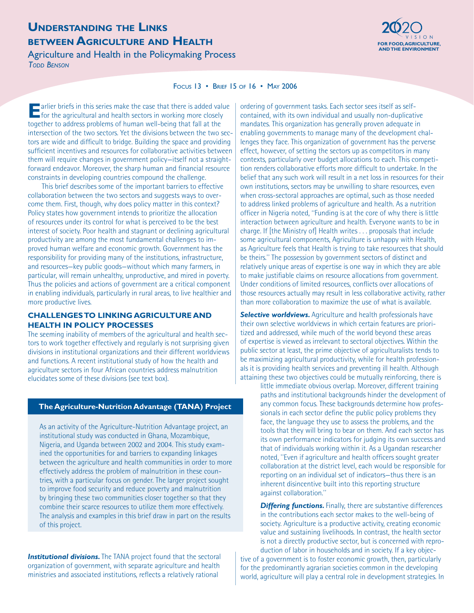### **UNDERSTANDING THE LINKS BETWEEN AGRICULTURE AND HEALTH Exercise the component of the component of the second agriculture, and the final districulture, and the final districulture,**  $\frac{1}{2}$

Agriculture and Health in the Policymaking Process *TODD BENSON*



#### FOCUS 13 • BRIEF 15 OF 16 • MAY 2006

**E** arlier briefs in this series make the case that there is added value<br>
for the agricultural and health sectors in working more closely together to address problems of human well-being that fall at the intersection of the two sectors. Yet the divisions between the two sectors are wide and difficult to bridge. Building the space and providing sufficient incentives and resources for collaborative activities between them will require changes in government policy—itself not a straightforward endeavor. Moreover, the sharp human and financial resource constraints in developing countries compound the challenge.

This brief describes some of the important barriers to effective collaboration between the two sectors and suggests ways to overcome them. First, though, why does policy matter in this context? Policy states how government intends to prioritize the allocation of resources under its control for what is perceived to be the best interest of society. Poor health and stagnant or declining agricultural productivity are among the most fundamental challenges to improved human welfare and economic growth. Government has the responsibility for providing many of the institutions, infrastructure, and resources—key public goods—without which many farmers, in particular, will remain unhealthy, unproductive, and mired in poverty. Thus the policies and actions of government are a critical component in enabling individuals, particularly in rural areas, to live healthier and more productive lives.

#### **CHALLENGES TO LINKING AGRICULTURE AND HEALTH IN POLICY PROCESSES**

The seeming inability of members of the agricultural and health sectors to work together effectively and regularly is not surprising given divisions in institutional organizations and their different worldviews and functions. A recent institutional study of how the health and agriculture sectors in four African countries address malnutrition elucidates some of these divisions (see text box).

#### **The Agriculture-Nutrition Advantage (TANA) Project**

As an activity of the Agriculture-Nutrition Advantage project, an institutional study was conducted in Ghana, Mozambique, Nigeria, and Uganda between 2002 and 2004. This study examined the opportunities for and barriers to expanding linkages between the agriculture and health communities in order to more effectively address the problem of malnutrition in these countries, with a particular focus on gender. The larger project sought to improve food security and reduce poverty and malnutrition by bringing these two communities closer together so that they combine their scarce resources to utilize them more effectively. The analysis and examples in this brief draw in part on the results of this project.

**Institutional divisions.** The TANA project found that the sectoral organization of government, with separate agriculture and health ministries and associated institutions, reflects a relatively rational

ordering of government tasks. Each sector sees itself as selfcontained, with its own individual and usually non-duplicative mandates. This organization has generally proven adequate in enabling governments to manage many of the development challenges they face. This organization of government has the perverse effect, however, of setting the sectors up as competitors in many contexts, particularly over budget allocations to each. This competition renders collaborative efforts more difficult to undertake. In the belief that any such work will result in a net loss in resources for their own institutions, sectors may be unwilling to share resources, even when cross-sectoral approaches are optimal, such as those needed to address linked problems of agriculture and health. As a nutrition officer in Nigeria noted, "Funding is at the core of why there is little interaction between agriculture and health. Everyone wants to be in charge. If [the Ministry of] Health writes . . . proposals that include some agricultural components, Agriculture is unhappy with Health, as Agriculture feels that Health is trying to take resources that should be theirs." The possession by government sectors of distinct and relatively unique areas of expertise is one way in which they are able to make justifiable claims on resource allocations from government. Under conditions of limited resources, conflicts over allocations of those resources actually may result in less collaborative activity, rather than more collaboration to maximize the use of what is available.

**Selective worldviews.** Agriculture and health professionals have their own selective worldviews in which certain features are prioritized and addressed, while much of the world beyond these areas of expertise is viewed as irrelevant to sectoral objectives. Within the public sector at least, the prime objective of agriculturalists tends to be maximizing agricultural productivity, while for health professionals it is providing health services and preventing ill health. Although attaining these two objectives could be mutually reinforcing, there is

little immediate obvious overlap. Moreover, different training paths and institutional backgrounds hinder the development of any common focus. These backgrounds determine how professionals in each sector define the public policy problems they face, the language they use to assess the problems, and the tools that they will bring to bear on them. And each sector has its own performance indicators for judging its own success and that of individuals working within it. As a Ugandan researcher noted, "Even if agriculture and health officers sought greater collaboration at the district level, each would be responsible for reporting on an individual set of indicators—thus there is an inherent disincentive built into this reporting structure against collaboration."

**Differing functions.** Finally, there are substantive differences in the contributions each sector makes to the well-being of society. Agriculture is a productive activity, creating economic value and sustaining livelihoods. In contrast, the health sector is not a directly productive sector, but is concerned with reproduction of labor in households and in society. If a key objec-

tive of a government is to foster economic growth, then, particularly for the predominantly agrarian societies common in the developing world, agriculture will play a central role in development strategies. In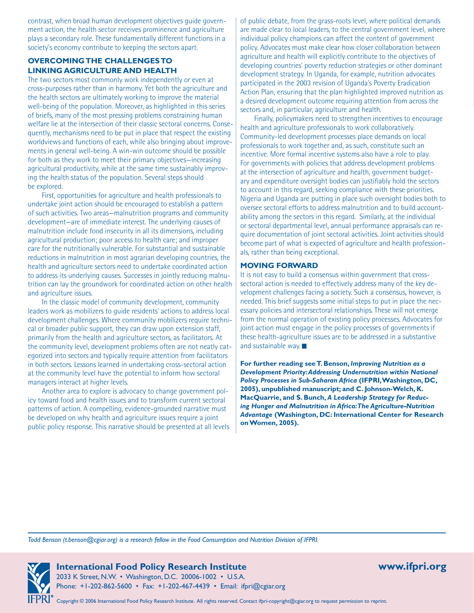contrast, when broad human development objectives guide government action, the health sector receives prominence and agriculture plays a secondary role. These fundamentally different functions in a society's economy contribute to keeping the sectors apart.

#### **OVERCOMING THE CHALLENGES TO LINKING AGRICULTURE AND HEALTH**

The two sectors most commonly work independently or even at cross-purposes rather than in harmony. Yet both the agriculture and the health sectors are ultimately working to improve the material well-being of the population. Moreover, as highlighted in this series of briefs, many of the most pressing problems constraining human welfare lie at the intersection of their classic sectoral concerns. Consequently, mechanisms need to be put in place that respect the existing worldviews and functions of each, while also bringing about improvements in general well-being. A win-win outcome should be possible for both as they work to meet their primary objectives—increasing agricultural productivity, while at the same time sustainably improving the health status of the population. Several steps should be explored.

First, opportunities for agriculture and health professionals to undertake joint action should be encouraged to establish a pattern of such activities. Two areas—malnutrition programs and community development—are of immediate interest. The underlying causes of malnutrition include food insecurity in all its dimensions, including agricultural production; poor access to health care; and improper care for the nutritionally vulnerable. For substantial and sustainable reductions in malnutrition in most agrarian developing countries, the health and agriculture sectors need to undertake coordinated action to address its underlying causes. Successes in jointly reducing malnutrition can lay the groundwork for coordinated action on other health and agriculture issues.

In the classic model of community development, community leaders work as mobilizers to guide residents' actions to address local development challenges. Where community mobilizers require technical or broader public support, they can draw upon extension staff, primarily from the health and agriculture sectors, as facilitators. At the community level, development problems often are not neatly categorized into sectors and typically require attention from facilitators in both sectors. Lessons learned in undertaking cross-sectoral action at the community level have the potential to inform how sectoral managers interact at higher levels.

Another area to explore is advocacy to change government policy toward food and health issues and to transform current sectoral patterns of action. A compelling, evidence-grounded narrative must be developed on why health and agriculture issues require a joint public policy response. This narrative should be presented at all levels of public debate, from the grass-roots level, where political demands are made clear to local leaders, to the central government level, where individual policy champions can affect the content of government policy. Advocates must make clear how closer collaboration between agriculture and health will explicitly contribute to the objectives of developing countries' poverty reduction strategies or other dominant development strategy. In Uganda, for example, nutrition advocates participated in the 2003 revision of Uganda's Poverty Eradication Action Plan, ensuring that the plan highlighted improved nutrition as a desired development outcome requiring attention from across the sectors and, in particular, agriculture and health.

Finally, policymakers need to strengthen incentives to encourage health and agriculture professionals to work collaboratively. Community-led development processes place demands on local professionals to work together and, as such, constitute such an incentive. More formal incentive systems also have a role to play. For governments with policies that address development problems at the intersection of agriculture and health, government budgetary and expenditure oversight bodies can justifiably hold the sectors to account in this regard, seeking compliance with these priorities. Nigeria and Uganda are putting in place such oversight bodies both to oversee sectoral efforts to address malnutrition and to build accountability among the sectors in this regard. Similarly, at the individual or sectoral departmental level, annual performance appraisals can require documentation of joint sectoral activities. Joint activities should become part of what is expected of agriculture and health professionals, rather than being exceptional.

#### **MOVING FORWARD**

It is not easy to build a consensus within government that crosssectoral action is needed to effectively address many of the key development challenges facing a society. Such a consensus, however, is needed. This brief suggests some initial steps to put in place the necessary policies and intersectoral relationships. These will not emerge from the normal operation of existing policy processes. Advocates for joint action must engage in the policy processes of governments if these health-agriculture issues are to be addressed in a substantive and sustainable way.

**For further reading see T. Benson,** *Improving Nutrition as a Development Priority: Addressing Undernutrition within National Policy Processes in Sub-Saharan Africa* **(IFPRI, Washington, DC, 2005), unpublished manuscript; and C. Johnson-Welch, K. MacQuarrie, and S. Bunch,** *A Leadership Strategy for Reducing Hunger and Malnutrition in Africa: The Agriculture-Nutrition Advantage* **(Washington, DC: International Center for Research on Women, 2005).**

*Todd Benson (t.benson@cgiar.org) is a research fellow in the Food Consumption and Nutrition Division of IFPRI.*



**International Food Policy Research Institute www.ifpri.org**  2033 K Street, N.W. • Washington, D.C. 20006-1002 • U.S.A. Phone: +1-202-862-5600 • Fax: +1-202-467-4439 • Email: ifpri@cgiar.org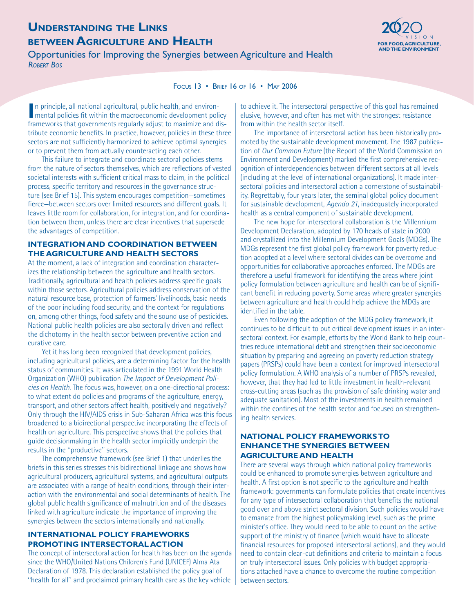# **UNDERSTANDING THE LINKS BETWEEN AGRICULTURE AND HEALTH FOR FOOD, AGRICULTURE AND HEALTH**

**Opportunities for Improving the Synergies between Agriculture and Health** *ROBERT BOS*



#### FOCUS 13 • BRIEF 16 OF 16 • MAY 2006

In principle, all national agricultural, public health, and environ-<br> **I** mental policies fit within the macroeconomic development political mental policies fit within the macroeconomic development policy frameworks that governments regularly adjust to maximize and distribute economic benefits. In practice, however, policies in these three sectors are not sufficiently harmonized to achieve optimal synergies or to prevent them from actually counteracting each other.

This failure to integrate and coordinate sectoral policies stems from the nature of sectors themselves, which are reflections of vested societal interests with sufficient critical mass to claim, in the political process, specific territory and resources in the governance structure (see Brief 15). This system encourages competition—sometimes fierce—between sectors over limited resources and different goals. It leaves little room for collaboration, for integration, and for coordination between them, unless there are clear incentives that supersede the advantages of competition.

#### **INTEGRATION AND COORDINATION BETWEEN THE AGRICULTURE AND HEALTH SECTORS**

At the moment, a lack of integration and coordination characterizes the relationship between the agriculture and health sectors. Traditionally, agricultural and health policies address specific goals within those sectors. Agricultural policies address conservation of the natural resource base, protection of farmers' livelihoods, basic needs of the poor including food security, and the context for regulations on, among other things, food safety and the sound use of pesticides. National public health policies are also sectorally driven and reflect the dichotomy in the health sector between preventive action and curative care.

Yet it has long been recognized that development policies, including agricultural policies, are a determining factor for the health status of communities. It was articulated in the 1991 World Health Organization (WHO) publication *The Impact of Development Policies on Health*. The focus was, however, on a one-directional process: to what extent do policies and programs of the agriculture, energy, transport, and other sectors affect health, positively and negatively? Only through the HIV/AIDS crisis in Sub-Saharan Africa was this focus broadened to a bidirectional perspective incorporating the effects of health on agriculture. This perspective shows that the policies that guide decisionmaking in the health sector implicitly underpin the results in the "productive" sectors.

The comprehensive framework (see Brief 1) that underlies the briefs in this series stresses this bidirectional linkage and shows how agricultural producers, agricultural systems, and agricultural outputs are associated with a range of health conditions, through their interaction with the environmental and social determinants of health. The global public health significance of malnutrition and of the diseases linked with agriculture indicate the importance of improving the synergies between the sectors internationally and nationally.

#### **INTERNATIONAL POLICY FRAMEWORKS PROMOTING INTERSECTORAL ACTION**

The concept of intersectoral action for health has been on the agenda since the WHO/United Nations Children's Fund (UNICEF) Alma Ata Declaration of 1978. This declaration established the policy goal of "health for all" and proclaimed primary health care as the key vehicle

to achieve it. The intersectoral perspective of this goal has remained elusive, however, and often has met with the strongest resistance from within the health sector itself.

The importance of intersectoral action has been historically promoted by the sustainable development movement. The 1987 publication of *Our Common Future* (the Report of the World Commission on Environment and Development) marked the first comprehensive recognition of interdependencies between different sectors at all levels (including at the level of international organizations). It made intersectoral policies and intersectoral action a cornerstone of sustainability. Regrettably, four years later, the seminal global policy document for sustainable development, *Agenda 21*, inadequately incorporated health as a central component of sustainable development.

The new hope for intersectoral collaboration is the Millennium Development Declaration, adopted by 170 heads of state in 2000 and crystallized into the Millennium Development Goals (MDGs). The MDGs represent the first global policy framework for poverty reduction adopted at a level where sectoral divides can be overcome and opportunities for collaborative approaches enforced. The MDGs are therefore a useful framework for identifying the areas where joint policy formulation between agriculture and health can be of significant benefit in reducing poverty. Some areas where greater synergies between agriculture and health could help achieve the MDGs are identified in the table.

Even following the adoption of the MDG policy framework, it continues to be difficult to put critical development issues in an intersectoral context. For example, efforts by the World Bank to help countries reduce international debt and strengthen their socioeconomic situation by preparing and agreeing on poverty reduction strategy papers (PRSPs) could have been a context for improved intersectoral policy formulation. A WHO analysis of a number of PRSPs revealed, however, that they had led to little investment in health-relevant cross-cutting areas (such as the provision of safe drinking water and adequate sanitation). Most of the investments in health remained within the confines of the health sector and focused on strengthening health services.

### **NATIONAL POLICY FRAMEWORKS TO ENHANCE THE SYNERGIES BETWEEN AGRICULTURE AND HEALTH**

There are several ways through which national policy frameworks could be enhanced to promote synergies between agriculture and health. A first option is not specific to the agriculture and health framework: governments can formulate policies that create incentives for any type of intersectoral collaboration that benefits the national good over and above strict sectoral division. Such policies would have to emanate from the highest policymaking level, such as the prime minister's office. They would need to be able to count on the active support of the ministry of finance (which would have to allocate financial resources for proposed intersectoral actions), and they would need to contain clear-cut definitions and criteria to maintain a focus on truly intersectoral issues. Only policies with budget appropriations attached have a chance to overcome the routine competition between sectors.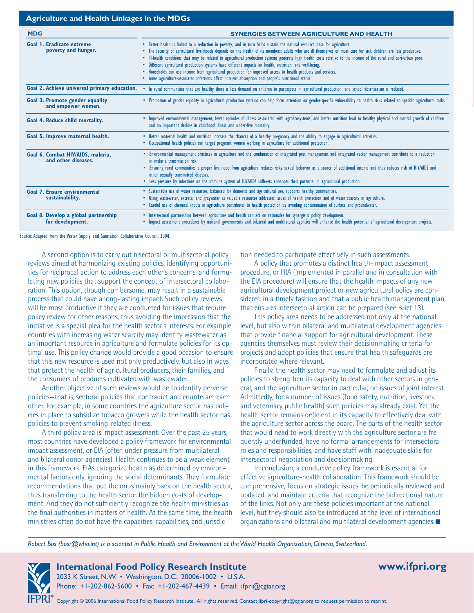| <b>Agriculture and Health Linkages in the MDGs</b>           |                                                                                                                                                                                                                                                                                                                                                                                                                                                                                                                                                                                                                                                                                                                                                                                                          |  |  |
|--------------------------------------------------------------|----------------------------------------------------------------------------------------------------------------------------------------------------------------------------------------------------------------------------------------------------------------------------------------------------------------------------------------------------------------------------------------------------------------------------------------------------------------------------------------------------------------------------------------------------------------------------------------------------------------------------------------------------------------------------------------------------------------------------------------------------------------------------------------------------------|--|--|
| <b>MDG</b>                                                   | <b>SYNERGIES BETWEEN AGRICULTURE AND HEALTH</b>                                                                                                                                                                                                                                                                                                                                                                                                                                                                                                                                                                                                                                                                                                                                                          |  |  |
| Goal I. Eradicate extreme<br>poverty and hunger.             | • Better health is linked to a reduction in poverty, and in turn helps sustain the natural resource base for agriculture.<br>. The security of agricultural livelihoods depends on the health of its members; adults who are ill themselves or must care for sick children are less productive.<br>• Ill-health conditions that may be related to agricultural production systems generate high health costs relative to the income of the rural and peri-urban poor.<br>· Different agricultural production systems have different impacts on health, nutrition, and well-being.<br>Households can use income from agricultural production for improved access to health products and services.<br>• Some agriculture-associated infections affect nutrient absorption and people's nutritional status. |  |  |
| Goal 2. Achieve universal primary education.                 | • In rural communities that are healthy there is less demand on children to participate in agricultural production, and school absenteeism is reduced.                                                                                                                                                                                                                                                                                                                                                                                                                                                                                                                                                                                                                                                   |  |  |
| <b>Goal 3. Promote gender equality</b><br>and empower women. | • Promotion of gender equality in agricultural production systems can help focus attention on gender-specific vulnerability to health risks related to specific agricultural tasks.                                                                                                                                                                                                                                                                                                                                                                                                                                                                                                                                                                                                                      |  |  |
| Goal 4. Reduce child mortality.                              | . Improved environmental management, fewer episodes of illness associated with agroecosystems, and better nutrition lead to healthy physical and mental growth of children<br>and an important decline in childhood illness and under-five mortality.                                                                                                                                                                                                                                                                                                                                                                                                                                                                                                                                                    |  |  |
| Goal 5. Improve maternal health.                             | • Better maternal health and nutrition increase the chances of a healthy pregnancy and the ability to engage in agricultural activities.<br>• Occupational health policies can target pregnant women working in agriculture for additional protection.                                                                                                                                                                                                                                                                                                                                                                                                                                                                                                                                                   |  |  |
| Goal 6. Combat HIV/AIDS, malaria,<br>and other diseases.     | • Environmental management practices in agriculture and the combination of integrated pest management and integrated vector management contribute to a reduction<br>in malaria transmission risk.<br>. Ensuring rural communities a proper livelihood from agriculture reduces risky sexual behavior as a source of additional income and thus reduces risk of HIV/AIDS and<br>other sexually transmitted diseases.<br>• Less pressure by infections on the immune system of HIV/AIDS sufferers enhances their potential in agricultural production.                                                                                                                                                                                                                                                     |  |  |
| <b>Goal 7. Ensure environmental</b><br>sustainability.       | · Sustainable use of water resources, balanced for domestic and agricultural use, supports healthy communities.<br>Using wastewater, excreta, and graywater as valuable resources addresses issues of health protection and of water scarcity in agriculture.<br>• Careful use of chemical inputs in agriculture contributes to health protection by avoiding contamination of surface and groundwater.                                                                                                                                                                                                                                                                                                                                                                                                  |  |  |
| Goal 8. Develop a global partnership<br>for development.     | • Intersectoral partnerships between agriculture and health can act on rationales for synergistic policy development.<br>• Impact assessment procedures by national governments and bilateral and multilateral agencies will enhance the health potential of agricultural development projects.                                                                                                                                                                                                                                                                                                                                                                                                                                                                                                          |  |  |

Source: Adapted from the Water Supply and Sanitation Collaborative Council, 2004.

A second option is to carry out bisectoral or multisectoral policy reviews aimed at harmonizing existing policies, identifying opportunities for reciprocal action to address each other's concerns, and formulating new policies that support the concept of intersectoral collaboration. This option, though cumbersome, may result in a sustainable process that could have a long-lasting impact. Such policy reviews will be most productive if they are conducted for issues that require policy review for other reasons, thus avoiding the impression that the initiative is a special plea for the health sector's interests. For example, countries with increasing water scarcity may identify wastewater as an important resource in agriculture and formulate policies for its optimal use. This policy change would provide a good occasion to ensure that this new resource is used not only productively, but also in ways that protect the health of agricultural producers, their families, and the consumers of products cultivated with wastewater.

Another objective of such reviews would be to identify perverse policies—that is, sectoral policies that contradict and counteract each other. For example, in some countries the agriculture sector has policies in place to subsidize tobacco growers while the health sector has policies to prevent smoking-related illness.

A third policy area is impact assessment. Over the past 25 years, most countries have developed a policy framework for environmental impact assessment, or EIA (often under pressure from multilateral and bilateral donor agencies). Health continues to be a weak element in this framework. EIAs categorize health as determined by environmental factors only, ignoring the social determinants. They formulate recommendations that put the onus mainly back on the health sector, thus transferring to the health sector the hidden costs of development. And they do not sufficiently recognize the health ministries as the final authorities in matters of health. At the same time, the health ministries often do not have the capacities, capabilities, and jurisdiction needed to participate effectively in such assessments.

A policy that promotes a distinct health-impact assessment procedure, or HIA (implemented in parallel and in consultation with the EIA procedure) will ensure that the health impacts of any new agricultural development project or new agricultural policy are considered in a timely fashion and that a public health management plan that ensures intersectoral action can be prepared (see Brief 13).

This policy area needs to be addressed not only at the national level, but also within bilateral and multilateral development agencies that provide financial support for agricultural development. These agencies themselves must review their decisionmaking criteria for projects and adopt policies that ensure that health safeguards are incorporated where relevant.

Finally, the health sector may need to formulate and adjust its policies to strengthen its capacity to deal with other sectors in general, and the agriculture sector in particular, on issues of joint interest. Admittedly, for a number of issues (food safety, nutrition, livestock, and veterinary public health) such policies may already exist. Yet the health sector remains deficient in its capacity to effectively deal with the agriculture sector across the board. The parts of the health sector that would need to work directly with the agriculture sector are frequently underfunded, have no formal arrangements for intersectoral roles and responsibilities, and have staff with inadequate skills for intersectoral negotiation and decisionmaking.

In conclusion, a conducive policy framework is essential for effective agriculture-health collaboration. This framework should be comprehensive, focus on strategic issues, be periodically reviewed and updated, and maintain criteria that recognize the bidirectional nature of the links. Not only are these policies important at the national level, but they should also be introduced at the level of international organizations and bilateral and multilateral development agencies.

*Robert Bos (bosr@who.int) is a scientist in Public Health and Environment at the World Health Organization, Geneva, Switzerland.*

**International Food Policy Research Institute www.ifpri.org** 

2033 K Street, N.W. • Washington, D.C. 20006-1002 • U.S.A. Phone: +1-202-862-5600 • Fax: +1-202-467-4439 • Email: ifpri@cgiar.org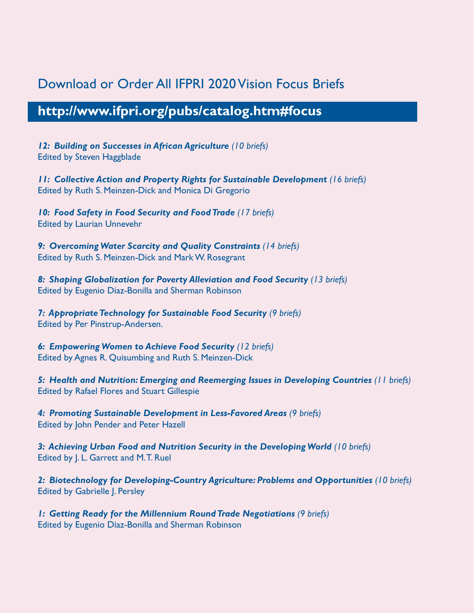# Download or Order All IFPRI 2020 Vision Focus Briefs

# **http://www.ifpri.org/pubs/catalog.htm#focus**

*12: Building on Successes in African Agriculture (10 briefs)* Edited by Steven Haggblade

*11: Collective Action and Property Rights for Sustainable Development (16 briefs)* Edited by Ruth S. Meinzen-Dick and Monica Di Gregorio

*10: Food Safety in Food Security and Food Trade (17 briefs)* Edited by Laurian Unnevehr

*9: Overcoming Water Scarcity and Quality Constraints (14 briefs)* Edited by Ruth S. Meinzen-Dick and Mark W. Rosegrant

*8: Shaping Globalization for Poverty Alleviation and Food Security (13 briefs)* Edited by Eugenio Díaz-Bonilla and Sherman Robinson

*7: Appropriate Technology for Sustainable Food Security (9 briefs)* Edited by Per Pinstrup-Andersen.

*6: Empowering Women to Achieve Food Security (12 briefs)* Edited by Agnes R. Quisumbing and Ruth S. Meinzen-Dick

*5: Health and Nutrition: Emerging and Reemerging Issues in Developing Countries (11 briefs)* Edited by Rafael Flores and Stuart Gillespie

*4: Promoting Sustainable Development in Less-Favored Areas (9 briefs)*  Edited by John Pender and Peter Hazell

*3: Achieving Urban Food and Nutrition Security in the Developing World (10 briefs)*  Edited by J. L. Garrett and M.T. Ruel

*2: Biotechnology for Developing-Country Agriculture: Problems and Opportunities (10 briefs)*  Edited by Gabrielle J. Persley

*1: Getting Ready for the Millennium Round Trade Negotiations (9 briefs)* Edited by Eugenio Díaz-Bonilla and Sherman Robinson